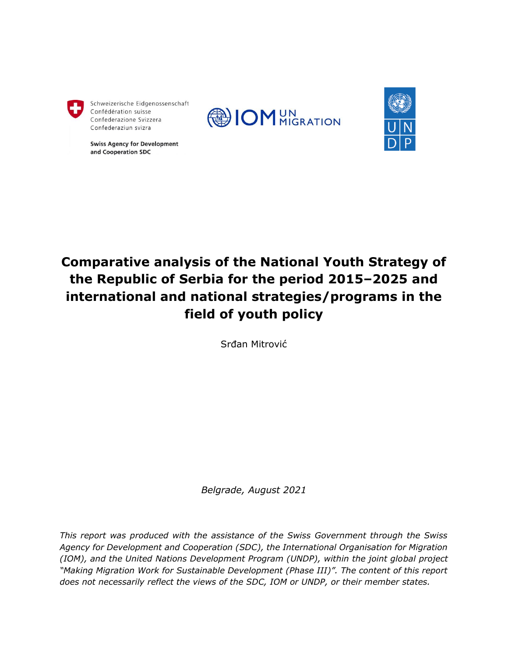

Schweizerische Eidgenossenschaft Confédération suisse Confederazione Svizzera Confederaziun svizra

**Swiss Agency for Development** and Cooperation SDC





# **Comparative analysis of the National Youth Strategy of the Republic of Serbia for the period 2015–2025 and international and national strategies/programs in the field of youth policy**

Srđan Mitrović

*Belgrade, August 2021*

*This report was produced with the assistance of the Swiss Government through the Swiss Agency for Development and Cooperation (SDC), the International Organisation for Migration (IOM), and the United Nations Development Program (UNDP), within the joint global project "Making Migration Work for Sustainable Development (Phase III)". The content of this report does not necessarily reflect the views of the SDC, IOM or UNDP, or their member states.*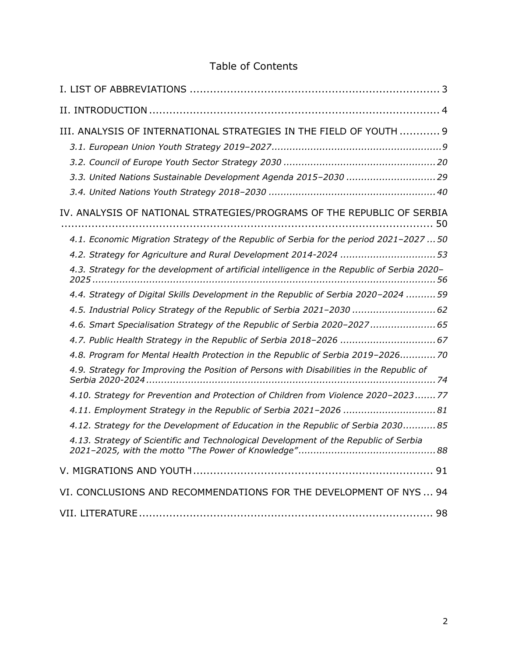## Table of Contents

| III. ANALYSIS OF INTERNATIONAL STRATEGIES IN THE FIELD OF YOUTH  9<br>3.3. United Nations Sustainable Development Agenda 2015-2030  29                                                                                                                                                                                               |
|--------------------------------------------------------------------------------------------------------------------------------------------------------------------------------------------------------------------------------------------------------------------------------------------------------------------------------------|
| IV. ANALYSIS OF NATIONAL STRATEGIES/PROGRAMS OF THE REPUBLIC OF SERBIA                                                                                                                                                                                                                                                               |
| 4.1. Economic Migration Strategy of the Republic of Serbia for the period 2021-2027  50<br>4.2. Strategy for Agriculture and Rural Development 2014-2024  53<br>4.3. Strategy for the development of artificial intelligence in the Republic of Serbia 2020-                                                                         |
| 4.4. Strategy of Digital Skills Development in the Republic of Serbia 2020-2024  59<br>4.5. Industrial Policy Strategy of the Republic of Serbia 2021-2030  62<br>4.6. Smart Specialisation Strategy of the Republic of Serbia 2020-2027 65                                                                                          |
| 4.7. Public Health Strategy in the Republic of Serbia 2018-2026  67<br>4.8. Program for Mental Health Protection in the Republic of Serbia 2019-2026 70<br>4.9. Strategy for Improving the Position of Persons with Disabilities in the Republic of                                                                                  |
| 4.10. Strategy for Prevention and Protection of Children from Violence 2020-2023 77<br>4.11. Employment Strategy in the Republic of Serbia 2021-2026 81<br>4.12. Strategy for the Development of Education in the Republic of Serbia 2030 85<br>4.13. Strategy of Scientific and Technological Development of the Republic of Serbia |
|                                                                                                                                                                                                                                                                                                                                      |
| VI. CONCLUSIONS AND RECOMMENDATIONS FOR THE DEVELOPMENT OF NYS  94                                                                                                                                                                                                                                                                   |
|                                                                                                                                                                                                                                                                                                                                      |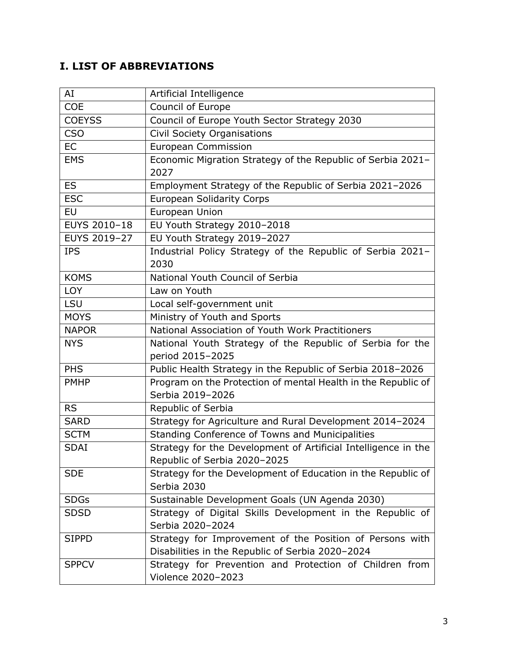## <span id="page-2-0"></span>**I. LIST OF ABBREVIATIONS**

| AI            | Artificial Intelligence                                        |
|---------------|----------------------------------------------------------------|
| <b>COE</b>    | Council of Europe                                              |
| <b>COEYSS</b> | Council of Europe Youth Sector Strategy 2030                   |
| <b>CSO</b>    | Civil Society Organisations                                    |
| <b>EC</b>     | <b>European Commission</b>                                     |
| <b>EMS</b>    | Economic Migration Strategy of the Republic of Serbia 2021-    |
|               | 2027                                                           |
| <b>ES</b>     | Employment Strategy of the Republic of Serbia 2021-2026        |
| <b>ESC</b>    | <b>European Solidarity Corps</b>                               |
| EU            | European Union                                                 |
| EUYS 2010-18  | EU Youth Strategy 2010-2018                                    |
| EUYS 2019-27  | EU Youth Strategy 2019-2027                                    |
| <b>IPS</b>    | Industrial Policy Strategy of the Republic of Serbia 2021-     |
|               | 2030                                                           |
| <b>KOMS</b>   | National Youth Council of Serbia                               |
| <b>LOY</b>    | Law on Youth                                                   |
| LSU           | Local self-government unit                                     |
| <b>MOYS</b>   | Ministry of Youth and Sports                                   |
| <b>NAPOR</b>  | National Association of Youth Work Practitioners               |
| <b>NYS</b>    | National Youth Strategy of the Republic of Serbia for the      |
|               | period 2015-2025                                               |
| <b>PHS</b>    | Public Health Strategy in the Republic of Serbia 2018-2026     |
| <b>PMHP</b>   | Program on the Protection of mental Health in the Republic of  |
|               | Serbia 2019-2026                                               |
| <b>RS</b>     | Republic of Serbia                                             |
| <b>SARD</b>   | Strategy for Agriculture and Rural Development 2014-2024       |
| <b>SCTM</b>   | Standing Conference of Towns and Municipalities                |
| <b>SDAI</b>   | Strategy for the Development of Artificial Intelligence in the |
|               | Republic of Serbia 2020-2025                                   |
| <b>SDE</b>    | Strategy for the Development of Education in the Republic of   |
|               | Serbia 2030                                                    |
| <b>SDGs</b>   | Sustainable Development Goals (UN Agenda 2030)                 |
| <b>SDSD</b>   | Strategy of Digital Skills Development in the Republic of      |
|               | Serbia 2020-2024                                               |
| <b>SIPPD</b>  | Strategy for Improvement of the Position of Persons with       |
|               | Disabilities in the Republic of Serbia 2020-2024               |
| <b>SPPCV</b>  | Strategy for Prevention and Protection of Children from        |
|               | Violence 2020-2023                                             |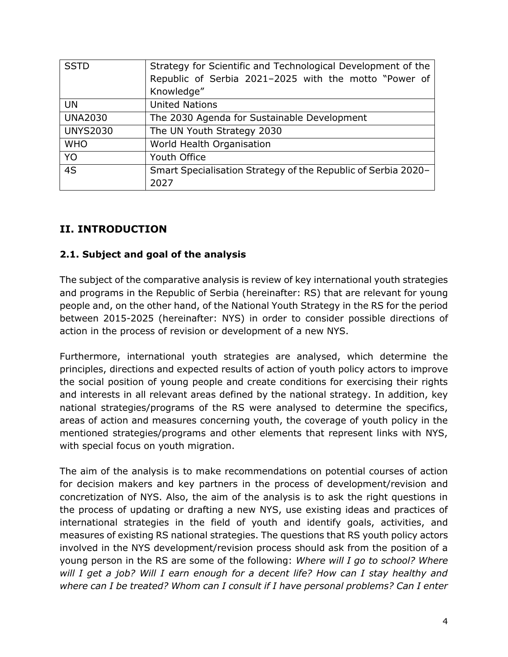| <b>SSTD</b>     | Strategy for Scientific and Technological Development of the  |
|-----------------|---------------------------------------------------------------|
|                 | Republic of Serbia 2021-2025 with the motto "Power of         |
|                 | Knowledge"                                                    |
| <b>UN</b>       | <b>United Nations</b>                                         |
| <b>UNA2030</b>  | The 2030 Agenda for Sustainable Development                   |
| <b>UNYS2030</b> | The UN Youth Strategy 2030                                    |
| <b>WHO</b>      | World Health Organisation                                     |
| YO              | Youth Office                                                  |
| 4S              | Smart Specialisation Strategy of the Republic of Serbia 2020- |
|                 | 2027                                                          |

## <span id="page-3-0"></span>**II. INTRODUCTION**

#### **2.1. Subject and goal of the analysis**

The subject of the comparative analysis is review of key international youth strategies and programs in the Republic of Serbia (hereinafter: RS) that are relevant for young people and, on the other hand, of the National Youth Strategy in the RS for the period between 2015-2025 (hereinafter: NYS) in order to consider possible directions of action in the process of revision or development of a new NYS.

Furthermore, international youth strategies are analysed, which determine the principles, directions and expected results of action of youth policy actors to improve the social position of young people and create conditions for exercising their rights and interests in all relevant areas defined by the national strategy. In addition, key national strategies/programs of the RS were analysed to determine the specifics, areas of action and measures concerning youth, the coverage of youth policy in the mentioned strategies/programs and other elements that represent links with NYS, with special focus on youth migration.

The aim of the analysis is to make recommendations on potential courses of action for decision makers and key partners in the process of development/revision and concretization of NYS. Also, the aim of the analysis is to ask the right questions in the process of updating or drafting a new NYS, use existing ideas and practices of international strategies in the field of youth and identify goals, activities, and measures of existing RS national strategies. The questions that RS youth policy actors involved in the NYS development/revision process should ask from the position of a young person in the RS are some of the following: *Where will I go to school? Where will I get a job? Will I earn enough for a decent life? How can I stay healthy and where can I be treated? Whom can I consult if I have personal problems? Can I enter*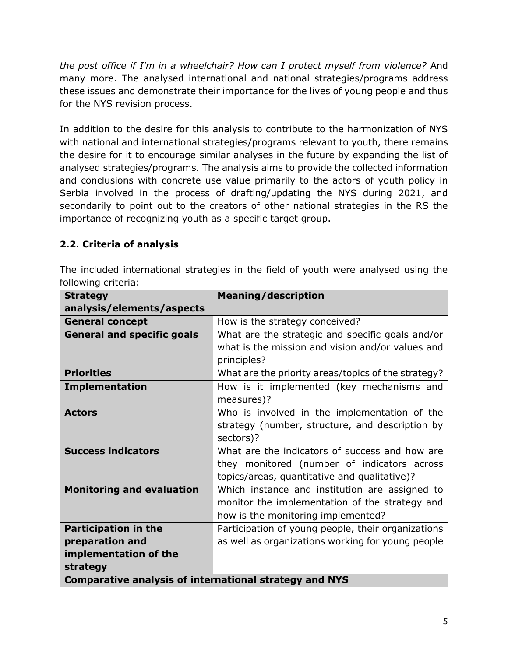*the post office if I'm in a wheelchair? How can I protect myself from violence?* And many more. The analysed international and national strategies/programs address these issues and demonstrate their importance for the lives of young people and thus for the NYS revision process.

In addition to the desire for this analysis to contribute to the harmonization of NYS with national and international strategies/programs relevant to youth, there remains the desire for it to encourage similar analyses in the future by expanding the list of analysed strategies/programs. The analysis aims to provide the collected information and conclusions with concrete use value primarily to the actors of youth policy in Serbia involved in the process of drafting/updating the NYS during 2021, and secondarily to point out to the creators of other national strategies in the RS the importance of recognizing youth as a specific target group.

## **2.2. Criteria of analysis**

The included international strategies in the field of youth were analysed using the following criteria:

| <b>Strategy</b>                                               | <b>Meaning/description</b>                          |
|---------------------------------------------------------------|-----------------------------------------------------|
| analysis/elements/aspects                                     |                                                     |
| <b>General concept</b>                                        | How is the strategy conceived?                      |
| <b>General and specific goals</b>                             | What are the strategic and specific goals and/or    |
|                                                               | what is the mission and vision and/or values and    |
|                                                               | principles?                                         |
| <b>Priorities</b>                                             | What are the priority areas/topics of the strategy? |
| <b>Implementation</b>                                         | How is it implemented (key mechanisms and           |
|                                                               | measures)?                                          |
| <b>Actors</b>                                                 | Who is involved in the implementation of the        |
|                                                               | strategy (number, structure, and description by     |
|                                                               | sectors)?                                           |
| <b>Success indicators</b>                                     | What are the indicators of success and how are      |
|                                                               | they monitored (number of indicators across         |
|                                                               | topics/areas, quantitative and qualitative)?        |
| <b>Monitoring and evaluation</b>                              | Which instance and institution are assigned to      |
|                                                               | monitor the implementation of the strategy and      |
|                                                               | how is the monitoring implemented?                  |
| <b>Participation in the</b>                                   | Participation of young people, their organizations  |
| preparation and                                               | as well as organizations working for young people   |
| implementation of the                                         |                                                     |
| strategy                                                      |                                                     |
| <b>Comparative analysis of international strategy and NYS</b> |                                                     |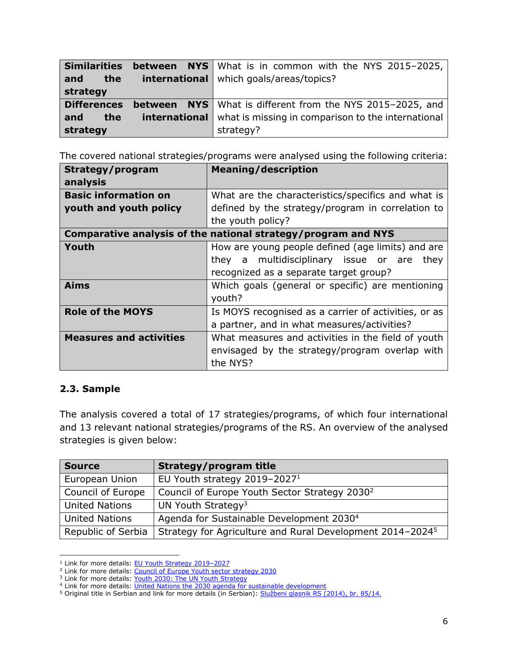| <b>Similarities</b> | <b>between</b> NYS What is in common with the NYS 2015-2025,            |
|---------------------|-------------------------------------------------------------------------|
| the<br>and          | <b>international</b>   which goals/areas/topics?                        |
| strategy            |                                                                         |
| <b>Differences</b>  | <b>between</b> NYS What is different from the NYS 2015-2025, and        |
| and<br>the          | <b>international</b> what is missing in comparison to the international |
| strategy            | strategy?                                                               |

The covered national strategies/programs were analysed using the following criteria:

| Strategy/program                                              | <b>Meaning/description</b>                           |
|---------------------------------------------------------------|------------------------------------------------------|
| analysis                                                      |                                                      |
| <b>Basic information on</b>                                   | What are the characteristics/specifics and what is   |
| youth and youth policy                                        | defined by the strategy/program in correlation to    |
|                                                               | the youth policy?                                    |
| Comparative analysis of the national strategy/program and NYS |                                                      |
| Youth                                                         | How are young people defined (age limits) and are    |
|                                                               | they a multidisciplinary issue or are<br>they        |
|                                                               | recognized as a separate target group?               |
| <b>Aims</b>                                                   | Which goals (general or specific) are mentioning     |
|                                                               | youth?                                               |
| <b>Role of the MOYS</b>                                       | Is MOYS recognised as a carrier of activities, or as |
|                                                               | a partner, and in what measures/activities?          |
| <b>Measures and activities</b>                                | What measures and activities in the field of youth   |
|                                                               | envisaged by the strategy/program overlap with       |
|                                                               | the NYS?                                             |

#### **2.3. Sample**

The analysis covered a total of 17 strategies/programs, of which four international and 13 relevant national strategies/programs of the RS. An overview of the analysed strategies is given below:

| <b>Source</b>         | <b>Strategy/program title</b>                                         |
|-----------------------|-----------------------------------------------------------------------|
| European Union        | EU Youth strategy 2019-2027 <sup>1</sup>                              |
| Council of Europe     | Council of Europe Youth Sector Strategy 2030 <sup>2</sup>             |
| <b>United Nations</b> | UN Youth Strategy <sup>3</sup>                                        |
| <b>United Nations</b> | Agenda for Sustainable Development 2030 <sup>4</sup>                  |
| Republic of Serbia    | Strategy for Agriculture and Rural Development 2014-2024 <sup>5</sup> |

<sup>&</sup>lt;sup>1</sup> Link for more details: **EU Youth Strategy 2019-2027** 

<sup>&</sup>lt;sup>2</sup> Link for more details[: Council of Europe Youth sector strategy 2030](https://rm.coe.int/0900001680998935)

<sup>&</sup>lt;sup>3</sup> Link for more details[: Youth 2030: The UN Youth Strategy](https://www.un.org/youthenvoy/wp-content/uploads/2018/09/18-00080_UN-Youth-Strategy_Web.pdf)

<sup>&</sup>lt;sup>4</sup> Link for more details: *United Nations the 2030 agenda for sustainable development* 

<sup>5</sup> Original title in Serbian and link for more details (in Serbian): [Službeni glasnik RS \(2014\), br. 85/14.](https://www.srbija.gov.rs/extfile/sr/226494/strategija_poljoprivreda_ruralni_razvoj037_lat.zip)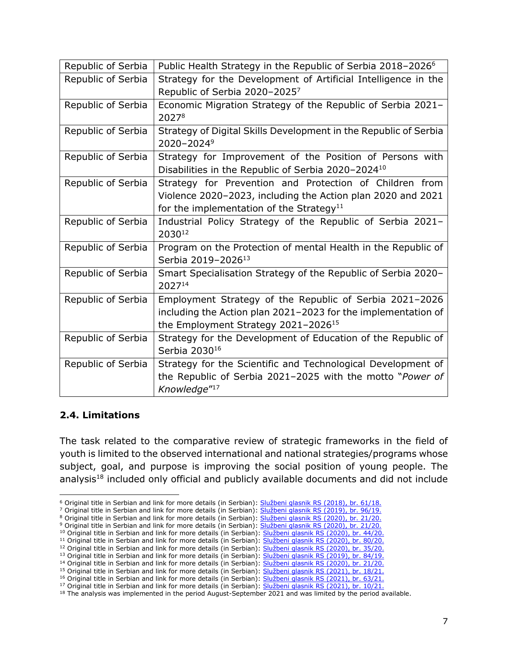| Republic of Serbia | Public Health Strategy in the Republic of Serbia 2018-2026 <sup>6</sup> |
|--------------------|-------------------------------------------------------------------------|
| Republic of Serbia | Strategy for the Development of Artificial Intelligence in the          |
|                    | Republic of Serbia 2020-20257                                           |
| Republic of Serbia | Economic Migration Strategy of the Republic of Serbia 2021-             |
|                    | 20278                                                                   |
| Republic of Serbia | Strategy of Digital Skills Development in the Republic of Serbia        |
|                    | 2020-2024 <sup>9</sup>                                                  |
| Republic of Serbia | Strategy for Improvement of the Position of Persons with                |
|                    | Disabilities in the Republic of Serbia 2020-2024 <sup>10</sup>          |
| Republic of Serbia | Strategy for Prevention and Protection of Children from                 |
|                    | Violence 2020-2023, including the Action plan 2020 and 2021             |
|                    | for the implementation of the Strategy <sup>11</sup>                    |
| Republic of Serbia | Industrial Policy Strategy of the Republic of Serbia 2021-              |
|                    | 203012                                                                  |
| Republic of Serbia | Program on the Protection of mental Health in the Republic of           |
|                    | Serbia 2019-2026 <sup>13</sup>                                          |
| Republic of Serbia | Smart Specialisation Strategy of the Republic of Serbia 2020-           |
|                    | 202714                                                                  |
| Republic of Serbia | Employment Strategy of the Republic of Serbia 2021-2026                 |
|                    | including the Action plan 2021-2023 for the implementation of           |
|                    | the Employment Strategy 2021-2026 <sup>15</sup>                         |
| Republic of Serbia | Strategy for the Development of Education of the Republic of            |
|                    | Serbia 2030 <sup>16</sup>                                               |
| Republic of Serbia | Strategy for the Scientific and Technological Development of            |
|                    | the Republic of Serbia 2021-2025 with the motto "Power of               |
|                    | Knowledge" <sup>17</sup>                                                |

#### **2.4. Limitations**

The task related to the comparative review of strategic frameworks in the field of youth is limited to the observed international and national strategies/programs whose subject, goal, and purpose is improving the social position of young people. The analysis<sup>18</sup> included only official and publicly available documents and did not include

<sup>&</sup>lt;sup>6</sup> Original title in Serbian and link for more details (in Serbian): [Službeni glasnik RS \(2018\), br. 61/18.](https://www.srbija.gov.rs/extfile/sr/327934/strategija_javno_zdravlje086_cyr.zip)

<sup>7</sup> Original title in Serbian and link for more details (in Serbian): [Službeni glasnik RS \(2019\), br. 96/19.](https://www.srbija.gov.rs/extfile/sr/436899/strategija_vestacka_inteligencija204_lat2.zip)

<sup>8</sup> Original title in Serbian and link for more details (in Serbian): [Službeni glasnik RS \(2020\), br.](https://www.srbija.gov.rs/extfile/sr/447684/strategija_ekonomske_migracije215_lat2.zip) 21/20.

<sup>9</sup> Original title in Serbian and link for more details (in Serbian): [Službeni glasnik RS \(2020\), br. 21/20.](https://www.srbija.gov.rs/extfile/sr/448248/strategija-razvoja-digitalnih-vestina-RS-2020-24-0215-lat.zip) <sup>10</sup> Original title in Serbian and link for more details (in Serbian): [Službeni glasnik RS \(2020\), br. 44/20.](https://www.srbija.gov.rs/extfile/sr/535155/ap-strategija-unapredjenje-polozaja-osoba-sa-invaliditetom2020-2024-period-2021-2022-0046-lat.zip)

<sup>&</sup>lt;sup>11</sup> Original title in Serbian and link for more details (in Serbian): [Službeni glasnik RS \(2020\), br. 80/20.](https://www.srbija.gov.rs/extfile/sr/468498/strategija-za-sprecavanje-nasilja-nad-decom0257_lat2.zip)

<sup>12</sup> Original title in Serbian and link for more details (in Serbian): [Službeni glasnik RS \(2020\), br. 35/20.](https://www.srbija.gov.rs/extfile/sr/450291/strategija_industrijske_politike216_lat2.zip)

<sup>&</sup>lt;sup>13</sup> Original title in Serbian and link for more details (in Serbian): [Službeni glasnik RS \(2019\), br. 84/19.](https://www.srbija.gov.rs/extfile/sr/428994/program_mentalno_zdravlje192_cyr4.zip)

<sup>14</sup> Original title in Serbian and link for more details (in Serbian): [Službeni glasnik RS \(2020\), br. 21/20.](https://www.srbija.gov.rs/extfile/sr/539181/akcioni-plan-2021-2022-strategije-pametne-specijalizacije-RS-2020-2027_lat.zip)

<sup>&</sup>lt;sup>15</sup> Original title in Serbian and link for more details (in Serbian): [Službeni glasnik RS \(2021\), br. 18/21.](https://www.srbija.gov.rs/extfile/sr/534621/strategija_zaposljavanja2021-26_034_cyr4.zip)

<sup>&</sup>lt;sup>16</sup> Original title in Serbian and link for more details (in Serbian): [Službeni glasnik RS \(2021\), br. 63/21.](https://www.srbija.gov.rs/extfile/sr/552504/strategija-razvoj-obrazovanja-srbija-2030-0061-lat.zip)

<sup>&</sup>lt;sup>17</sup> Original title in Serbian and link for more details (in Serbian): **[Službeni glasnik RS \(2021\), br. 10/21.](https://www.srbija.gov.rs/extfile/sr/517512/strategija_moc-znanja029_cyr4.zip)** 

<sup>&</sup>lt;sup>18</sup> The analysis was implemented in the period August-September 2021 and was limited by the period available.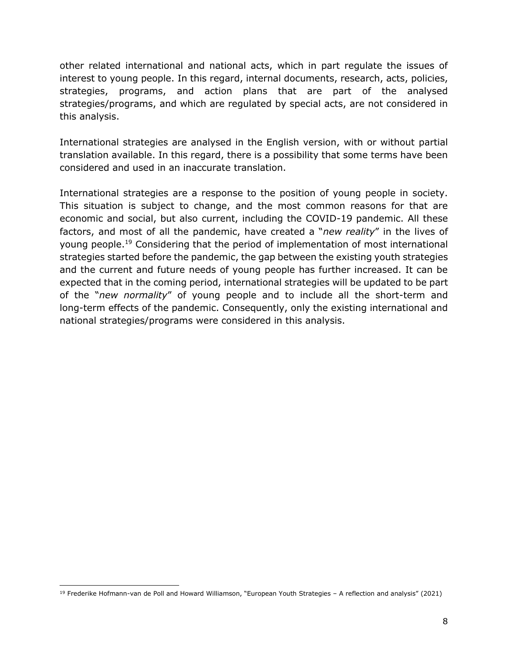other related international and national acts, which in part regulate the issues of interest to young people. In this regard, internal documents, research, acts, policies, strategies, programs, and action plans that are part of the analysed strategies/programs, and which are regulated by special acts, are not considered in this analysis.

International strategies are analysed in the English version, with or without partial translation available. In this regard, there is a possibility that some terms have been considered and used in an inaccurate translation.

International strategies are a response to the position of young people in society. This situation is subject to change, and the most common reasons for that are economic and social, but also current, including the COVID-19 pandemic. All these factors, and most of all the pandemic, have created a "*new reality*" in the lives of young people.<sup>19</sup> Considering that the period of implementation of most international strategies started before the pandemic, the gap between the existing youth strategies and the current and future needs of young people has further increased. It can be expected that in the coming period, international strategies will be updated to be part of the "*new normality*" of young people and to include all the short-term and long-term effects of the pandemic. Consequently, only the existing international and national strategies/programs were considered in this analysis.

 $19$  Frederike Hofmann-van de Poll and Howard Williamson, "European Youth Strategies - A reflection and analysis" (2021)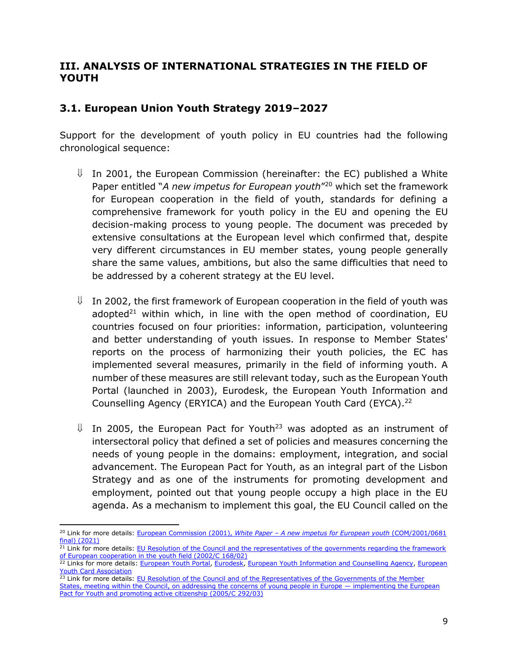## <span id="page-8-0"></span>**III. ANALYSIS OF INTERNATIONAL STRATEGIES IN THE FIELD OF YOUTH**

## <span id="page-8-1"></span>**3.1. European Union Youth Strategy 2019–2027**

Support for the development of youth policy in EU countries had the following chronological sequence:

- $\parallel$  In 2001, the European Commission (hereinafter: the EC) published a White Paper entitled "*A new impetus for European youth*" <sup>20</sup> which set the framework for European cooperation in the field of youth, standards for defining a comprehensive framework for youth policy in the EU and opening the EU decision-making process to young people. The document was preceded by extensive consultations at the European level which confirmed that, despite very different circumstances in EU member states, young people generally share the same values, ambitions, but also the same difficulties that need to be addressed by a coherent strategy at the EU level.
- $\parallel$  In 2002, the first framework of European cooperation in the field of youth was adopted<sup>21</sup> within which, in line with the open method of coordination, EU countries focused on four priorities: information, participation, volunteering and better understanding of youth issues. In response to Member States' reports on the process of harmonizing their youth policies, the EC has implemented several measures, primarily in the field of informing youth. A number of these measures are still relevant today, such as the European Youth Portal (launched in 2003), Eurodesk, the European Youth Information and Counselling Agency (ERYICA) and the European Youth Card (EYCA). 22
- $\parallel$  In 2005, the European Pact for Youth<sup>23</sup> was adopted as an instrument of intersectoral policy that defined a set of policies and measures concerning the needs of young people in the domains: employment, integration, and social advancement. The European Pact for Youth, as an integral part of the Lisbon Strategy and as one of the instruments for promoting development and employment, pointed out that young people occupy a high place in the EU agenda. As a mechanism to implement this goal, the EU Council called on the

<sup>20</sup> Link for more details: European Commission (2001), *White Paper – [A new impetus for European youth](https://eur-lex.europa.eu/legal-content/EN/TXT/PDF/?uri=CELEX:52001DC0681&from=EN)* (COM/2001/0681 [final\) \(2021\)](https://eur-lex.europa.eu/legal-content/EN/TXT/PDF/?uri=CELEX:52001DC0681&from=EN)

<sup>&</sup>lt;sup>21</sup> Link for more details: EU Resolution of the Council and the representatives of the governments regarding the framework [of European cooperation in the youth field \(2002/C 168/02\)](https://eur-lex.europa.eu/legal-content/EN/TXT%20/PDF/?uri=OJ:C:2002:168:FULL&from=EN)

<sup>&</sup>lt;sup>22</sup> Links for more details: [European Youth Portal,](https://europa.eu/youth/home_en) [Eurodesk,](https://eurodesk.eu/) [European Youth Information and Counselling Agency,](https://www.eryica.org/) European [Youth Card Association](https://www.eyca.org/)

<sup>&</sup>lt;sup>23</sup> Link for more details: EU Resolution of the Council and of the Representatives of the Governments of the Member

[States, meeting within the Council, on addressing the concerns of young people in Europe](https://eur-lex.europa.eu/legal-content/EN/TXT/PDF/?uri=CELEX:42005X1124(03)&qid=1620472790291&from=EN%20(accessed%2031%20May%202021).) — implementing the European [Pact for Youth and promoting active citizenship \(2005/C 292/03\)](https://eur-lex.europa.eu/legal-content/EN/TXT/PDF/?uri=CELEX:42005X1124(03)&qid=1620472790291&from=EN%20(accessed%2031%20May%202021).)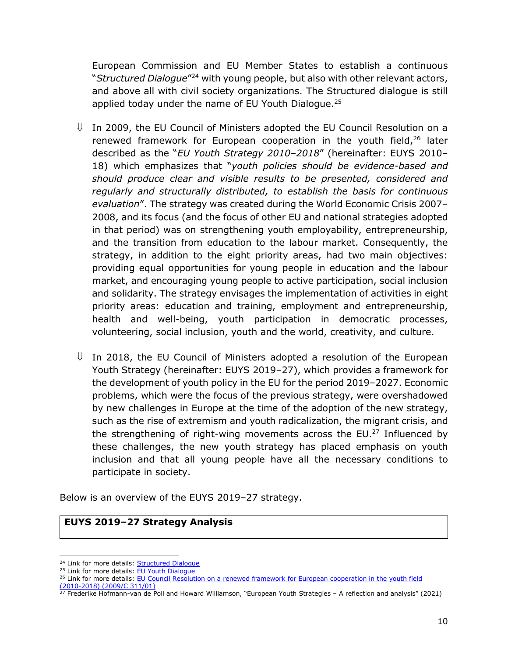European Commission and EU Member States to establish a continuous "*Structured Dialogue*" <sup>24</sup> with young people, but also with other relevant actors, and above all with civil society organizations. The Structured dialogue is still applied today under the name of EU Youth Dialogue.<sup>25</sup>

- $\parallel$  In 2009, the EU Council of Ministers adopted the EU Council Resolution on a renewed framework for European cooperation in the youth field, $26$  later described as the "*EU Youth Strategy 2010–2018*" (hereinafter: EUYS 2010– 18) which emphasizes that "*youth policies should be evidence-based and should produce clear and visible results to be presented, considered and regularly and structurally distributed, to establish the basis for continuous evaluation*". The strategy was created during the World Economic Crisis 2007– 2008, and its focus (and the focus of other EU and national strategies adopted in that period) was on strengthening youth employability, entrepreneurship, and the transition from education to the labour market. Consequently, the strategy, in addition to the eight priority areas, had two main objectives: providing equal opportunities for young people in education and the labour market, and encouraging young people to active participation, social inclusion and solidarity. The strategy envisages the implementation of activities in eight priority areas: education and training, employment and entrepreneurship, health and well-being, youth participation in democratic processes, volunteering, social inclusion, youth and the world, creativity, and culture.
- $\downarrow$  In 2018, the EU Council of Ministers adopted a resolution of the European Youth Strategy (hereinafter: EUYS 2019–27), which provides a framework for the development of youth policy in the EU for the period 2019–2027. Economic problems, which were the focus of the previous strategy, were overshadowed by new challenges in Europe at the time of the adoption of the new strategy, such as the rise of extremism and youth radicalization, the migrant crisis, and the strengthening of right-wing movements across the EU.<sup>27</sup> Influenced by these challenges, the new youth strategy has placed emphasis on youth inclusion and that all young people have all the necessary conditions to participate in society.

Below is an overview of the EUYS 2019–27 strategy.

#### **EUYS 2019–27 Strategy Analysis**

<sup>&</sup>lt;sup>24</sup> Link for more details: [Structured Dialogue](https://dijalog.rs/)

<sup>&</sup>lt;sup>25</sup> Link for more details: **EU Youth Dialogue** 

<sup>&</sup>lt;sup>26</sup> Link for more details: EU Council Resolution on a renewed framework for European cooperation in the youth field [\(2010-2018\) \(2009/C 311/01\)](https://eur-lex.europa.eu/legal-content/EN/TXT/PDF/?uri=CELEX:32009G1219(01)%20&qid=1620472947400&from=EN)

 $27$  Frederike Hofmann-van de Poll and Howard Williamson, "European Youth Strategies - A reflection and analysis" (2021)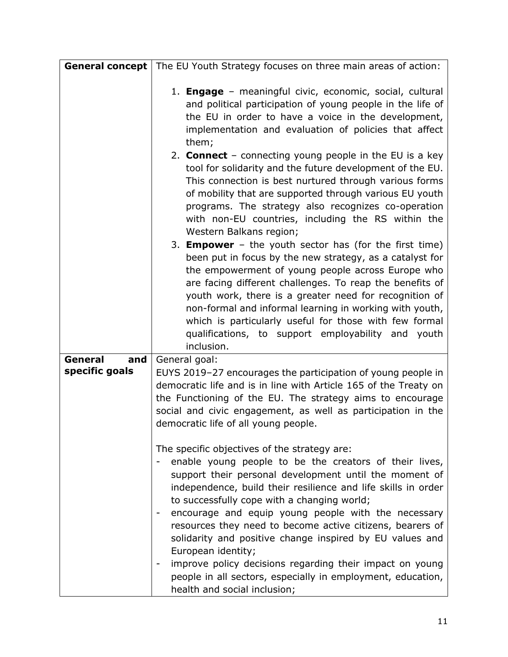|                                  | <b>General concept</b>   The EU Youth Strategy focuses on three main areas of action:                                                                                                                                                                                                                                                                                                                                                                                                            |
|----------------------------------|--------------------------------------------------------------------------------------------------------------------------------------------------------------------------------------------------------------------------------------------------------------------------------------------------------------------------------------------------------------------------------------------------------------------------------------------------------------------------------------------------|
|                                  | 1. <b>Engage</b> – meaningful civic, economic, social, cultural<br>and political participation of young people in the life of<br>the EU in order to have a voice in the development,<br>implementation and evaluation of policies that affect<br>them;                                                                                                                                                                                                                                           |
|                                  | 2. <b>Connect</b> – connecting young people in the EU is a key<br>tool for solidarity and the future development of the EU.<br>This connection is best nurtured through various forms<br>of mobility that are supported through various EU youth<br>programs. The strategy also recognizes co-operation<br>with non-EU countries, including the RS within the<br>Western Balkans region;                                                                                                         |
|                                  | 3. <b>Empower</b> - the youth sector has (for the first time)<br>been put in focus by the new strategy, as a catalyst for<br>the empowerment of young people across Europe who<br>are facing different challenges. To reap the benefits of<br>youth work, there is a greater need for recognition of<br>non-formal and informal learning in working with youth,<br>which is particularly useful for those with few formal<br>qualifications, to support employability and<br>youth<br>inclusion. |
| General<br>and<br>specific goals | General goal:<br>EUYS 2019-27 encourages the participation of young people in<br>democratic life and is in line with Article 165 of the Treaty on<br>the Functioning of the EU. The strategy aims to encourage<br>social and civic engagement, as well as participation in the<br>democratic life of all young people.<br>The specific objectives of the strategy are:<br>enable young people to be the creators of their lives,<br>support their personal development until the moment of       |
|                                  | independence, build their resilience and life skills in order<br>to successfully cope with a changing world;<br>encourage and equip young people with the necessary<br>resources they need to become active citizens, bearers of<br>solidarity and positive change inspired by EU values and<br>European identity;<br>improve policy decisions regarding their impact on young<br>people in all sectors, especially in employment, education,<br>health and social inclusion;                    |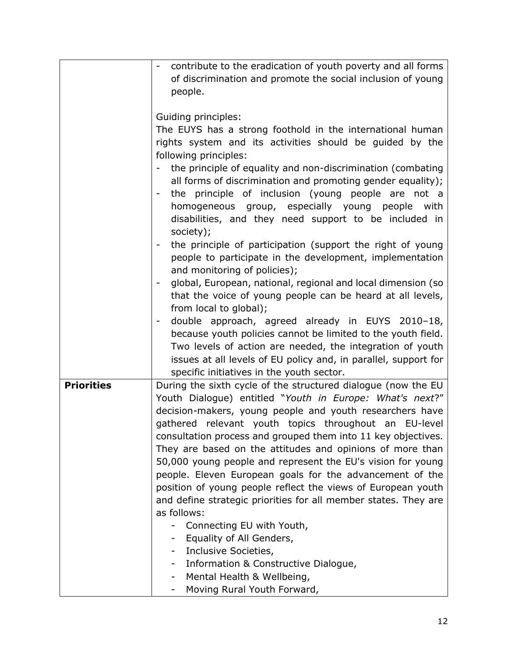| contribute to the eradication of youth poverty and all forms    |
|-----------------------------------------------------------------|
| of discrimination and promote the social inclusion of young     |
| people.                                                         |
|                                                                 |
| Guiding principles:                                             |
| The EUYS has a strong foothold in the international human       |
| rights system and its activities should be guided by the        |
| following principles:                                           |
|                                                                 |
| the principle of equality and non-discrimination (combating     |
| all forms of discrimination and promoting gender equality);     |
| the principle of inclusion (young people are not a              |
| homogeneous group, especially young people with                 |
| disabilities, and they need support to be included in           |
| society);                                                       |
| the principle of participation (support the right of young      |
| people to participate in the development, implementation        |
| and monitoring of policies);                                    |
| global, European, national, regional and local dimension (so    |
| that the voice of young people can be heard at all levels,      |
| from local to global);                                          |
| double approach, agreed already in EUYS 2010-18,                |
| because youth policies cannot be limited to the youth field.    |
| Two levels of action are needed, the integration of youth       |
| issues at all levels of EU policy and, in parallel, support for |
| specific initiatives in the youth sector.                       |
| During the sixth cycle of the structured dialogue (now the EU   |
| Youth Dialogue) entitled "Youth in Europe: What's next?"        |
|                                                                 |
| decision-makers, young people and youth researchers have        |
| gathered relevant youth topics throughout an EU-level           |
| consultation process and grouped them into 11 key objectives.   |
| They are based on the attitudes and opinions of more than       |
| 50,000 young people and represent the EU's vision for young     |
| people. Eleven European goals for the advancement of the        |
| position of young people reflect the views of European youth    |
| and define strategic priorities for all member states. They are |
| as follows:                                                     |
| Connecting EU with Youth,                                       |
| - Equality of All Genders,                                      |
| Inclusive Societies,<br>$\sim$                                  |
| Information & Constructive Dialogue,                            |
|                                                                 |
| Mental Health & Wellbeing,                                      |
|                                                                 |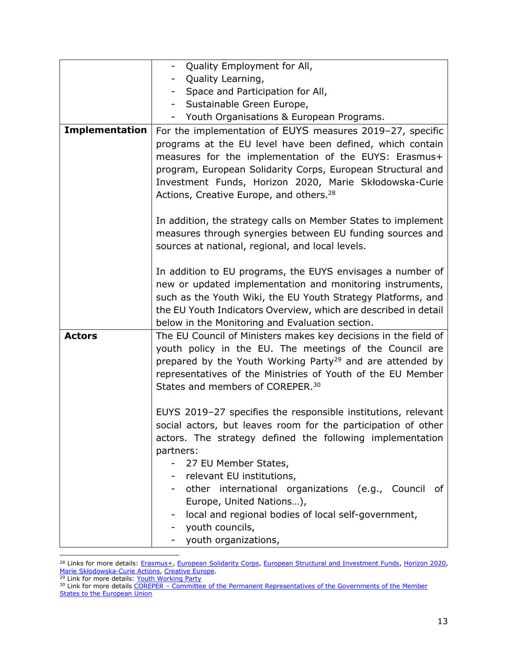|                       | Quality Employment for All,<br>$ \,$                                                                                                                                                                                                                                                                               |
|-----------------------|--------------------------------------------------------------------------------------------------------------------------------------------------------------------------------------------------------------------------------------------------------------------------------------------------------------------|
|                       | Quality Learning,                                                                                                                                                                                                                                                                                                  |
|                       | Space and Participation for All,<br>$\overline{\phantom{0}}$                                                                                                                                                                                                                                                       |
|                       | Sustainable Green Europe,                                                                                                                                                                                                                                                                                          |
|                       | Youth Organisations & European Programs.<br>$\sim$                                                                                                                                                                                                                                                                 |
| <b>Implementation</b> | For the implementation of EUYS measures 2019-27, specific                                                                                                                                                                                                                                                          |
|                       | programs at the EU level have been defined, which contain<br>measures for the implementation of the EUYS: Erasmus+<br>program, European Solidarity Corps, European Structural and<br>Investment Funds, Horizon 2020, Marie Skłodowska-Curie<br>Actions, Creative Europe, and others. <sup>28</sup>                 |
|                       | In addition, the strategy calls on Member States to implement<br>measures through synergies between EU funding sources and<br>sources at national, regional, and local levels.                                                                                                                                     |
|                       | In addition to EU programs, the EUYS envisages a number of<br>new or updated implementation and monitoring instruments,<br>such as the Youth Wiki, the EU Youth Strategy Platforms, and<br>the EU Youth Indicators Overview, which are described in detail<br>below in the Monitoring and Evaluation section.      |
| <b>Actors</b>         | The EU Council of Ministers makes key decisions in the field of<br>youth policy in the EU. The meetings of the Council are<br>prepared by the Youth Working Party <sup>29</sup> and are attended by<br>representatives of the Ministries of Youth of the EU Member<br>States and members of COREPER. <sup>30</sup> |
|                       | EUYS 2019-27 specifies the responsible institutions, relevant<br>social actors, but leaves room for the participation of other<br>actors. The strategy defined the following implementation<br>partners:<br>27 EU Member States,                                                                                   |
|                       | - relevant EU institutions,                                                                                                                                                                                                                                                                                        |
|                       | - other international organizations (e.g., Council<br>0f                                                                                                                                                                                                                                                           |
|                       | Europe, United Nations),                                                                                                                                                                                                                                                                                           |
|                       | local and regional bodies of local self-government,                                                                                                                                                                                                                                                                |
|                       | youth councils,                                                                                                                                                                                                                                                                                                    |
|                       | youth organizations,                                                                                                                                                                                                                                                                                               |

<sup>&</sup>lt;sup>28</sup> Links for more details: [Erasmus+,](https://ec.europa.eu/programmes/erasmus-plus/node_en) [European Solidarity Corps,](https://europa.eu/youth/solidarity_en) [European Structural and Investment Funds,](https://ec.europa.eu/info/funding-tenders/funding-opportunities/funding-programmes/overview-funding-programmes/european-structural-and-investment-funds_en) [Horizon 2020,](https://ec.europa.eu/programmes/horizon2020/en/home) [Marie Skłodowska](https://ec.europa.eu/research/mariecurieactions/)-Curie Actions, [Creative Europe.](https://ec.europa.eu/culture/creative-europe)

<sup>&</sup>lt;sup>29</sup> Link for more details: [Youth Working Party](https://www.consilium.europa.eu/en/council-eu/preparatory-bodies/youth-working-party/)

<sup>&</sup>lt;sup>30</sup> Link for more details COREPER – Committee of the Permanent Representatives of the Governments of the Member **[States to the European Union](https://www.consilium.europa.eu/en/council-eu/preparatory-bodies/coreper-ii/)**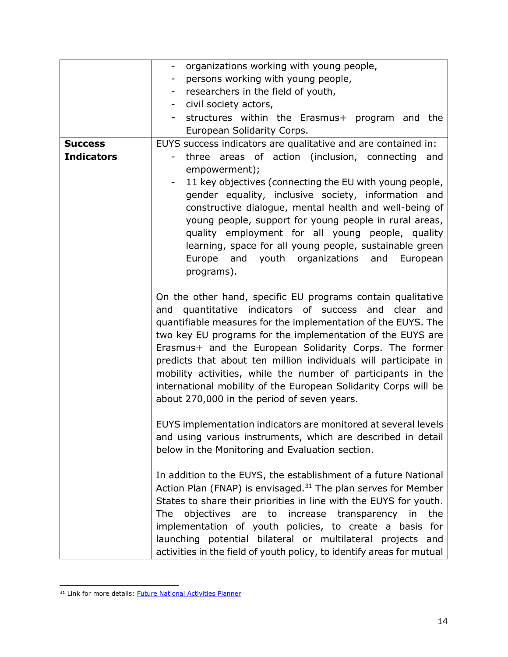|                   | organizations working with young people,<br>-                             |
|-------------------|---------------------------------------------------------------------------|
|                   | persons working with young people,                                        |
|                   | researchers in the field of youth,<br>$\overline{\phantom{a}}$            |
|                   | civil society actors,<br>-                                                |
|                   | structures within the Erasmus+ program and the                            |
|                   | European Solidarity Corps.                                                |
| <b>Success</b>    | EUYS success indicators are qualitative and are contained in:             |
| <b>Indicators</b> | three areas of action (inclusion, connecting<br>and                       |
|                   | empowerment);                                                             |
|                   | 11 key objectives (connecting the EU with young people,                   |
|                   | gender equality, inclusive society, information and                       |
|                   | constructive dialogue, mental health and well-being of                    |
|                   | young people, support for young people in rural areas,                    |
|                   | quality employment for all young people, quality                          |
|                   | learning, space for all young people, sustainable green                   |
|                   | and youth organizations and<br>Europe<br>European                         |
|                   | programs).                                                                |
|                   |                                                                           |
|                   | On the other hand, specific EU programs contain qualitative               |
|                   | quantitative indicators of success and clear and<br>and                   |
|                   | quantifiable measures for the implementation of the EUYS. The             |
|                   | two key EU programs for the implementation of the EUYS are                |
|                   | Erasmus+ and the European Solidarity Corps. The former                    |
|                   | predicts that about ten million individuals will participate in           |
|                   | mobility activities, while the number of participants in the              |
|                   | international mobility of the European Solidarity Corps will be           |
|                   | about 270,000 in the period of seven years.                               |
|                   |                                                                           |
|                   | EUYS implementation indicators are monitored at several levels            |
|                   | and using various instruments, which are described in detail              |
|                   | below in the Monitoring and Evaluation section.                           |
|                   |                                                                           |
|                   | In addition to the EUYS, the establishment of a future National           |
|                   | Action Plan (FNAP) is envisaged. <sup>31</sup> The plan serves for Member |
|                   | States to share their priorities in line with the EUYS for youth.         |
|                   | are                                                                       |
|                   | The<br>objectives<br>to<br>increase transparency<br>the<br>in             |
|                   | implementation of youth policies, to create a basis for                   |
|                   | launching potential bilateral or multilateral projects and                |
|                   | activities in the field of youth policy, to identify areas for mutual     |

<sup>&</sup>lt;sup>31</sup> Link for more details: **Future National Activities Planner**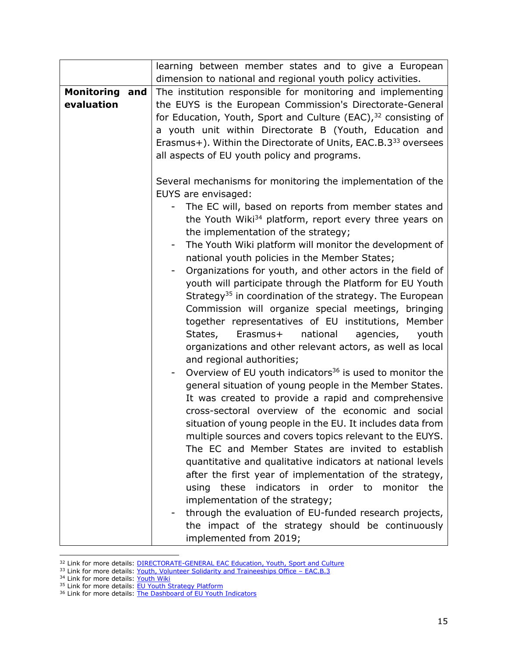|                                     | learning between member states and to give a European                                                                                                                                                                                                                                                                                                                                                                                                                                                                                                                                                                                                                                                                                                                                    |
|-------------------------------------|------------------------------------------------------------------------------------------------------------------------------------------------------------------------------------------------------------------------------------------------------------------------------------------------------------------------------------------------------------------------------------------------------------------------------------------------------------------------------------------------------------------------------------------------------------------------------------------------------------------------------------------------------------------------------------------------------------------------------------------------------------------------------------------|
|                                     | dimension to national and regional youth policy activities.                                                                                                                                                                                                                                                                                                                                                                                                                                                                                                                                                                                                                                                                                                                              |
| <b>Monitoring and</b><br>evaluation | The institution responsible for monitoring and implementing<br>the EUYS is the European Commission's Directorate-General<br>for Education, Youth, Sport and Culture (EAC), <sup>32</sup> consisting of<br>a youth unit within Directorate B (Youth, Education and<br>Erasmus+). Within the Directorate of Units, EAC.B.3 <sup>33</sup> oversees<br>all aspects of EU youth policy and programs.                                                                                                                                                                                                                                                                                                                                                                                          |
|                                     | Several mechanisms for monitoring the implementation of the<br>EUYS are envisaged:<br>The EC will, based on reports from member states and<br>the Youth Wiki <sup>34</sup> platform, report every three years on                                                                                                                                                                                                                                                                                                                                                                                                                                                                                                                                                                         |
|                                     | the implementation of the strategy;<br>The Youth Wiki platform will monitor the development of<br>$\blacksquare$<br>national youth policies in the Member States;<br>Organizations for youth, and other actors in the field of<br>youth will participate through the Platform for EU Youth<br>Strategy <sup>35</sup> in coordination of the strategy. The European<br>Commission will organize special meetings, bringing<br>together representatives of EU institutions, Member<br>national<br>States,<br>Erasmus+<br>agencies,<br>youth<br>organizations and other relevant actors, as well as local<br>and regional authorities;                                                                                                                                                      |
|                                     | Overview of EU youth indicators <sup>36</sup> is used to monitor the<br>general situation of young people in the Member States.<br>It was created to provide a rapid and comprehensive<br>cross-sectoral overview of the economic and social<br>situation of young people in the EU. It includes data from<br>multiple sources and covers topics relevant to the EUYS.<br>The EC and Member States are invited to establish<br>quantitative and qualitative indicators at national levels<br>after the first year of implementation of the strategy,<br>these<br>indicators in order to monitor the<br>using<br>implementation of the strategy;<br>through the evaluation of EU-funded research projects,<br>the impact of the strategy should be continuously<br>implemented from 2019; |

<sup>&</sup>lt;sup>32</sup> Link for more details: **DIRECTORATE-GENERAL EAC Education, Youth, Sport and Culture** 

<sup>&</sup>lt;sup>33</sup> Link for more details: [Youth, Volunteer Solidarity and Traineeships Office](https://op.europa.eu/en/web/who-is-who/organization/-/organization/EAC/COM_CRF_243787) - EAC.B.3

<sup>&</sup>lt;sup>34</sup> Link for more details: [Youth Wiki](https://national-policies.eacea.ec.europa.eu/)

<sup>&</sup>lt;sup>35</sup> Link for more details: **EU Youth Strategy Platform** 

<sup>&</sup>lt;sup>36</sup> Link for more details: [The Dashboard of EU Youth Indicators](https://ec.europa.eu/eurostat/web/youth/data/eu-dashboard)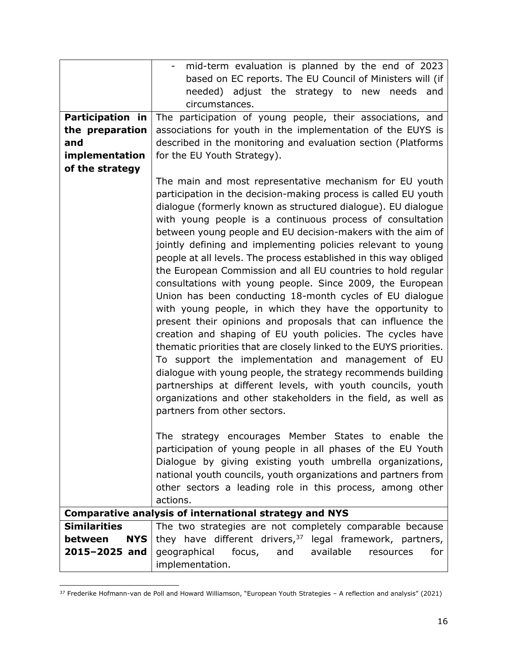|                         | mid-term evaluation is planned by the end of 2023                                                                                                                                                                                                                                                                                                                                                                                                                                                                                                                                                                                                                            |
|-------------------------|------------------------------------------------------------------------------------------------------------------------------------------------------------------------------------------------------------------------------------------------------------------------------------------------------------------------------------------------------------------------------------------------------------------------------------------------------------------------------------------------------------------------------------------------------------------------------------------------------------------------------------------------------------------------------|
|                         | based on EC reports. The EU Council of Ministers will (if                                                                                                                                                                                                                                                                                                                                                                                                                                                                                                                                                                                                                    |
|                         | needed) adjust the strategy to new needs<br>and                                                                                                                                                                                                                                                                                                                                                                                                                                                                                                                                                                                                                              |
|                         | circumstances.                                                                                                                                                                                                                                                                                                                                                                                                                                                                                                                                                                                                                                                               |
| <b>Participation in</b> | The participation of young people, their associations, and                                                                                                                                                                                                                                                                                                                                                                                                                                                                                                                                                                                                                   |
| the preparation         | associations for youth in the implementation of the EUYS is                                                                                                                                                                                                                                                                                                                                                                                                                                                                                                                                                                                                                  |
| and                     | described in the monitoring and evaluation section (Platforms                                                                                                                                                                                                                                                                                                                                                                                                                                                                                                                                                                                                                |
| implementation          | for the EU Youth Strategy).                                                                                                                                                                                                                                                                                                                                                                                                                                                                                                                                                                                                                                                  |
| of the strategy         |                                                                                                                                                                                                                                                                                                                                                                                                                                                                                                                                                                                                                                                                              |
|                         | The main and most representative mechanism for EU youth<br>participation in the decision-making process is called EU youth<br>dialogue (formerly known as structured dialogue). EU dialogue<br>with young people is a continuous process of consultation<br>between young people and EU decision-makers with the aim of<br>jointly defining and implementing policies relevant to young<br>people at all levels. The process established in this way obliged<br>the European Commission and all EU countries to hold regular                                                                                                                                                 |
|                         | consultations with young people. Since 2009, the European<br>Union has been conducting 18-month cycles of EU dialogue<br>with young people, in which they have the opportunity to<br>present their opinions and proposals that can influence the<br>creation and shaping of EU youth policies. The cycles have<br>thematic priorities that are closely linked to the EUYS priorities.<br>To support the implementation and management of EU<br>dialogue with young people, the strategy recommends building<br>partnerships at different levels, with youth councils, youth<br>organizations and other stakeholders in the field, as well as<br>partners from other sectors. |
|                         | The strategy encourages Member States to enable the<br>participation of young people in all phases of the EU Youth<br>Dialogue by giving existing youth umbrella organizations,<br>national youth councils, youth organizations and partners from<br>other sectors a leading role in this process, among other<br>actions.                                                                                                                                                                                                                                                                                                                                                   |
|                         | <b>Comparative analysis of international strategy and NYS</b>                                                                                                                                                                                                                                                                                                                                                                                                                                                                                                                                                                                                                |
| <b>Similarities</b>     | The two strategies are not completely comparable because                                                                                                                                                                                                                                                                                                                                                                                                                                                                                                                                                                                                                     |
| <b>NYS</b><br>between   | they have different drivers, <sup>37</sup> legal framework, partners,                                                                                                                                                                                                                                                                                                                                                                                                                                                                                                                                                                                                        |
| 2015-2025 and           | geographical<br>focus,<br>available<br>for<br>and<br>resources                                                                                                                                                                                                                                                                                                                                                                                                                                                                                                                                                                                                               |
|                         | implementation.                                                                                                                                                                                                                                                                                                                                                                                                                                                                                                                                                                                                                                                              |

<sup>37</sup> Frederike Hofmann-van de Poll and Howard Williamson, "European Youth Strategies – A reflection and analysis" (2021)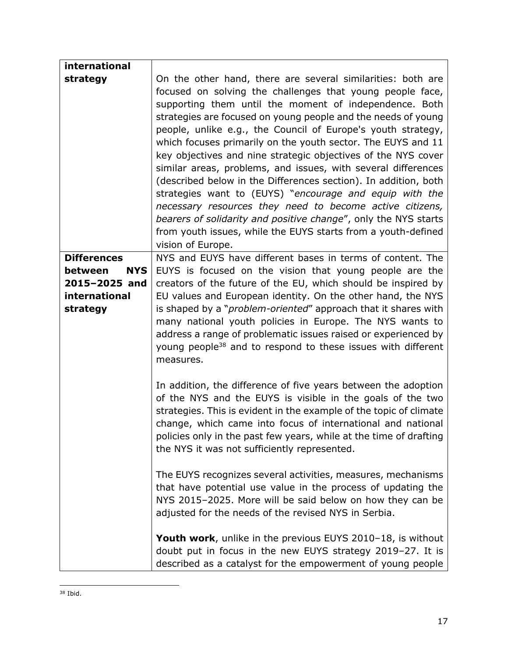| international                  |                                                                                                                                                                                                                                                                                                                                                                                                                                                                                                                                                                                                                                                                                                                                                                                                                                                                          |
|--------------------------------|--------------------------------------------------------------------------------------------------------------------------------------------------------------------------------------------------------------------------------------------------------------------------------------------------------------------------------------------------------------------------------------------------------------------------------------------------------------------------------------------------------------------------------------------------------------------------------------------------------------------------------------------------------------------------------------------------------------------------------------------------------------------------------------------------------------------------------------------------------------------------|
| strategy                       | On the other hand, there are several similarities: both are<br>focused on solving the challenges that young people face,<br>supporting them until the moment of independence. Both<br>strategies are focused on young people and the needs of young<br>people, unlike e.g., the Council of Europe's youth strategy,<br>which focuses primarily on the youth sector. The EUYS and 11<br>key objectives and nine strategic objectives of the NYS cover<br>similar areas, problems, and issues, with several differences<br>(described below in the Differences section). In addition, both<br>strategies want to (EUYS) "encourage and equip with the<br>necessary resources they need to become active citizens,<br>bearers of solidarity and positive change", only the NYS starts<br>from youth issues, while the EUYS starts from a youth-defined<br>vision of Europe. |
| <b>Differences</b>             | NYS and EUYS have different bases in terms of content. The                                                                                                                                                                                                                                                                                                                                                                                                                                                                                                                                                                                                                                                                                                                                                                                                               |
| between<br><b>NYS</b>          | EUYS is focused on the vision that young people are the                                                                                                                                                                                                                                                                                                                                                                                                                                                                                                                                                                                                                                                                                                                                                                                                                  |
| 2015-2025 and<br>international | creators of the future of the EU, which should be inspired by                                                                                                                                                                                                                                                                                                                                                                                                                                                                                                                                                                                                                                                                                                                                                                                                            |
| strategy                       | EU values and European identity. On the other hand, the NYS<br>is shaped by a " <i>problem-oriented"</i> approach that it shares with                                                                                                                                                                                                                                                                                                                                                                                                                                                                                                                                                                                                                                                                                                                                    |
|                                | many national youth policies in Europe. The NYS wants to<br>address a range of problematic issues raised or experienced by<br>young people <sup>38</sup> and to respond to these issues with different<br>measures.                                                                                                                                                                                                                                                                                                                                                                                                                                                                                                                                                                                                                                                      |
|                                | In addition, the difference of five years between the adoption<br>of the NYS and the EUYS is visible in the goals of the two<br>strategies. This is evident in the example of the topic of climate<br>change, which came into focus of international and national<br>policies only in the past few years, while at the time of drafting<br>the NYS it was not sufficiently represented.                                                                                                                                                                                                                                                                                                                                                                                                                                                                                  |
|                                | The EUYS recognizes several activities, measures, mechanisms<br>that have potential use value in the process of updating the<br>NYS 2015-2025. More will be said below on how they can be<br>adjusted for the needs of the revised NYS in Serbia.                                                                                                                                                                                                                                                                                                                                                                                                                                                                                                                                                                                                                        |
|                                | Youth work, unlike in the previous EUYS 2010-18, is without<br>doubt put in focus in the new EUYS strategy 2019-27. It is<br>described as a catalyst for the empowerment of young people                                                                                                                                                                                                                                                                                                                                                                                                                                                                                                                                                                                                                                                                                 |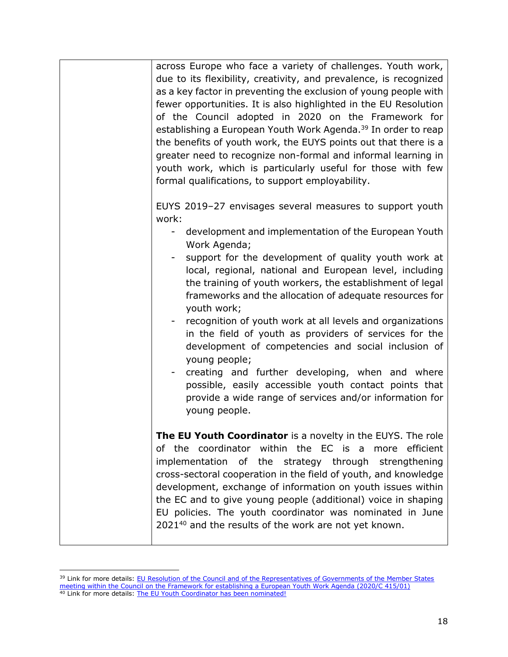| across Europe who face a variety of challenges. Youth work,<br>due to its flexibility, creativity, and prevalence, is recognized<br>as a key factor in preventing the exclusion of young people with<br>fewer opportunities. It is also highlighted in the EU Resolution<br>of the Council adopted in 2020 on the Framework for<br>establishing a European Youth Work Agenda. <sup>39</sup> In order to reap<br>the benefits of youth work, the EUYS points out that there is a<br>greater need to recognize non-formal and informal learning in<br>youth work, which is particularly useful for those with few<br>formal qualifications, to support employability.                                                                                                                        |
|--------------------------------------------------------------------------------------------------------------------------------------------------------------------------------------------------------------------------------------------------------------------------------------------------------------------------------------------------------------------------------------------------------------------------------------------------------------------------------------------------------------------------------------------------------------------------------------------------------------------------------------------------------------------------------------------------------------------------------------------------------------------------------------------|
| EUYS 2019-27 envisages several measures to support youth<br>work:<br>development and implementation of the European Youth<br>Work Agenda;<br>support for the development of quality youth work at<br>local, regional, national and European level, including<br>the training of youth workers, the establishment of legal<br>frameworks and the allocation of adequate resources for<br>youth work;<br>recognition of youth work at all levels and organizations<br>in the field of youth as providers of services for the<br>development of competencies and social inclusion of<br>young people;<br>creating and further developing, when and where<br>possible, easily accessible youth contact points that<br>provide a wide range of services and/or information for<br>young people. |
| The EU Youth Coordinator is a novelty in the EUYS. The role<br>of the coordinator within the EC is a more efficient<br>implementation of the strategy through<br>strengthening<br>cross-sectoral cooperation in the field of youth, and knowledge<br>development, exchange of information on youth issues within<br>the EC and to give young people (additional) voice in shaping<br>EU policies. The youth coordinator was nominated in June<br>2021 <sup>40</sup> and the results of the work are not yet known.                                                                                                                                                                                                                                                                         |

<sup>&</sup>lt;sup>39</sup> Link for more details: EU Resolution of the Council and of the Representatives of Governments of the Member States [meeting within the Council on the Framework for establishing a European Youth Work Agenda \(2020/C 415/01\)](https://eur-lex.europa.eu/legal-content/EN/TXT/PDF/?uri=uriserv:OJ.C_.2020.415.01.0001.01.ENG) <sup>40</sup> Link for more details: [The EU Youth Coordinator has been nominated!](https://europa.eu/youth/news/eu-youth-coordinator-has-been-nominated_en)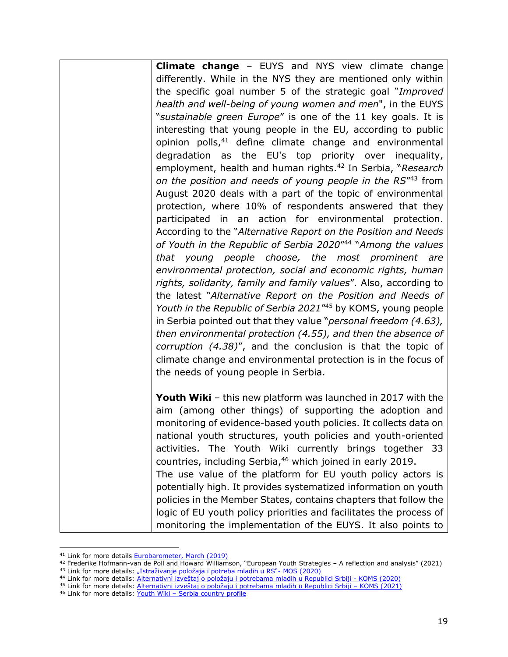**Climate change** – EUYS and NYS view climate change differently. While in the NYS they are mentioned only within the specific goal number 5 of the strategic goal "*Improved health and well-being of young women and men*", in the EUYS "*sustainable green Europe*" is one of the 11 key goals. It is interesting that young people in the EU, according to public opinion polls,<sup>41</sup> define climate change and environmental degradation as the EU's top priority over inequality, employment, health and human rights.<sup>42</sup> In Serbia, "*Research on the position and needs of young people in the RS*" <sup>43</sup> from August 2020 deals with a part of the topic of environmental protection, where 10% of respondents answered that they participated in an action for environmental protection. According to the "*Alternative Report on the Position and Needs of Youth in the Republic of Serbia 2020*" 44 "*Among the values that young people choose, the most prominent are environmental protection, social and economic rights, human rights, solidarity, family and family values*"*.* Also, according to the latest "*Alternative Report on the Position and Needs of Youth in the Republic of Serbia 2021*" <sup>45</sup> by KOMS, young people in Serbia pointed out that they value "*personal freedom (4.63), then environmental protection (4.55), and then the absence of corruption (4.38)*", and the conclusion is that the topic of climate change and environmental protection is in the focus of the needs of young people in Serbia.

**Youth Wiki** – this new platform was launched in 2017 with the aim (among other things) of supporting the adoption and monitoring of evidence-based youth policies. It collects data on national youth structures, youth policies and youth-oriented activities. The Youth Wiki currently brings together 33 countries, including Serbia, <sup>46</sup> which joined in early 2019. The use value of the platform for EU youth policy actors is potentially high. It provides systematized information on youth policies in the Member States, contains chapters that follow the logic of EU youth policy priorities and facilitates the process of monitoring the implementation of the EUYS. It also points to

<sup>&</sup>lt;sup>41</sup> Link for more details **Eurobarometer**, March (2019)

<sup>42</sup> Frederike Hofmann-van de Poll and Howard Williamson, "European Youth Strategies – A reflection and analysis" (2021)

<sup>&</sup>lt;sup>43</sup> Link for more details: ["Istraživanje položaja i potreba mladih u RS"](https://www.mos.gov.rs/public/documents/upload/sport/inspekcija/Istrazivanje%20polozaja%20i%20potreba%20mladih%20u%20Srbiji%202020.pdf)- MOS (2020)

<sup>44</sup> Link for more details: [Alternativni izveštaj o položaju i potrebama mladih u Republici Srbiji](https://koms.rs/wp-content/uploads/2020/09/Alternativni-izves%CC%8Ctaj-o-poloz%CC%8Caju-i-potrebama-mladih-u-RS-2020.pdf) - KOMS (2020)

<sup>45</sup> Link for more details: [Alternativni izveštaj o položaju i potrebama mladih u Republici Srbiji –](https://koms.rs/wp-content/uploads/2021/08/Alternativni-izvestaj-o-polozaju-mladih-2021-4.pdf) KOMS (2021)

<sup>46</sup> Link for more details: Youth Wiki - [Serbia country profile](https://national-policies.eacea.ec.europa.eu/youthwiki/chapters/serbia/overview)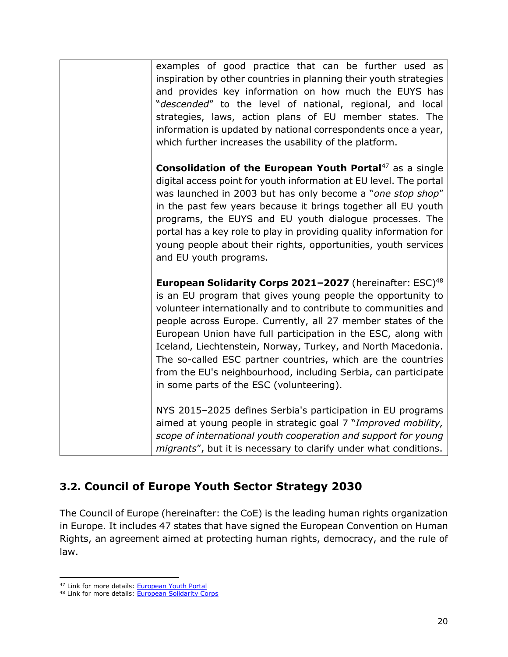| examples of good practice that can be further used as<br>inspiration by other countries in planning their youth strategies<br>and provides key information on how much the EUYS has<br>"descended" to the level of national, regional, and local<br>strategies, laws, action plans of EU member states. The<br>information is updated by national correspondents once a year,<br>which further increases the usability of the platform.                                                                                                                                                     |
|---------------------------------------------------------------------------------------------------------------------------------------------------------------------------------------------------------------------------------------------------------------------------------------------------------------------------------------------------------------------------------------------------------------------------------------------------------------------------------------------------------------------------------------------------------------------------------------------|
| <b>Consolidation of the European Youth Portal</b> <sup>47</sup> as a single<br>digital access point for youth information at EU level. The portal<br>was launched in 2003 but has only become a "one stop shop"<br>in the past few years because it brings together all EU youth<br>programs, the EUYS and EU youth dialogue processes. The<br>portal has a key role to play in providing quality information for<br>young people about their rights, opportunities, youth services<br>and EU youth programs.                                                                               |
| <b>European Solidarity Corps 2021-2027</b> (hereinafter: ESC) <sup>48</sup><br>is an EU program that gives young people the opportunity to<br>volunteer internationally and to contribute to communities and<br>people across Europe. Currently, all 27 member states of the<br>European Union have full participation in the ESC, along with<br>Iceland, Liechtenstein, Norway, Turkey, and North Macedonia.<br>The so-called ESC partner countries, which are the countries<br>from the EU's neighbourhood, including Serbia, can participate<br>in some parts of the ESC (volunteering). |
| NYS 2015-2025 defines Serbia's participation in EU programs<br>aimed at young people in strategic goal 7 "Improved mobility,<br>scope of international youth cooperation and support for young<br>migrants", but it is necessary to clarify under what conditions.                                                                                                                                                                                                                                                                                                                          |

## <span id="page-19-0"></span>**3.2. Council of Europe Youth Sector Strategy 2030**

The Council of Europe (hereinafter: the CoE) is the leading human rights organization in Europe. It includes 47 states that have signed the European Convention on Human Rights, an agreement aimed at protecting human rights, democracy, and the rule of law.

<sup>47</sup> Link for more details: **European Youth Portal** 

<sup>48</sup> Link for more details: [European Solidarity Corps](https://europa.eu/youth/home_en)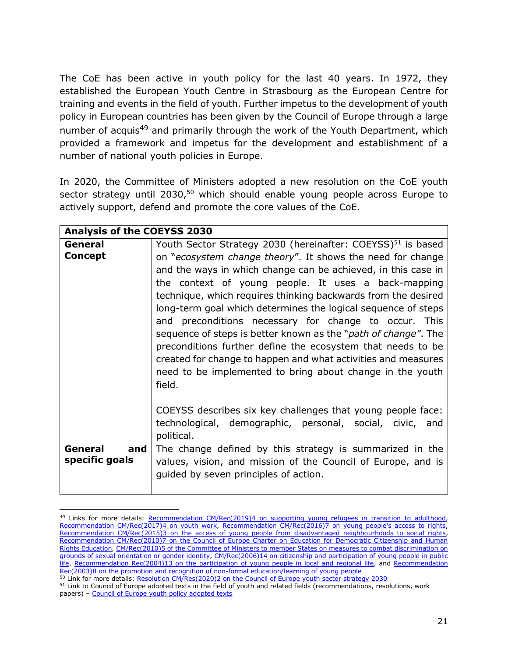The CoE has been active in youth policy for the last 40 years. In 1972, they established the European Youth Centre in Strasbourg as the European Centre for training and events in the field of youth. Further impetus to the development of youth policy in European countries has been given by the Council of Europe through a large number of acquis<sup>49</sup> and primarily through the work of the Youth Department, which provided a framework and impetus for the development and establishment of a number of national youth policies in Europe.

In 2020, the Committee of Ministers adopted a new resolution on the CoE youth sector strategy until 2030,<sup>50</sup> which should enable young people across Europe to actively support, defend and promote the core values of the CoE.

|                                  | <b>Analysis of the COEYSS 2030</b>                                                                                                                                                                                                                                                                                                                                                                                                                                                                                                                                                                                                                                                                                                         |  |
|----------------------------------|--------------------------------------------------------------------------------------------------------------------------------------------------------------------------------------------------------------------------------------------------------------------------------------------------------------------------------------------------------------------------------------------------------------------------------------------------------------------------------------------------------------------------------------------------------------------------------------------------------------------------------------------------------------------------------------------------------------------------------------------|--|
| General<br><b>Concept</b>        | Youth Sector Strategy 2030 (hereinafter: COEYSS) <sup>51</sup> is based<br>on "ecosystem change theory". It shows the need for change<br>and the ways in which change can be achieved, in this case in<br>the context of young people. It uses a back-mapping<br>technique, which requires thinking backwards from the desired<br>long-term goal which determines the logical sequence of steps<br>and preconditions necessary for change to occur. This<br>sequence of steps is better known as the " <i>path of change"</i> . The<br>preconditions further define the ecosystem that needs to be<br>created for change to happen and what activities and measures<br>need to be implemented to bring about change in the youth<br>field. |  |
|                                  | COEYSS describes six key challenges that young people face:<br>technological, demographic, personal, social, civic, and<br>political.                                                                                                                                                                                                                                                                                                                                                                                                                                                                                                                                                                                                      |  |
| General<br>and<br>specific goals | The change defined by this strategy is summarized in the<br>values, vision, and mission of the Council of Europe, and is<br>quided by seven principles of action.                                                                                                                                                                                                                                                                                                                                                                                                                                                                                                                                                                          |  |

<sup>&</sup>lt;sup>49</sup> Links for more details: Recommendation [CM/Rec\(2019\)4 on supporting young refugees in transition to adulthood,](https://rm.coe.int/recommendation-cm-2019-4-supporting-young-refugees-transition-adulthoo/168098e814) [Recommendation CM/Rec\(2017\)4 on youth work,](https://rm.coe.int/1680717e78) [Recommendation CM/Rec\(2016\)7 on young](https://rm.coe.int/1680702b6e) people's access to rights, [Recommendation CM/Rec\(2015\)3 on the access of young people from disadvantaged neighbourhoods to social rights,](https://rm.coe.int/168066671e) [Recommendation CM/Rec\(2010\)7 on the Council of Europe Charter on Education for Democratic Citizenship and Human](https://www.coe.int/en/web/edc/charter-on-education-for-democratic-citizenship-and-human-rights-education)  [Rights Education,](https://www.coe.int/en/web/edc/charter-on-education-for-democratic-citizenship-and-human-rights-education) [CM/Rec\(2010\)5 of the Committee of Ministers to member States on measures to combat discrimination on](https://search.coe.int/cm/Pages/result_details.aspx?ObjectID=09000016804d13ea)  [grounds of sexual orientation or gender identity,](https://search.coe.int/cm/Pages/result_details.aspx?ObjectID=09000016804d13ea) [CM/Rec\(2006\)14 on citizenship and participation of young people in public](https://search.coe.int/cm/Pages/result_details.aspx?ObjectId=09000016805b251a)  [life,](https://search.coe.int/cm/Pages/result_details.aspx?ObjectId=09000016805b251a) [Recommendation Rec\(2004\)13 on the participation of young people in local and regional life,](https://search.coe.int/cm/Pages/result_details.aspx?ObjectId=09000016805dbd33) and Recommendation [Rec\(2003\)8 on the promotion and recognition of non-formal education/learning of young people](https://search.coe.int/cm/Pages/result_details.aspx?ObjectId=09000016805e00a9)

<sup>50</sup> Link for more details: [Resolution CM/Res\(2020\)2 on the Council of Europe youth sector strategy 2030](https://rm.coe.int/0900001680998935)

<sup>&</sup>lt;sup>51</sup> Link to Council of Europe adopted texts in the field of youth and related fields (recommendations, resolutions, work papers) – [Council of Europe youth policy adopted texts](https://www.coe.int/en/web/youth/adopted-texts)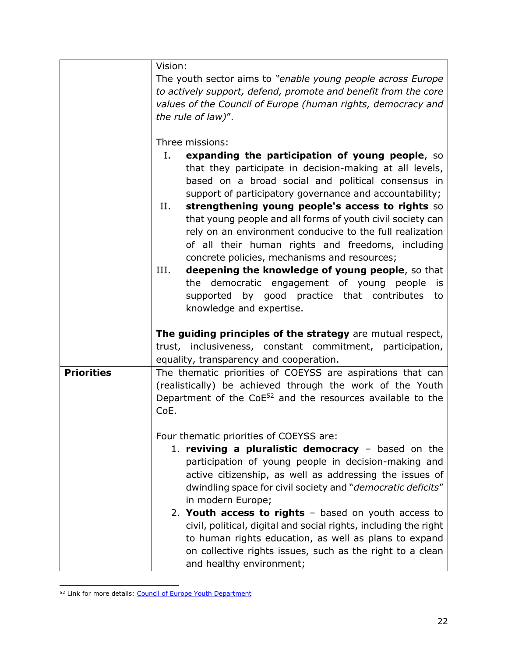|                   | Vision:<br>The youth sector aims to "enable young people across Europe<br>to actively support, defend, promote and benefit from the core<br>values of the Council of Europe (human rights, democracy and<br>the rule of law)".<br>Three missions:<br>Ι.<br>expanding the participation of young people, so<br>that they participate in decision-making at all levels,<br>based on a broad social and political consensus in<br>support of participatory governance and accountability;<br>strengthening young people's access to rights so<br>II.<br>that young people and all forms of youth civil society can<br>rely on an environment conducive to the full realization<br>of all their human rights and freedoms, including<br>concrete policies, mechanisms and resources; |
|-------------------|----------------------------------------------------------------------------------------------------------------------------------------------------------------------------------------------------------------------------------------------------------------------------------------------------------------------------------------------------------------------------------------------------------------------------------------------------------------------------------------------------------------------------------------------------------------------------------------------------------------------------------------------------------------------------------------------------------------------------------------------------------------------------------|
|                   | III.<br>deepening the knowledge of young people, so that<br>the democratic engagement of young people<br>is<br>supported by good practice that contributes<br>to<br>knowledge and expertise.                                                                                                                                                                                                                                                                                                                                                                                                                                                                                                                                                                                     |
|                   | The guiding principles of the strategy are mutual respect,<br>trust, inclusiveness, constant commitment, participation,<br>equality, transparency and cooperation.                                                                                                                                                                                                                                                                                                                                                                                                                                                                                                                                                                                                               |
| <b>Priorities</b> | The thematic priorities of COEYSS are aspirations that can<br>(realistically) be achieved through the work of the Youth<br>Department of the CoE <sup>52</sup> and the resources available to the<br>CoE.                                                                                                                                                                                                                                                                                                                                                                                                                                                                                                                                                                        |
|                   | Four thematic priorities of COEYSS are:<br>1. reviving a pluralistic democracy $-$ based on the<br>participation of young people in decision-making and<br>active citizenship, as well as addressing the issues of<br>dwindling space for civil society and "democratic deficits"<br>in modern Europe;<br>2. Youth access to rights $-$ based on youth access to<br>civil, political, digital and social rights, including the right<br>to human rights education, as well as plans to expand<br>on collective rights issues, such as the right to a clean<br>and healthy environment;                                                                                                                                                                                           |

<sup>52</sup> Link for more details: [Council of Europe Youth Department](https://www.coe.int/en/web/youth)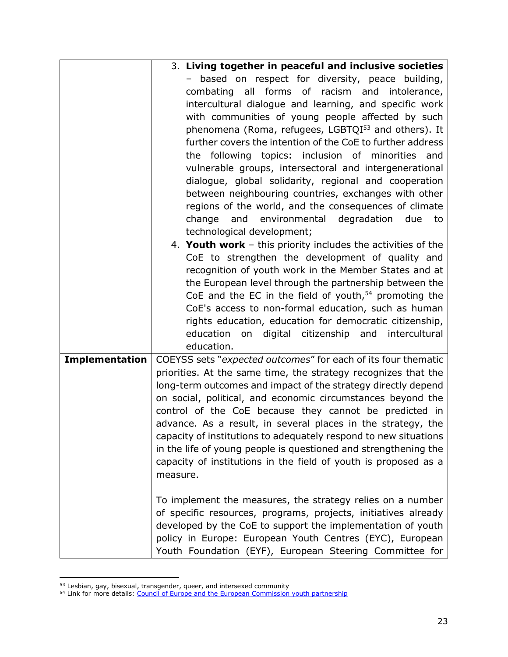|                       | 3. Living together in peaceful and inclusive societies                                                                                                                                                                                                                                                                                                                                                                                                                                                                                                                                                                                                                                                                                                                                                                                                                                                                                                                                                                                                                                                                                                                                                                            |
|-----------------------|-----------------------------------------------------------------------------------------------------------------------------------------------------------------------------------------------------------------------------------------------------------------------------------------------------------------------------------------------------------------------------------------------------------------------------------------------------------------------------------------------------------------------------------------------------------------------------------------------------------------------------------------------------------------------------------------------------------------------------------------------------------------------------------------------------------------------------------------------------------------------------------------------------------------------------------------------------------------------------------------------------------------------------------------------------------------------------------------------------------------------------------------------------------------------------------------------------------------------------------|
|                       | based on respect for diversity, peace building,<br>combating all forms of racism and intolerance,<br>intercultural dialogue and learning, and specific work<br>with communities of young people affected by such<br>phenomena (Roma, refugees, LGBTQI <sup>53</sup> and others). It<br>further covers the intention of the CoE to further address<br>the following topics: inclusion of minorities and<br>vulnerable groups, intersectoral and intergenerational<br>dialogue, global solidarity, regional and cooperation<br>between neighbouring countries, exchanges with other<br>regions of the world, and the consequences of climate<br>environmental degradation<br>and<br>due<br>change<br>to<br>technological development;<br>4. Youth work $-$ this priority includes the activities of the<br>CoE to strengthen the development of quality and<br>recognition of youth work in the Member States and at<br>the European level through the partnership between the<br>CoE and the EC in the field of youth, $54$ promoting the<br>CoE's access to non-formal education, such as human<br>rights education, education for democratic citizenship,<br>on digital citizenship and intercultural<br>education<br>education. |
| <b>Implementation</b> | COEYSS sets "expected outcomes" for each of its four thematic<br>priorities. At the same time, the strategy recognizes that the<br>long-term outcomes and impact of the strategy directly depend<br>on social, political, and economic circumstances beyond the<br>control of the CoE because they cannot be predicted in<br>advance. As a result, in several places in the strategy, the<br>capacity of institutions to adequately respond to new situations<br>in the life of young people is questioned and strengthening the<br>capacity of institutions in the field of youth is proposed as a<br>measure.<br>To implement the measures, the strategy relies on a number<br>of specific resources, programs, projects, initiatives already<br>developed by the CoE to support the implementation of youth<br>policy in Europe: European Youth Centres (EYC), European<br>Youth Foundation (EYF), European Steering Committee for                                                                                                                                                                                                                                                                                             |

<sup>&</sup>lt;sup>53</sup> Lesbian, gay, bisexual, transgender, queer, and intersexed community

<sup>&</sup>lt;sup>54</sup> Link for more details: [Council of Europe and the European Commission youth partnership](https://pjp-eu.coe.int/en/web/youth-partnership/about-us)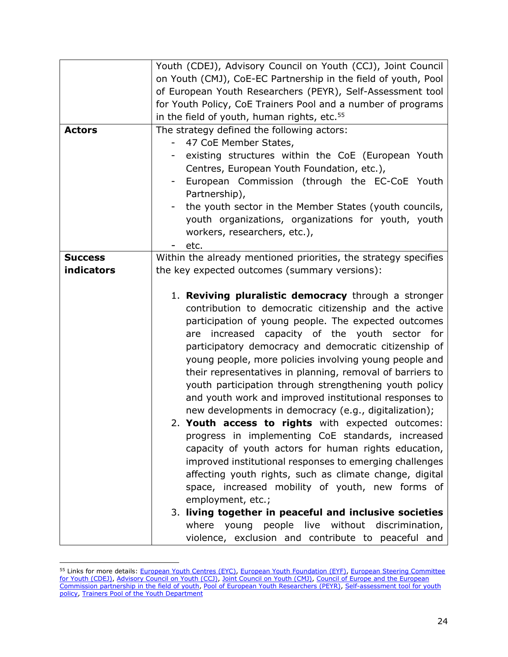|                | Youth (CDEJ), Advisory Council on Youth (CCJ), Joint Council    |
|----------------|-----------------------------------------------------------------|
|                | on Youth (CMJ), CoE-EC Partnership in the field of youth, Pool  |
|                | of European Youth Researchers (PEYR), Self-Assessment tool      |
|                | for Youth Policy, CoE Trainers Pool and a number of programs    |
|                | in the field of youth, human rights, etc. <sup>55</sup>         |
| <b>Actors</b>  | The strategy defined the following actors:                      |
|                | 47 CoE Member States,                                           |
|                | existing structures within the CoE (European Youth<br>Ξ.        |
|                | Centres, European Youth Foundation, etc.),                      |
|                | European Commission (through the EC-CoE Youth                   |
|                | Partnership),                                                   |
|                | the youth sector in the Member States (youth councils,          |
|                | youth organizations, organizations for youth, youth             |
|                | workers, researchers, etc.),                                    |
|                | etc.                                                            |
| <b>Success</b> | Within the already mentioned priorities, the strategy specifies |
| indicators     | the key expected outcomes (summary versions):                   |
|                |                                                                 |
|                | 1. Reviving pluralistic democracy through a stronger            |
|                | contribution to democratic citizenship and the active           |
|                | participation of young people. The expected outcomes            |
|                | are increased capacity of the youth sector for                  |
|                | participatory democracy and democratic citizenship of           |
|                | young people, more policies involving young people and          |
|                | their representatives in planning, removal of barriers to       |
|                | youth participation through strengthening youth policy          |
|                | and youth work and improved institutional responses to          |
|                | new developments in democracy (e.g., digitalization);           |
|                | 2. Youth access to rights with expected outcomes:               |
|                | progress in implementing CoE standards, increased               |
|                | capacity of youth actors for human rights education,            |
|                | improved institutional responses to emerging challenges         |
|                | affecting youth rights, such as climate change, digital         |
|                | space, increased mobility of youth, new forms of                |
|                | employment, etc.;                                               |
|                | 3. living together in peaceful and inclusive societies          |
|                | where young people live without discrimination,                 |
|                | violence, exclusion and contribute to peaceful and              |

<sup>&</sup>lt;sup>55</sup> Links for more details: [European Youth Centres \(EYC\),](https://www.coe.int/en/web/youth/mission-and-mandate) [European Youth Foundation \(EYF\),](https://www.coe.int/en/web/european-youth-foundation) European Steering Committee [for Youth \(CDEJ\),](https://www.coe.int/en/web/youth/cdej) [Advisory Council on Youth \(CCJ\),](https://www.coe.int/en/web/youth/advisory-council-on-youth) [Joint Council on Youth \(CMJ\),](https://www.coe.int/en/web/youth/joint-council-on-youth) [Council of Europe and the European](https://pjp-eu.coe.int/en/web/youth-partnership)  [Commission partnership in the field of youth,](https://pjp-eu.coe.int/en/web/youth-partnership) [Pool of European Youth Researchers \(PEYR\),](https://pjp-eu.coe.int/en/web/youth-partnership/peyr) [Self-assessment tool for youth](https://rm.coe.int/self-assessment-tool-for-youth-policy-english/16808d76c5)  [policy,](https://rm.coe.int/self-assessment-tool-for-youth-policy-english/16808d76c5) [Trainers Pool of the Youth Department](https://trainers-youthapplications.coe.int/)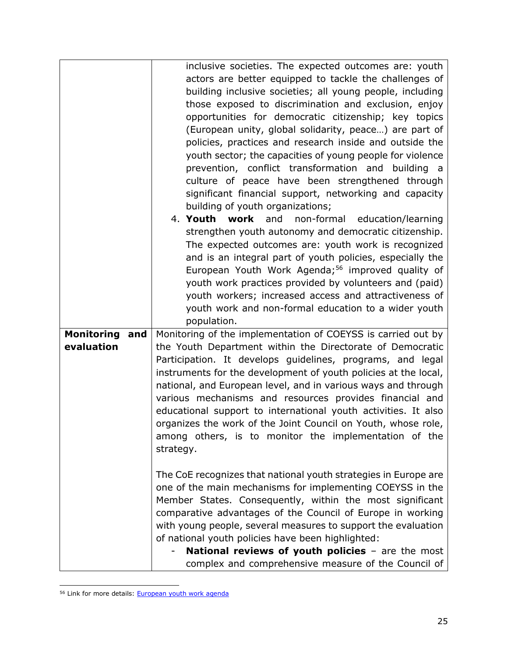|                          | inclusive societies. The expected outcomes are: youth                                                    |
|--------------------------|----------------------------------------------------------------------------------------------------------|
|                          | actors are better equipped to tackle the challenges of                                                   |
|                          | building inclusive societies; all young people, including                                                |
|                          | those exposed to discrimination and exclusion, enjoy                                                     |
|                          | opportunities for democratic citizenship; key topics                                                     |
|                          | (European unity, global solidarity, peace) are part of                                                   |
|                          | policies, practices and research inside and outside the                                                  |
|                          | youth sector; the capacities of young people for violence                                                |
|                          | prevention, conflict transformation and building a                                                       |
|                          | culture of peace have been strengthened through                                                          |
|                          | significant financial support, networking and capacity                                                   |
|                          | building of youth organizations;                                                                         |
|                          | 4. Youth work and<br>non-formal<br>education/learning                                                    |
|                          | strengthen youth autonomy and democratic citizenship.                                                    |
|                          | The expected outcomes are: youth work is recognized                                                      |
|                          | and is an integral part of youth policies, especially the                                                |
|                          | European Youth Work Agenda; <sup>56</sup> improved quality of                                            |
|                          | youth work practices provided by volunteers and (paid)                                                   |
|                          | youth workers; increased access and attractiveness of                                                    |
|                          | youth work and non-formal education to a wider youth                                                     |
|                          | population.                                                                                              |
| <b>Monitoring</b><br>and | Monitoring of the implementation of COEYSS is carried out by                                             |
| evaluation               | the Youth Department within the Directorate of Democratic                                                |
|                          | Participation. It develops guidelines, programs, and legal                                               |
|                          | instruments for the development of youth policies at the local,                                          |
|                          | national, and European level, and in various ways and through                                            |
|                          | various mechanisms and resources provides financial and                                                  |
|                          | educational support to international youth activities. It also                                           |
|                          | organizes the work of the Joint Council on Youth, whose role,                                            |
|                          |                                                                                                          |
|                          | among others, is to monitor the implementation of the                                                    |
|                          | strategy.                                                                                                |
|                          | The CoE recognizes that national youth strategies in Europe are                                          |
|                          | one of the main mechanisms for implementing COEYSS in the                                                |
|                          | Member States. Consequently, within the most significant                                                 |
|                          | comparative advantages of the Council of Europe in working                                               |
|                          | with young people, several measures to support the evaluation                                            |
|                          |                                                                                                          |
|                          |                                                                                                          |
|                          | of national youth policies have been highlighted:                                                        |
|                          | National reviews of youth policies - are the most<br>complex and comprehensive measure of the Council of |

<sup>&</sup>lt;sup>56</sup> Link for more details: **European youth work agenda**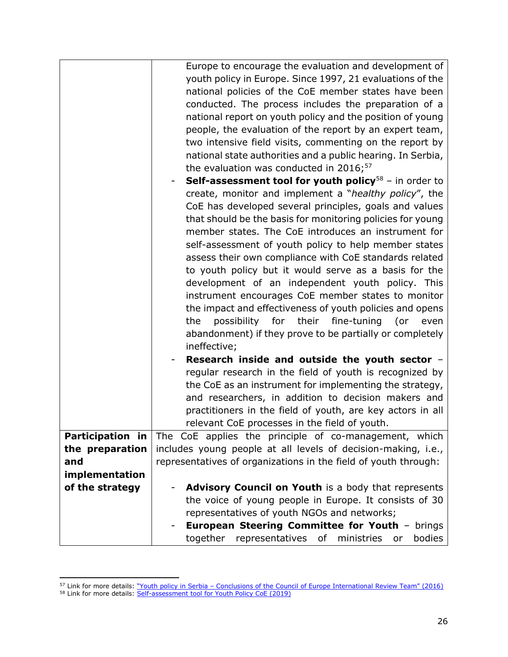|                  | Europe to encourage the evaluation and development of<br>youth policy in Europe. Since 1997, 21 evaluations of the<br>national policies of the CoE member states have been<br>conducted. The process includes the preparation of a<br>national report on youth policy and the position of young<br>people, the evaluation of the report by an expert team,<br>two intensive field visits, commenting on the report by<br>national state authorities and a public hearing. In Serbia,<br>the evaluation was conducted in 2016; <sup>57</sup><br><b>Self-assessment tool for youth policy</b> <sup>58</sup> - in order to<br>create, monitor and implement a "healthy policy", the<br>CoE has developed several principles, goals and values<br>that should be the basis for monitoring policies for young<br>member states. The CoE introduces an instrument for<br>self-assessment of youth policy to help member states<br>assess their own compliance with CoE standards related<br>to youth policy but it would serve as a basis for the<br>development of an independent youth policy. This<br>instrument encourages CoE member states to monitor<br>the impact and effectiveness of youth policies and opens<br>possibility for their fine-tuning (or<br>the<br>even<br>abandonment) if they prove to be partially or completely |
|------------------|---------------------------------------------------------------------------------------------------------------------------------------------------------------------------------------------------------------------------------------------------------------------------------------------------------------------------------------------------------------------------------------------------------------------------------------------------------------------------------------------------------------------------------------------------------------------------------------------------------------------------------------------------------------------------------------------------------------------------------------------------------------------------------------------------------------------------------------------------------------------------------------------------------------------------------------------------------------------------------------------------------------------------------------------------------------------------------------------------------------------------------------------------------------------------------------------------------------------------------------------------------------------------------------------------------------------------------------|
|                  | ineffective;                                                                                                                                                                                                                                                                                                                                                                                                                                                                                                                                                                                                                                                                                                                                                                                                                                                                                                                                                                                                                                                                                                                                                                                                                                                                                                                          |
|                  | Research inside and outside the youth sector -<br>regular research in the field of youth is recognized by<br>the CoE as an instrument for implementing the strategy,<br>and researchers, in addition to decision makers and<br>practitioners in the field of youth, are key actors in all<br>relevant CoE processes in the field of youth.                                                                                                                                                                                                                                                                                                                                                                                                                                                                                                                                                                                                                                                                                                                                                                                                                                                                                                                                                                                            |
| Participation in | The CoE applies the principle of co-management, which                                                                                                                                                                                                                                                                                                                                                                                                                                                                                                                                                                                                                                                                                                                                                                                                                                                                                                                                                                                                                                                                                                                                                                                                                                                                                 |
| the preparation  | includes young people at all levels of decision-making, i.e.,                                                                                                                                                                                                                                                                                                                                                                                                                                                                                                                                                                                                                                                                                                                                                                                                                                                                                                                                                                                                                                                                                                                                                                                                                                                                         |
| and              | representatives of organizations in the field of youth through:                                                                                                                                                                                                                                                                                                                                                                                                                                                                                                                                                                                                                                                                                                                                                                                                                                                                                                                                                                                                                                                                                                                                                                                                                                                                       |
| implementation   |                                                                                                                                                                                                                                                                                                                                                                                                                                                                                                                                                                                                                                                                                                                                                                                                                                                                                                                                                                                                                                                                                                                                                                                                                                                                                                                                       |
| of the strategy  | Advisory Council on Youth is a body that represents                                                                                                                                                                                                                                                                                                                                                                                                                                                                                                                                                                                                                                                                                                                                                                                                                                                                                                                                                                                                                                                                                                                                                                                                                                                                                   |
|                  | the voice of young people in Europe. It consists of 30<br>representatives of youth NGOs and networks;                                                                                                                                                                                                                                                                                                                                                                                                                                                                                                                                                                                                                                                                                                                                                                                                                                                                                                                                                                                                                                                                                                                                                                                                                                 |
|                  | European Steering Committee for Youth - brings                                                                                                                                                                                                                                                                                                                                                                                                                                                                                                                                                                                                                                                                                                                                                                                                                                                                                                                                                                                                                                                                                                                                                                                                                                                                                        |
|                  | together<br>representatives of<br>ministries or<br>bodies                                                                                                                                                                                                                                                                                                                                                                                                                                                                                                                                                                                                                                                                                                                                                                                                                                                                                                                                                                                                                                                                                                                                                                                                                                                                             |
|                  |                                                                                                                                                                                                                                                                                                                                                                                                                                                                                                                                                                                                                                                                                                                                                                                                                                                                                                                                                                                                                                                                                                                                                                                                                                                                                                                                       |

<sup>&</sup>lt;sup>57</sup> Link for more details: "Youth policy in Serbia – [Conclusions of the Council of Europe International Review Team" \(2016\)](https://rm.coe.int/youth-policy-in-serbia/1680903561) <sup>58</sup> Link for more details: [Self-assessment tool for Youth Policy CoE \(2019\)](https://www.coe.int/en/web/youth/youth-policy-self-assessment-tool)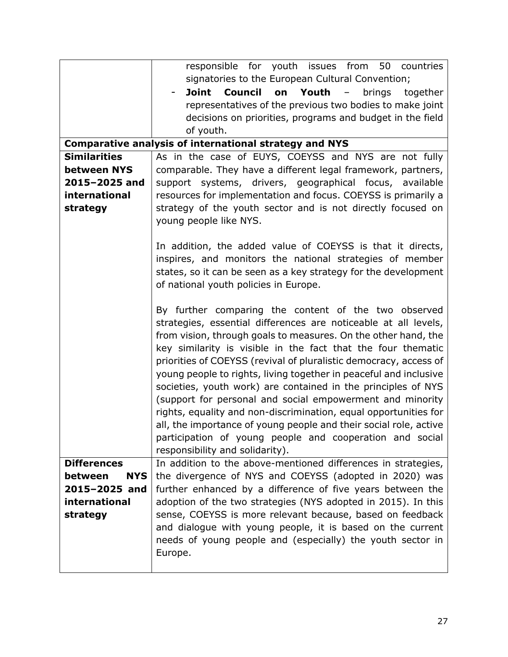|                       | responsible for youth issues from 50 countries                                                                          |
|-----------------------|-------------------------------------------------------------------------------------------------------------------------|
|                       | signatories to the European Cultural Convention;                                                                        |
|                       | Joint<br><b>Council</b><br>Youth<br>brings<br>on<br>$ \,$<br>together                                                   |
|                       | representatives of the previous two bodies to make joint                                                                |
|                       | decisions on priorities, programs and budget in the field                                                               |
|                       | of youth.                                                                                                               |
|                       | <b>Comparative analysis of international strategy and NYS</b>                                                           |
| <b>Similarities</b>   | As in the case of EUYS, COEYSS and NYS are not fully                                                                    |
| between NYS           | comparable. They have a different legal framework, partners,                                                            |
| 2015-2025 and         | support systems, drivers, geographical focus, available                                                                 |
| international         | resources for implementation and focus. COEYSS is primarily a                                                           |
|                       |                                                                                                                         |
| strategy              | strategy of the youth sector and is not directly focused on<br>young people like NYS.                                   |
|                       |                                                                                                                         |
|                       | In addition, the added value of COEYSS is that it directs,                                                              |
|                       | inspires, and monitors the national strategies of member                                                                |
|                       | states, so it can be seen as a key strategy for the development                                                         |
|                       |                                                                                                                         |
|                       | of national youth policies in Europe.                                                                                   |
|                       |                                                                                                                         |
|                       | By further comparing the content of the two observed<br>strategies, essential differences are noticeable at all levels, |
|                       | from vision, through goals to measures. On the other hand, the                                                          |
|                       |                                                                                                                         |
|                       | key similarity is visible in the fact that the four thematic                                                            |
|                       | priorities of COEYSS (revival of pluralistic democracy, access of                                                       |
|                       | young people to rights, living together in peaceful and inclusive                                                       |
|                       | societies, youth work) are contained in the principles of NYS                                                           |
|                       | (support for personal and social empowerment and minority                                                               |
|                       | rights, equality and non-discrimination, equal opportunities for                                                        |
|                       | all, the importance of young people and their social role, active                                                       |
|                       | participation of young people and cooperation and social                                                                |
|                       | responsibility and solidarity).                                                                                         |
| <b>Differences</b>    | In addition to the above-mentioned differences in strategies,                                                           |
| between<br><b>NYS</b> | the divergence of NYS and COEYSS (adopted in 2020) was                                                                  |
| 2015-2025 and         | further enhanced by a difference of five years between the                                                              |
| international         | adoption of the two strategies (NYS adopted in 2015). In this                                                           |
| strategy              | sense, COEYSS is more relevant because, based on feedback                                                               |
|                       | and dialogue with young people, it is based on the current                                                              |
|                       | needs of young people and (especially) the youth sector in                                                              |
|                       | Europe.                                                                                                                 |
|                       |                                                                                                                         |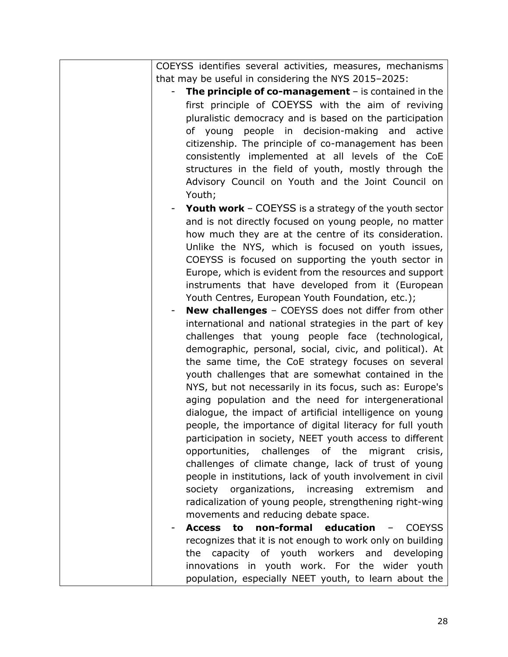| COEYSS identifies several activities, measures, mechanisms<br>that may be useful in considering the NYS 2015-2025:                                                                                                                                                                                                                  |
|-------------------------------------------------------------------------------------------------------------------------------------------------------------------------------------------------------------------------------------------------------------------------------------------------------------------------------------|
| The principle of co-management $-$ is contained in the                                                                                                                                                                                                                                                                              |
| first principle of COEYSS with the aim of reviving<br>pluralistic democracy and is based on the participation<br>of young people in decision-making and active<br>citizenship. The principle of co-management has been<br>consistently implemented at all levels of the CoE<br>structures in the field of youth, mostly through the |
| Advisory Council on Youth and the Joint Council on<br>Youth;                                                                                                                                                                                                                                                                        |
| <b>Youth work</b> – COEYSS is a strategy of the youth sector<br>and is not directly focused on young people, no matter<br>how much they are at the centre of its consideration.<br>Unlike the NYS, which is focused on youth issues,                                                                                                |
| COEYSS is focused on supporting the youth sector in<br>Europe, which is evident from the resources and support<br>instruments that have developed from it (European<br>Youth Centres, European Youth Foundation, etc.);                                                                                                             |
| <b>New challenges</b> - COEYSS does not differ from other<br>international and national strategies in the part of key<br>challenges that young people face (technological,<br>demographic, personal, social, civic, and political). At                                                                                              |
| the same time, the CoE strategy focuses on several<br>youth challenges that are somewhat contained in the<br>NYS, but not necessarily in its focus, such as: Europe's<br>aging population and the need for intergenerational                                                                                                        |
| dialogue, the impact of artificial intelligence on young<br>people, the importance of digital literacy for full youth<br>participation in society, NEET youth access to different<br>opportunities, challenges of the<br>migrant<br>crisis,<br>challenges of climate change, lack of trust of young                                 |
| people in institutions, lack of youth involvement in civil<br>society organizations, increasing<br>extremism<br>and<br>radicalization of young people, strengthening right-wing<br>movements and reducing debate space.                                                                                                             |
| non-formal education -<br>Access to<br><b>COEYSS</b>                                                                                                                                                                                                                                                                                |
| recognizes that it is not enough to work only on building<br>the capacity of youth workers and developing<br>innovations in youth work. For the wider youth                                                                                                                                                                         |
| population, especially NEET youth, to learn about the                                                                                                                                                                                                                                                                               |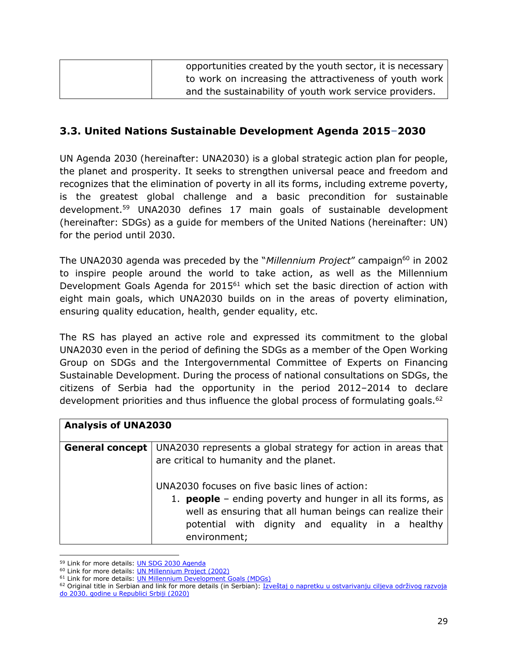| opportunities created by the youth sector, it is necessary |
|------------------------------------------------------------|
| to work on increasing the attractiveness of youth work     |
| and the sustainability of youth work service providers.    |

## <span id="page-28-0"></span>**3.3. United Nations Sustainable Development Agenda 2015**–**2030**

UN Agenda 2030 (hereinafter: UNA2030) is a global strategic action plan for people, the planet and prosperity. It seeks to strengthen universal peace and freedom and recognizes that the elimination of poverty in all its forms, including extreme poverty, is the greatest global challenge and a basic precondition for sustainable development.<sup>59</sup> UNA2030 defines 17 main goals of sustainable development (hereinafter: SDGs) as a guide for members of the United Nations (hereinafter: UN) for the period until 2030.

The UNA2030 agenda was preceded by the "*Millennium Project"* campaign<sup>60</sup> in 2002 to inspire people around the world to take action, as well as the Millennium Development Goals Agenda for 2015<sup>61</sup> which set the basic direction of action with eight main goals, which UNA2030 builds on in the areas of poverty elimination, ensuring quality education, health, gender equality, etc.

The RS has played an active role and expressed its commitment to the global UNA2030 even in the period of defining the SDGs as a member of the Open Working Group on SDGs and the Intergovernmental Committee of Experts on Financing Sustainable Development. During the process of national consultations on SDGs, the citizens of Serbia had the opportunity in the period 2012–2014 to declare development priorities and thus influence the global process of formulating goals.<sup>62</sup>

| <b>Analysis of UNA2030</b> |                                                                                                                                                                                                                                                     |
|----------------------------|-----------------------------------------------------------------------------------------------------------------------------------------------------------------------------------------------------------------------------------------------------|
| <b>General concept</b>     | UNA2030 represents a global strategy for action in areas that<br>are critical to humanity and the planet.                                                                                                                                           |
|                            | UNA2030 focuses on five basic lines of action:<br>1. <b>people</b> - ending poverty and hunger in all its forms, as<br>well as ensuring that all human beings can realize their<br>potential with dignity and equality in a healthy<br>environment; |

<sup>59</sup> Link for more details: [UN SDG 2030 Agenda](https://sdgs.un.org/2030agenda)

<sup>60</sup> Link for more details: [UN Millennium Project \(2002\)](https://www.undp.org/sites/g/files/zskgke326/files/publications/IAR05-English-MillenProject.pdf)

<sup>61</sup> Link for more details: [UN Millennium Development Goals \(MDGs\)](https://www.un.org/millenniumgoals/)

<sup>&</sup>lt;sup>62</sup> Original title in Serbian and link for more details (in Serbian): Izveštaj o napretku u ostvarivanju ciljeva održivog razvoja [do 2030. godine u Republici Srbiji \(2020\)](http://sdg.indikatori.rs/media/1545/izvestaj-o-napretku-u-ostvarivanju-ciljeva-odrzivog-razvoja-do-2030-godine-u-srbiji_web.pdf)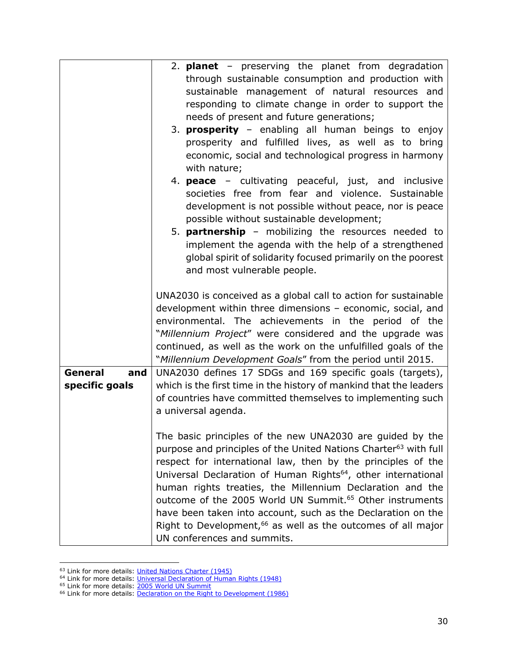|                | 2. <b>planet</b> – preserving the planet from degradation                    |
|----------------|------------------------------------------------------------------------------|
|                | through sustainable consumption and production with                          |
|                | sustainable management of natural resources and                              |
|                | responding to climate change in order to support the                         |
|                | needs of present and future generations;                                     |
|                | 3. <b>prosperity</b> – enabling all human beings to enjoy                    |
|                | prosperity and fulfilled lives, as well as to bring                          |
|                | economic, social and technological progress in harmony                       |
|                | with nature;                                                                 |
|                | 4. <b>peace</b> – cultivating peaceful, just, and inclusive                  |
|                | societies free from fear and violence. Sustainable                           |
|                | development is not possible without peace, nor is peace                      |
|                | possible without sustainable development;                                    |
|                | 5. <b>partnership</b> - mobilizing the resources needed to                   |
|                | implement the agenda with the help of a strengthened                         |
|                | global spirit of solidarity focused primarily on the poorest                 |
|                | and most vulnerable people.                                                  |
|                |                                                                              |
|                | UNA2030 is conceived as a global call to action for sustainable              |
|                | development within three dimensions - economic, social, and                  |
|                | environmental. The achievements in the period of the                         |
|                | "Millennium Project" were considered and the upgrade was                     |
|                | continued, as well as the work on the unfulfilled goals of the               |
|                | "Millennium Development Goals" from the period until 2015.                   |
| General<br>and | UNA2030 defines 17 SDGs and 169 specific goals (targets),                    |
| specific goals | which is the first time in the history of mankind that the leaders           |
|                | of countries have committed themselves to implementing such                  |
|                | a universal agenda.                                                          |
|                |                                                                              |
|                | The basic principles of the new UNA2030 are guided by the                    |
|                | purpose and principles of the United Nations Charter <sup>63</sup> with full |
|                | respect for international law, then by the principles of the                 |
|                | Universal Declaration of Human Rights <sup>64</sup> , other international    |
|                | human rights treaties, the Millennium Declaration and the                    |
|                | outcome of the 2005 World UN Summit. <sup>65</sup> Other instruments         |
|                | have been taken into account, such as the Declaration on the                 |
|                | Right to Development, <sup>66</sup> as well as the outcomes of all major     |
|                | UN conferences and summits.                                                  |

<sup>&</sup>lt;sup>63</sup> Link for more details: *United Nations Charter (1945)* 

<sup>&</sup>lt;sup>64</sup> Link for more details: [Universal Declaration of Human Rights \(1948\)](https://www.un.org/en/about-us/universal-declaration-of-human-rights)

<sup>&</sup>lt;sup>65</sup> Link for more details: 2005 World UN Summit

<sup>&</sup>lt;sup>66</sup> Link for more details: [Declaration on the Right to Development \(1986\)](https://www.ohchr.org/en/professionalinterest/pages/righttodevelopment.aspx)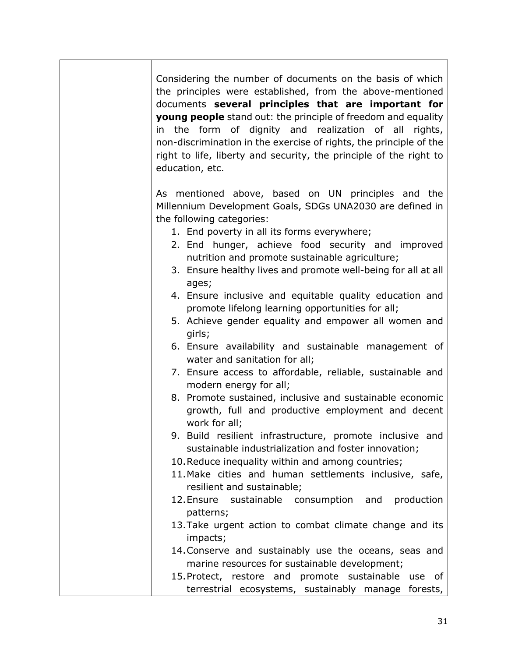Considering the number of documents on the basis of which the principles were established, from the above-mentioned documents **several principles that are important for young people** stand out: the principle of freedom and equality in the form of dignity and realization of all rights, non-discrimination in the exercise of rights, the principle of the right to life, liberty and security, the principle of the right to education, etc.

As mentioned above, based on UN principles and the Millennium Development Goals, SDGs UNA2030 are defined in the following categories:

- 1. End poverty in all its forms everywhere;
- 2. End hunger, achieve food security and improved nutrition and promote sustainable agriculture;
- 3. Ensure healthy lives and promote well-being for all at all ages;
- 4. Ensure inclusive and equitable quality education and promote lifelong learning opportunities for all;
- 5. Achieve gender equality and empower all women and girls;
- 6. Ensure availability and sustainable management of water and sanitation for all;
- 7. Ensure access to affordable, reliable, sustainable and modern energy for all;
- 8. Promote sustained, inclusive and sustainable economic growth, full and productive employment and decent work for all;
- 9. Build resilient infrastructure, promote inclusive and sustainable industrialization and foster innovation;
- 10.Reduce inequality within and among countries;
- 11.Make cities and human settlements inclusive, safe, resilient and sustainable;
- 12.Ensure sustainable consumption and production patterns;
- 13.Take urgent action to combat climate change and its impacts;
- 14.Conserve and sustainably use the oceans, seas and marine resources for sustainable development;
- 15.Protect, restore and promote sustainable use of terrestrial ecosystems, sustainably manage forests,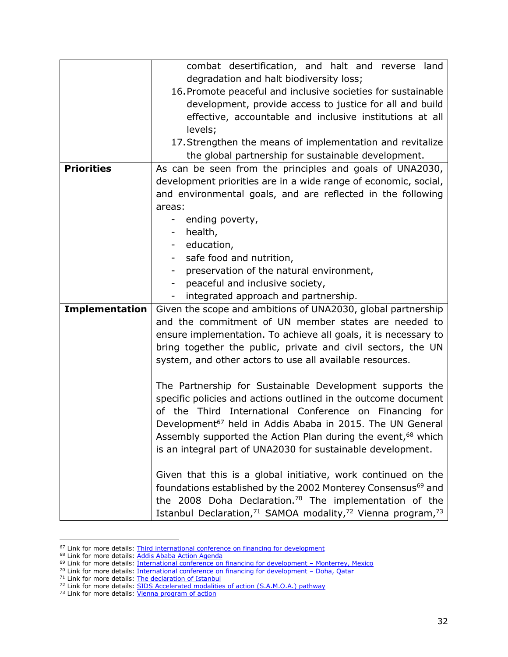| combat desertification, and halt and reverse land                                               |  |
|-------------------------------------------------------------------------------------------------|--|
| degradation and halt biodiversity loss;                                                         |  |
| 16. Promote peaceful and inclusive societies for sustainable                                    |  |
| development, provide access to justice for all and build                                        |  |
| effective, accountable and inclusive institutions at all                                        |  |
| levels;                                                                                         |  |
| 17. Strengthen the means of implementation and revitalize                                       |  |
| the global partnership for sustainable development.                                             |  |
| <b>Priorities</b><br>As can be seen from the principles and goals of UNA2030,                   |  |
| development priorities are in a wide range of economic, social,                                 |  |
| and environmental goals, and are reflected in the following                                     |  |
| areas:                                                                                          |  |
| ending poverty,                                                                                 |  |
| health,                                                                                         |  |
| education,<br>$\sim$                                                                            |  |
| safe food and nutrition,                                                                        |  |
| preservation of the natural environment,                                                        |  |
| peaceful and inclusive society,                                                                 |  |
| integrated approach and partnership.                                                            |  |
| <b>Implementation</b><br>Given the scope and ambitions of UNA2030, global partnership           |  |
| and the commitment of UN member states are needed to                                            |  |
| ensure implementation. To achieve all goals, it is necessary to                                 |  |
| bring together the public, private and civil sectors, the UN                                    |  |
| system, and other actors to use all available resources.                                        |  |
|                                                                                                 |  |
| The Partnership for Sustainable Development supports the                                        |  |
| specific policies and actions outlined in the outcome document                                  |  |
| of the Third International Conference on Financing for                                          |  |
| Development <sup>67</sup> held in Addis Ababa in 2015. The UN General                           |  |
| Assembly supported the Action Plan during the event, <sup>68</sup> which                        |  |
| is an integral part of UNA2030 for sustainable development.                                     |  |
|                                                                                                 |  |
| Given that this is a global initiative, work continued on the                                   |  |
| foundations established by the 2002 Monterey Consensus <sup>69</sup> and                        |  |
| the 2008 Doha Declaration. <sup>70</sup> The implementation of the                              |  |
| Istanbul Declaration, <sup>71</sup> SAMOA modality, <sup>72</sup> Vienna program, <sup>73</sup> |  |

<sup>&</sup>lt;sup>67</sup> Link for more details: [Third international conference on financing for development](https://sustainabledevelopment.un.org/index.php?page=view&type=400&nr=2051&menu=35)

<sup>&</sup>lt;sup>68</sup> Link for more details: [Addis Ababa Action Agenda](https://sustainabledevelopment.un.org/index.php?page=view&type=400&nr=2051&menu=35)

<sup>&</sup>lt;sup>69</sup> Link for more details: <u>International conference on financing for development - Monterrey, Mexico</u>

<sup>&</sup>lt;sup>70</sup> Link for more details: <u>International conference on financing for development – Doha, Qatar</u>

<sup>&</sup>lt;sup>71</sup> Link for more details: [The declaration of Istanbul](https://www.declarationofistanbul.org/)

<sup>&</sup>lt;sup>72</sup> Link for more details: **SIDS Accelerated modalities of action (S.A.M.O.A.) pathway** 

<sup>&</sup>lt;sup>73</sup> Link for more details: *[Vienna program of action](http://unohrlls.org/about-lldcs/programme-of-action/)*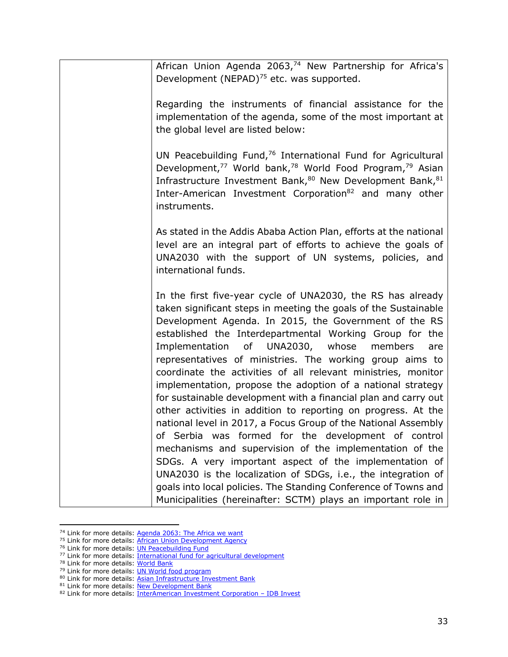African Union Agenda 2063,<sup>74</sup> New Partnership for Africa's Development (NEPAD) $^{75}$  etc. was supported. Regarding the instruments of financial assistance for the implementation of the agenda, some of the most important at the global level are listed below: UN Peacebuilding Fund,<sup>76</sup> International Fund for Agricultural Development,<sup>77</sup> World bank,<sup>78</sup> World Food Program,<sup>79</sup> Asian Infrastructure Investment Bank,<sup>80</sup> New Development Bank, 81 Inter-American Investment Corporation<sup>82</sup> and many other instruments. As stated in the Addis Ababa Action Plan, efforts at the national level are an integral part of efforts to achieve the goals of UNA2030 with the support of UN systems, policies, and international funds. In the first five-year cycle of UNA2030, the RS has already taken significant steps in meeting the goals of the Sustainable Development Agenda. In 2015, the Government of the RS established the Interdepartmental Working Group for the Implementation of UNA2030, whose members are representatives of ministries. The working group aims to coordinate the activities of all relevant ministries, monitor implementation, propose the adoption of a national strategy for sustainable development with a financial plan and carry out other activities in addition to reporting on progress. At the national level in 2017, a Focus Group of the National Assembly of Serbia was formed for the development of control mechanisms and supervision of the implementation of the SDGs. A very important aspect of the implementation of UNA2030 is the localization of SDGs, i.e., the integration of goals into local policies. The Standing Conference of Towns and Municipalities (hereinafter: SCTM) plays an important role in

<sup>&</sup>lt;sup>74</sup> Link for more details: [Agenda 2063: The Africa we want](https://au.int/en/agenda2063/overview)

<sup>&</sup>lt;sup>75</sup> Link for more details: **African Union Development Agency** 

<sup>76</sup> Link for more details: [UN Peacebuilding Fund](https://www.un.org/peacebuilding/fund)

<sup>77</sup> Link for more details: [International fund for agricultural development](https://www.ifad.org/en/)

<sup>78</sup> Link for more details: [World Bank](https://www.worldbank.org/en/about/leadership?cid=ECR_GA_worldbank_EN_EXTP_search&gclid=CjwKCAjwyIKJBhBPEiwAu7zllzRg-MV6uslrsaY9xPT4o6gQblT6Qp_v4H_IEIX9bmJHIuxzdzl0IxoCDWgQAvD_BwE)

<sup>79</sup> Link for more details: **UN World food program** 

<sup>80</sup> Link for more details: [Asian Infrastructure Investment Bank](https://www.aiib.org/en/index.html)

<sup>81</sup> Link for more details: [New Development Bank](https://www.ndb.int/)

<sup>82</sup> Link for more details: [InterAmerican Investment Corporation](https://www.idbinvest.org/en) – IDB Invest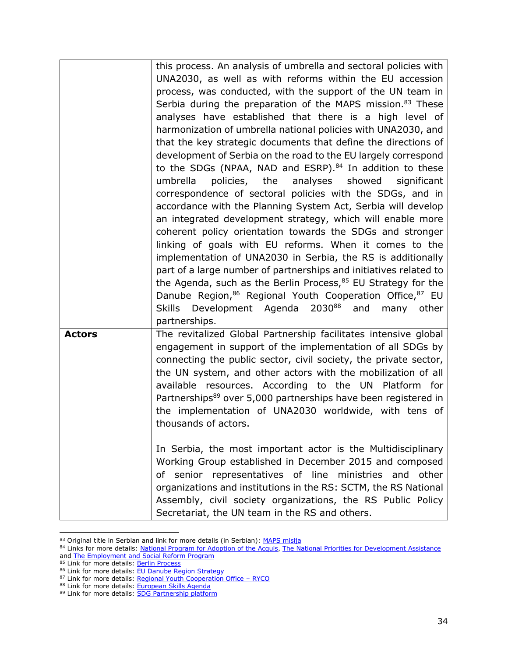|               | this process. An analysis of umbrella and sectoral policies with           |
|---------------|----------------------------------------------------------------------------|
|               | UNA2030, as well as with reforms within the EU accession                   |
|               | process, was conducted, with the support of the UN team in                 |
|               | Serbia during the preparation of the MAPS mission. <sup>83</sup> These     |
|               | analyses have established that there is a high level of                    |
|               |                                                                            |
|               | harmonization of umbrella national policies with UNA2030, and              |
|               | that the key strategic documents that define the directions of             |
|               | development of Serbia on the road to the EU largely correspond             |
|               | to the SDGs (NPAA, NAD and ESRP). <sup>84</sup> In addition to these       |
|               | umbrella<br>policies,<br>the<br>analyses<br>showed<br>significant          |
|               | correspondence of sectoral policies with the SDGs, and in                  |
|               | accordance with the Planning System Act, Serbia will develop               |
|               | an integrated development strategy, which will enable more                 |
|               | coherent policy orientation towards the SDGs and stronger                  |
|               | linking of goals with EU reforms. When it comes to the                     |
|               | implementation of UNA2030 in Serbia, the RS is additionally                |
|               | part of a large number of partnerships and initiatives related to          |
|               | the Agenda, such as the Berlin Process, $85$ EU Strategy for the           |
|               | Danube Region, 86 Regional Youth Cooperation Office, 87 EU                 |
|               | 203088<br>Skills Development Agenda<br>and<br>other<br>many                |
|               | partnerships.                                                              |
| <b>Actors</b> | The revitalized Global Partnership facilitates intensive global            |
|               | engagement in support of the implementation of all SDGs by                 |
|               | connecting the public sector, civil society, the private sector,           |
|               | the UN system, and other actors with the mobilization of all               |
|               | available resources. According to the UN Platform for                      |
|               |                                                                            |
|               | Partnerships <sup>89</sup> over 5,000 partnerships have been registered in |
|               | the implementation of UNA2030 worldwide, with tens of                      |
|               | thousands of actors.                                                       |
|               |                                                                            |
|               | In Serbia, the most important actor is the Multidisciplinary               |
|               | Working Group established in December 2015 and composed                    |
|               | of senior representatives of line ministries and other                     |
|               | organizations and institutions in the RS: SCTM, the RS National            |
|               | Assembly, civil society organizations, the RS Public Policy                |
|               | Secretariat, the UN team in the RS and others.                             |

<sup>&</sup>lt;sup>83</sup> Original title in Serbian and link for more details (in Serbian): *MAPS misija* 

<sup>84</sup> Links for more details: [National Program for Adoption of the Acquis,](https://www.mei.gov.rs/eng/information/questions-and-answers/national-programme-for-adoption-of-the-acquis-npaa/) [The National Priorities for Development Assistance](https://www.mei.gov.rs/eng/news/719/189/335/details/planning-of-national-priorities-of-the-republic-of-serbia-for-international-assistance-2019-2025-launched/) and **The Employment and Social Reform Program** 

<sup>85</sup> Link for more details: [Berlin Process](https://berlinprocess.info/)

<sup>86</sup> Link for more details: [EU Danube Region Strategy](https://danube-region.eu/wp-content/uploads/2021/01/EUSDR-SR.pdf)

<sup>87</sup> Link for more details: [Regional Youth Cooperation Office](https://www.rycowb.org/) - RYCO

<sup>88</sup> Link for more details: [European Skills Agenda](https://ec.europa.eu/social/main.jsp?catId=1223&langId=en)

<sup>89</sup> Link for more details: [SDG Partnership platform](https://sustainabledevelopment.un.org/partnership/browse/)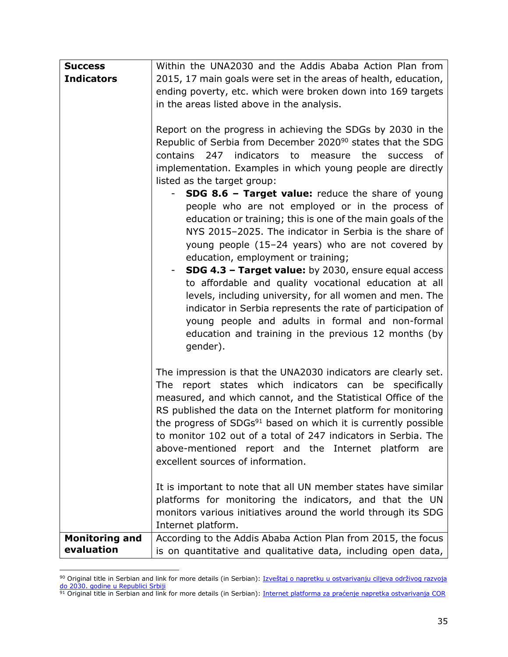| <b>Success</b>                      | Within the UNA2030 and the Addis Ababa Action Plan from                                                                                                                                                                                                                                                                                                                                                                                                                                                    |
|-------------------------------------|------------------------------------------------------------------------------------------------------------------------------------------------------------------------------------------------------------------------------------------------------------------------------------------------------------------------------------------------------------------------------------------------------------------------------------------------------------------------------------------------------------|
| <b>Indicators</b>                   | 2015, 17 main goals were set in the areas of health, education,                                                                                                                                                                                                                                                                                                                                                                                                                                            |
|                                     | ending poverty, etc. which were broken down into 169 targets                                                                                                                                                                                                                                                                                                                                                                                                                                               |
|                                     | in the areas listed above in the analysis.                                                                                                                                                                                                                                                                                                                                                                                                                                                                 |
|                                     |                                                                                                                                                                                                                                                                                                                                                                                                                                                                                                            |
|                                     | Report on the progress in achieving the SDGs by 2030 in the<br>Republic of Serbia from December 2020 <sup>90</sup> states that the SDG<br>indicators to<br>contains<br>measure<br>247<br>the<br>success<br>of.<br>implementation. Examples in which young people are directly<br>listed as the target group:<br><b>SDG 8.6 - Target value:</b> reduce the share of young<br>people who are not employed or in the process of<br>education or training; this is one of the main goals of the                |
|                                     | NYS 2015-2025. The indicator in Serbia is the share of<br>young people (15-24 years) who are not covered by                                                                                                                                                                                                                                                                                                                                                                                                |
|                                     | education, employment or training;                                                                                                                                                                                                                                                                                                                                                                                                                                                                         |
|                                     | <b>SDG 4.3 - Target value:</b> by 2030, ensure equal access<br>to affordable and quality vocational education at all<br>levels, including university, for all women and men. The<br>indicator in Serbia represents the rate of participation of<br>young people and adults in formal and non-formal<br>education and training in the previous 12 months (by<br>gender).                                                                                                                                    |
|                                     | The impression is that the UNA2030 indicators are clearly set.<br>The report states which indicators can be specifically<br>measured, and which cannot, and the Statistical Office of the<br>RS published the data on the Internet platform for monitoring<br>the progress of SDGs <sup>91</sup> based on which it is currently possible<br>to monitor 102 out of a total of 247 indicators in Serbia. The<br>above-mentioned report and the Internet platform<br>are<br>excellent sources of information. |
|                                     | It is important to note that all UN member states have similar<br>platforms for monitoring the indicators, and that the UN<br>monitors various initiatives around the world through its SDG<br>Internet platform.                                                                                                                                                                                                                                                                                          |
| <b>Monitoring and</b><br>evaluation | According to the Addis Ababa Action Plan from 2015, the focus<br>is on quantitative and qualitative data, including open data,                                                                                                                                                                                                                                                                                                                                                                             |

<sup>90</sup> Original title in Serbian and link for more details (in Serbian): Izveštaj o napretku u ostvarivanju ciljeva održivog razvoja [do 2030. godine u Republici Srbiji](http://sdg.indikatori.rs/media/1545/izvestaj-o-napretku-u-ostvarivanju-ciljeva-odrzivog-razvoja-do-2030-godine-u-srbiji_web.pdf)

<sup>91</sup> Original title in Serbian and link for more details (in Serbian): Internet platforma za praćenje napretka ostvarivanja COR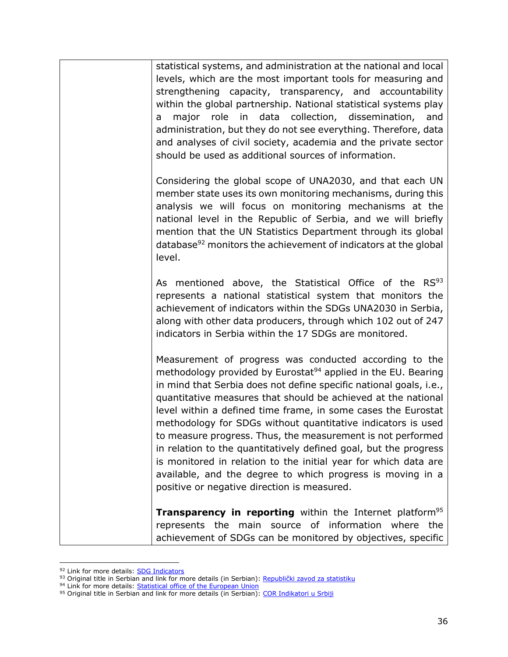| <b>Transparency in reporting</b> within the Internet platform <sup>95</sup><br>represents the main source of information where the<br>achievement of SDGs can be monitored by objectives, specific                                                                                                                                                                                                                                                                                                                                                                                                                                                                                                                             |
|--------------------------------------------------------------------------------------------------------------------------------------------------------------------------------------------------------------------------------------------------------------------------------------------------------------------------------------------------------------------------------------------------------------------------------------------------------------------------------------------------------------------------------------------------------------------------------------------------------------------------------------------------------------------------------------------------------------------------------|
| Measurement of progress was conducted according to the<br>methodology provided by Eurostat <sup>94</sup> applied in the EU. Bearing<br>in mind that Serbia does not define specific national goals, i.e.,<br>quantitative measures that should be achieved at the national<br>level within a defined time frame, in some cases the Eurostat<br>methodology for SDGs without quantitative indicators is used<br>to measure progress. Thus, the measurement is not performed<br>in relation to the quantitatively defined goal, but the progress<br>is monitored in relation to the initial year for which data are<br>available, and the degree to which progress is moving in a<br>positive or negative direction is measured. |
| As mentioned above, the Statistical Office of the RS93<br>represents a national statistical system that monitors the<br>achievement of indicators within the SDGs UNA2030 in Serbia,<br>along with other data producers, through which 102 out of 247<br>indicators in Serbia within the 17 SDGs are monitored.                                                                                                                                                                                                                                                                                                                                                                                                                |
| Considering the global scope of UNA2030, and that each UN<br>member state uses its own monitoring mechanisms, during this<br>analysis we will focus on monitoring mechanisms at the<br>national level in the Republic of Serbia, and we will briefly<br>mention that the UN Statistics Department through its global<br>database <sup>92</sup> monitors the achievement of indicators at the global<br>level.                                                                                                                                                                                                                                                                                                                  |
| statistical systems, and administration at the national and local<br>levels, which are the most important tools for measuring and<br>strengthening capacity, transparency, and accountability<br>within the global partnership. National statistical systems play<br>major role in data collection, dissemination,<br>and<br>a<br>administration, but they do not see everything. Therefore, data<br>and analyses of civil society, academia and the private sector<br>should be used as additional sources of information.                                                                                                                                                                                                    |

<sup>&</sup>lt;sup>92</sup> Link for more details: **SDG Indicators** 

<sup>93</sup> Original title in Serbian and link for more details (in Serbian): [Republički zavod za statistiku](https://www.stat.gov.rs/)

<sup>&</sup>lt;sup>94</sup> Link for more details: **Statistical office of the European Union** 

<sup>&</sup>lt;sup>95</sup> Original title in Serbian and link for more details (in Serbian): [COR Indikatori u Srbiji](http://sdg.indikatori.rs/sr-latn/)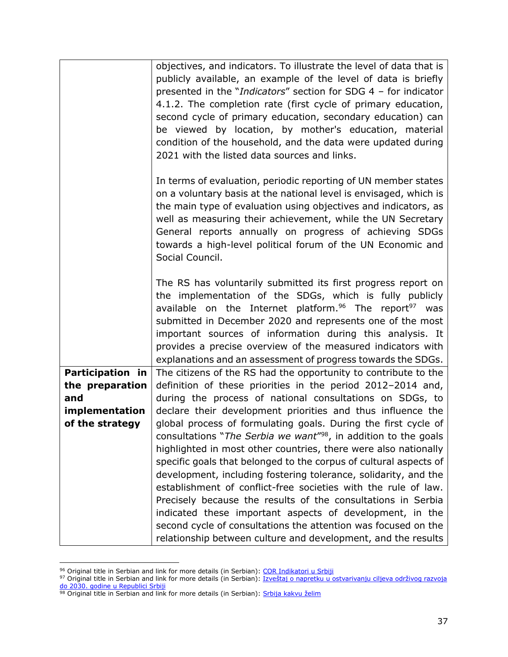|                                                                                               | objectives, and indicators. To illustrate the level of data that is<br>publicly available, an example of the level of data is briefly<br>presented in the " <i>Indicators</i> " section for SDG 4 - for indicator<br>4.1.2. The completion rate (first cycle of primary education,<br>second cycle of primary education, secondary education) can<br>be viewed by location, by mother's education, material<br>condition of the household, and the data were updated during                                                                                                                                                                                                                                                                                                                                                                                                                                                                            |
|-----------------------------------------------------------------------------------------------|--------------------------------------------------------------------------------------------------------------------------------------------------------------------------------------------------------------------------------------------------------------------------------------------------------------------------------------------------------------------------------------------------------------------------------------------------------------------------------------------------------------------------------------------------------------------------------------------------------------------------------------------------------------------------------------------------------------------------------------------------------------------------------------------------------------------------------------------------------------------------------------------------------------------------------------------------------|
|                                                                                               | 2021 with the listed data sources and links.<br>In terms of evaluation, periodic reporting of UN member states<br>on a voluntary basis at the national level is envisaged, which is<br>the main type of evaluation using objectives and indicators, as<br>well as measuring their achievement, while the UN Secretary<br>General reports annually on progress of achieving SDGs<br>towards a high-level political forum of the UN Economic and<br>Social Council.                                                                                                                                                                                                                                                                                                                                                                                                                                                                                      |
|                                                                                               | The RS has voluntarily submitted its first progress report on<br>the implementation of the SDGs, which is fully publicly<br>available on the Internet platform. <sup>96</sup> The report <sup>97</sup> was<br>submitted in December 2020 and represents one of the most<br>important sources of information during this analysis. It<br>provides a precise overview of the measured indicators with<br>explanations and an assessment of progress towards the SDGs.                                                                                                                                                                                                                                                                                                                                                                                                                                                                                    |
| <b>Participation in</b><br>the preparation<br>and<br><i>implementation</i><br>of the strategy | The citizens of the RS had the opportunity to contribute to the<br>definition of these priorities in the period 2012-2014 and,<br>during the process of national consultations on SDGs, to<br>declare their development priorities and thus influence the<br>global process of formulating goals. During the first cycle of<br>consultations "The Serbia we want" <sup>98</sup> , in addition to the goals<br>highlighted in most other countries, there were also nationally<br>specific goals that belonged to the corpus of cultural aspects of<br>development, including fostering tolerance, solidarity, and the<br>establishment of conflict-free societies with the rule of law.<br>Precisely because the results of the consultations in Serbia<br>indicated these important aspects of development, in the<br>second cycle of consultations the attention was focused on the<br>relationship between culture and development, and the results |

<sup>&</sup>lt;sup>96</sup> Original title in Serbian and link for more details (in Serbian): [COR Indikatori u Srbiji](http://sdg.indikatori.rs/sr-latn/)

<sup>97</sup> Original title in Serbian and link for more details (in Serbian): Izveštaj o napretku u ostvarivanju ciljeva održivog razvoja [do 2030. godine u Republici Srbiji](http://sdg.indikatori.rs/media/1545/izvestaj-o-napretku-u-ostvarivanju-ciljeva-odrzivog-razvoja-do-2030-godine-u-srbiji_web.pdf)

<sup>&</sup>lt;sup>98</sup> Original title in Serbian and link for more details (in Serbian): [Srbija kakvu želim](http://www.srbijakakvuzelim.rs/index.php/landing/o_inicijativi/)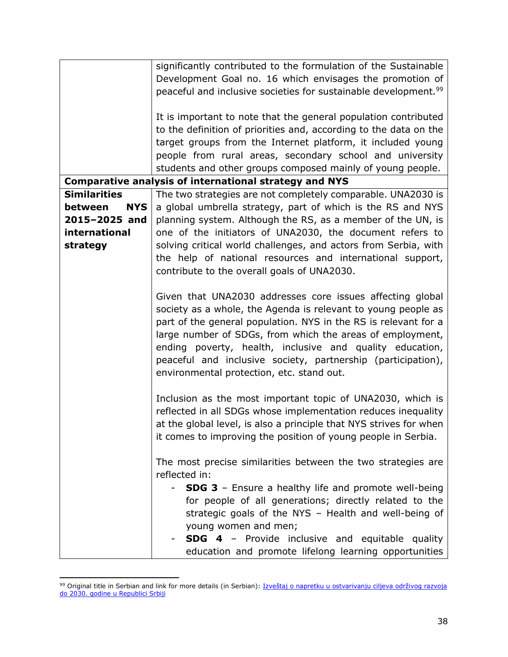|                       | significantly contributed to the formulation of the Sustainable             |
|-----------------------|-----------------------------------------------------------------------------|
|                       | Development Goal no. 16 which envisages the promotion of                    |
|                       | peaceful and inclusive societies for sustainable development. <sup>99</sup> |
|                       |                                                                             |
|                       | It is important to note that the general population contributed             |
|                       | to the definition of priorities and, according to the data on the           |
|                       | target groups from the Internet platform, it included young                 |
|                       | people from rural areas, secondary school and university                    |
|                       | students and other groups composed mainly of young people.                  |
|                       | Comparative analysis of international strategy and NYS                      |
| <b>Similarities</b>   | The two strategies are not completely comparable. UNA2030 is                |
| between<br><b>NYS</b> | a global umbrella strategy, part of which is the RS and NYS                 |
| 2015-2025 and         |                                                                             |
| international         | planning system. Although the RS, as a member of the UN, is                 |
|                       | one of the initiators of UNA2030, the document refers to                    |
| strategy              | solving critical world challenges, and actors from Serbia, with             |
|                       | the help of national resources and international support,                   |
|                       | contribute to the overall goals of UNA2030.                                 |
|                       |                                                                             |
|                       | Given that UNA2030 addresses core issues affecting global                   |
|                       | society as a whole, the Agenda is relevant to young people as               |
|                       | part of the general population. NYS in the RS is relevant for a             |
|                       | large number of SDGs, from which the areas of employment,                   |
|                       | ending poverty, health, inclusive and quality education,                    |
|                       | peaceful and inclusive society, partnership (participation),                |
|                       | environmental protection, etc. stand out.                                   |
|                       |                                                                             |
|                       | Inclusion as the most important topic of UNA2030, which is                  |
|                       | reflected in all SDGs whose implementation reduces inequality               |
|                       | at the global level, is also a principle that NYS strives for when          |
|                       | it comes to improving the position of young people in Serbia.               |
|                       |                                                                             |
|                       | The most precise similarities between the two strategies are                |
|                       | reflected in:                                                               |
|                       | <b>SDG 3</b> - Ensure a healthy life and promote well-being                 |
|                       | for people of all generations; directly related to the                      |
|                       | strategic goals of the NYS - Health and well-being of                       |
|                       | young women and men;                                                        |
|                       | <b>SDG 4</b> - Provide inclusive and equitable quality                      |
|                       | education and promote lifelong learning opportunities                       |

<sup>99</sup> Original title in Serbian and link for more details (in Serbian): Izveštaj o napretku u ostvarivanju ciljeva održivog razvoja [do 2030. godine u Republici Srbiji](http://sdg.indikatori.rs/media/1545/izvestaj-o-napretku-u-ostvarivanju-ciljeva-odrzivog-razvoja-do-2030-godine-u-srbiji_web.pdf)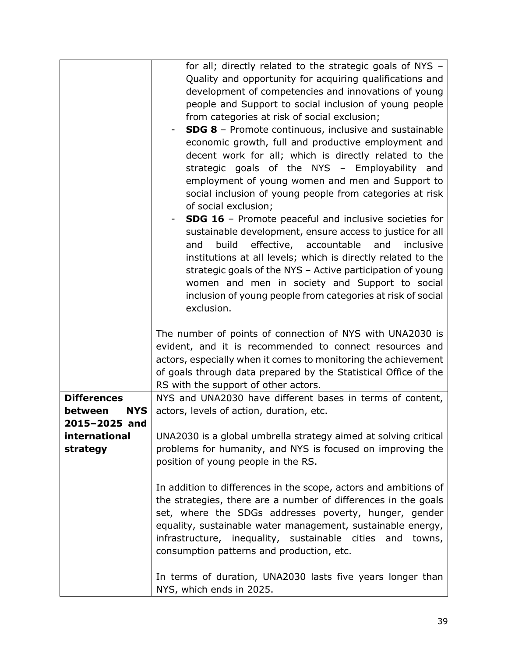| for all; directly related to the strategic goals of NYS -<br>Quality and opportunity for acquiring qualifications and<br>development of competencies and innovations of young<br>people and Support to social inclusion of young people<br>from categories at risk of social exclusion;<br><b>SDG 8</b> - Promote continuous, inclusive and sustainable<br>economic growth, full and productive employment and<br>decent work for all; which is directly related to the<br>strategic goals of the NYS - Employability and<br>employment of young women and men and Support to<br>social inclusion of young people from categories at risk<br>of social exclusion;<br><b>SDG 16</b> - Promote peaceful and inclusive societies for<br>sustainable development, ensure access to justice for all<br>effective, accountable<br>build<br>and<br>inclusive<br>and<br>institutions at all levels; which is directly related to the<br>strategic goals of the NYS - Active participation of young<br>women and men in society and Support to social<br>inclusion of young people from categories at risk of social<br>exclusion. |
|---------------------------------------------------------------------------------------------------------------------------------------------------------------------------------------------------------------------------------------------------------------------------------------------------------------------------------------------------------------------------------------------------------------------------------------------------------------------------------------------------------------------------------------------------------------------------------------------------------------------------------------------------------------------------------------------------------------------------------------------------------------------------------------------------------------------------------------------------------------------------------------------------------------------------------------------------------------------------------------------------------------------------------------------------------------------------------------------------------------------------|
| The number of points of connection of NYS with UNA2030 is<br>evident, and it is recommended to connect resources and<br>actors, especially when it comes to monitoring the achievement<br>of goals through data prepared by the Statistical Office of the<br>RS with the support of other actors.                                                                                                                                                                                                                                                                                                                                                                                                                                                                                                                                                                                                                                                                                                                                                                                                                         |
| NYS and UNA2030 have different bases in terms of content,<br>actors, levels of action, duration, etc.                                                                                                                                                                                                                                                                                                                                                                                                                                                                                                                                                                                                                                                                                                                                                                                                                                                                                                                                                                                                                     |
| UNA2030 is a global umbrella strategy aimed at solving critical<br>problems for humanity, and NYS is focused on improving the<br>position of young people in the RS.                                                                                                                                                                                                                                                                                                                                                                                                                                                                                                                                                                                                                                                                                                                                                                                                                                                                                                                                                      |
| In addition to differences in the scope, actors and ambitions of<br>the strategies, there are a number of differences in the goals<br>set, where the SDGs addresses poverty, hunger, gender<br>equality, sustainable water management, sustainable energy,<br>infrastructure, inequality, sustainable cities and<br>towns,<br>consumption patterns and production, etc.                                                                                                                                                                                                                                                                                                                                                                                                                                                                                                                                                                                                                                                                                                                                                   |
|                                                                                                                                                                                                                                                                                                                                                                                                                                                                                                                                                                                                                                                                                                                                                                                                                                                                                                                                                                                                                                                                                                                           |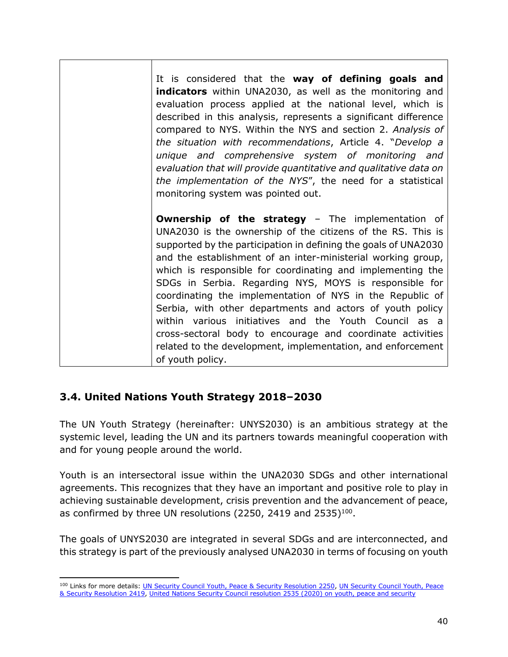It is considered that the **way of defining goals and indicators** within UNA2030, as well as the monitoring and evaluation process applied at the national level, which is described in this analysis, represents a significant difference compared to NYS. Within the NYS and section 2. *Analysis of the situation with recommendations*, Article 4. "*Develop a unique and comprehensive system of monitoring and evaluation that will provide quantitative and qualitative data on the implementation of the NYS*", the need for a statistical monitoring system was pointed out. **Ownership of the strategy - The implementation of** UNA2030 is the ownership of the citizens of the RS. This is supported by the participation in defining the goals of UNA2030 and the establishment of an inter-ministerial working group, which is responsible for coordinating and implementing the SDGs in Serbia. Regarding NYS, MOYS is responsible for coordinating the implementation of NYS in the Republic of Serbia, with other departments and actors of youth policy within various initiatives and the Youth Council as a cross-sectoral body to encourage and coordinate activities related to the development, implementation, and enforcement of youth policy.

#### **3.4. United Nations Youth Strategy 2018–2030**

The UN Youth Strategy (hereinafter: UNYS2030) is an ambitious strategy at the systemic level, leading the UN and its partners towards meaningful cooperation with and for young people around the world.

Youth is an intersectoral issue within the UNA2030 SDGs and other international agreements. This recognizes that they have an important and positive role to play in achieving sustainable development, crisis prevention and the advancement of peace, as confirmed by three UN resolutions (2250, 2419 and 2535) $^{100}$ .

The goals of UNYS2030 are integrated in several SDGs and are interconnected, and this strategy is part of the previously analysed UNA2030 in terms of focusing on youth

<sup>100</sup> Links for more details: [UN Security Council Youth, Peace & Security Resolution 2250,](https://www.un.org/youthenvoy/2020/12/un-security-council-youth-peace-security-resolution-2250/) UN Security Council Youth, Peace [& Security Resolution 2419,](https://www.un.org/youthenvoy/2020/12/un-security-council-youth-peace-security-resolution-2419/) [United Nations Security Council resolution 2535 \(2020\) on youth, peace and security](https://www.youth4peace.info/UNSCR2535#:~:text=United%20Nations%20Security%20Council%20resolution,prevention%20and%20resolution%20of%20conflicts.)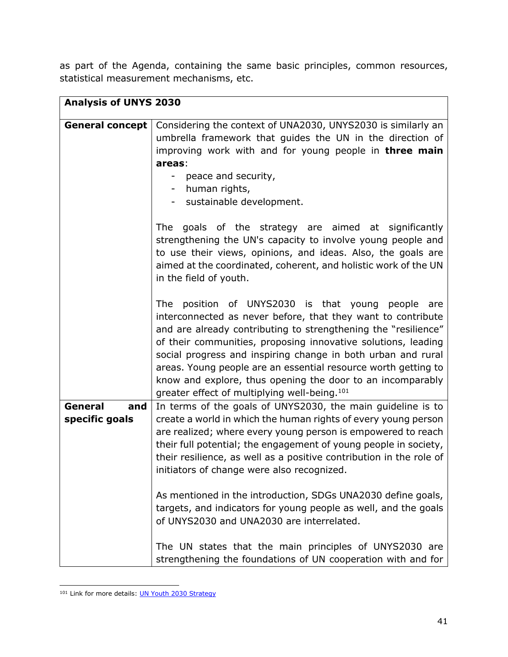as part of the Agenda, containing the same basic principles, common resources, statistical measurement mechanisms, etc.

|                        | <b>Analysis of UNYS 2030</b>                                                                                                                                                                                                                                                                                                                                                                                                                                                                                        |  |
|------------------------|---------------------------------------------------------------------------------------------------------------------------------------------------------------------------------------------------------------------------------------------------------------------------------------------------------------------------------------------------------------------------------------------------------------------------------------------------------------------------------------------------------------------|--|
|                        |                                                                                                                                                                                                                                                                                                                                                                                                                                                                                                                     |  |
| <b>General concept</b> | Considering the context of UNA2030, UNYS2030 is similarly an                                                                                                                                                                                                                                                                                                                                                                                                                                                        |  |
|                        | umbrella framework that guides the UN in the direction of                                                                                                                                                                                                                                                                                                                                                                                                                                                           |  |
|                        | improving work with and for young people in <b>three main</b>                                                                                                                                                                                                                                                                                                                                                                                                                                                       |  |
|                        | areas:                                                                                                                                                                                                                                                                                                                                                                                                                                                                                                              |  |
|                        | - peace and security,                                                                                                                                                                                                                                                                                                                                                                                                                                                                                               |  |
|                        | human rights,                                                                                                                                                                                                                                                                                                                                                                                                                                                                                                       |  |
|                        | sustainable development.                                                                                                                                                                                                                                                                                                                                                                                                                                                                                            |  |
|                        | goals of the strategy are aimed at significantly<br><b>The</b><br>strengthening the UN's capacity to involve young people and<br>to use their views, opinions, and ideas. Also, the goals are<br>aimed at the coordinated, coherent, and holistic work of the UN<br>in the field of youth.                                                                                                                                                                                                                          |  |
|                        | position of UNYS2030 is that young people are<br>The<br>interconnected as never before, that they want to contribute<br>and are already contributing to strengthening the "resilience"<br>of their communities, proposing innovative solutions, leading<br>social progress and inspiring change in both urban and rural<br>areas. Young people are an essential resource worth getting to<br>know and explore, thus opening the door to an incomparably<br>greater effect of multiplying well-being. <sup>101</sup> |  |
| General<br>and         | In terms of the goals of UNYS2030, the main guideline is to                                                                                                                                                                                                                                                                                                                                                                                                                                                         |  |
| specific goals         | create a world in which the human rights of every young person<br>are realized; where every young person is empowered to reach<br>their full potential; the engagement of young people in society,<br>their resilience, as well as a positive contribution in the role of<br>initiators of change were also recognized.                                                                                                                                                                                             |  |
|                        | As mentioned in the introduction, SDGs UNA2030 define goals,<br>targets, and indicators for young people as well, and the goals<br>of UNYS2030 and UNA2030 are interrelated.                                                                                                                                                                                                                                                                                                                                        |  |
|                        | The UN states that the main principles of UNYS2030 are<br>strengthening the foundations of UN cooperation with and for                                                                                                                                                                                                                                                                                                                                                                                              |  |

<sup>101</sup> Link for more details: **UN Youth [2030 Strategy](https://www.unyouth2030.com/about)**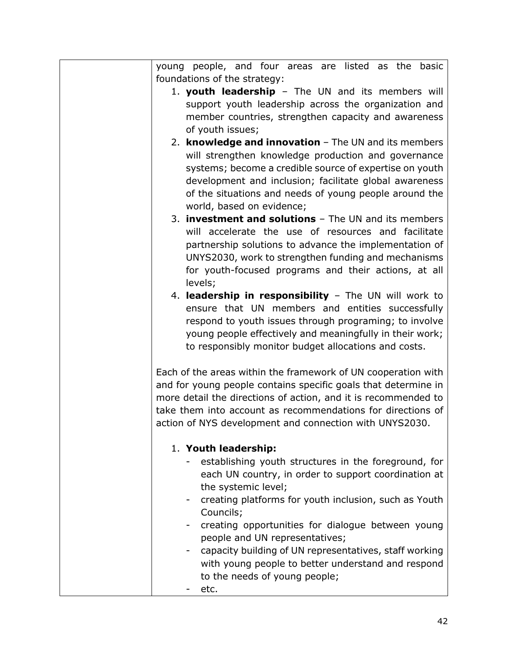| young people, and four areas are listed as the basic           |
|----------------------------------------------------------------|
| foundations of the strategy:                                   |
| 1. youth leadership - The UN and its members will              |
| support youth leadership across the organization and           |
| member countries, strengthen capacity and awareness            |
| of youth issues;                                               |
| 2. knowledge and innovation - The UN and its members           |
| will strengthen knowledge production and governance            |
| systems; become a credible source of expertise on youth        |
| development and inclusion; facilitate global awareness         |
| of the situations and needs of young people around the         |
| world, based on evidence;                                      |
| 3. <b>investment and solutions</b> - The UN and its members    |
| will accelerate the use of resources and facilitate            |
| partnership solutions to advance the implementation of         |
| UNYS2030, work to strengthen funding and mechanisms            |
| for youth-focused programs and their actions, at all           |
| levels;                                                        |
| 4. leadership in responsibility - The UN will work to          |
| ensure that UN members and entities successfully               |
| respond to youth issues through programing; to involve         |
| young people effectively and meaningfully in their work;       |
| to responsibly monitor budget allocations and costs.           |
|                                                                |
| Each of the areas within the framework of UN cooperation with  |
| and for young people contains specific goals that determine in |
| more detail the directions of action, and it is recommended to |
| take them into account as recommendations for directions of    |
| action of NYS development and connection with UNYS2030.        |
|                                                                |
| 1. Youth leadership:                                           |
| establishing youth structures in the foreground, for           |
| each UN country, in order to support coordination at           |
| the systemic level;                                            |
| creating platforms for youth inclusion, such as Youth          |
| Councils;                                                      |
| creating opportunities for dialogue between young              |
| people and UN representatives;                                 |
| capacity building of UN representatives, staff working         |
| with young people to better understand and respond             |
| to the needs of young people;                                  |
| etc.                                                           |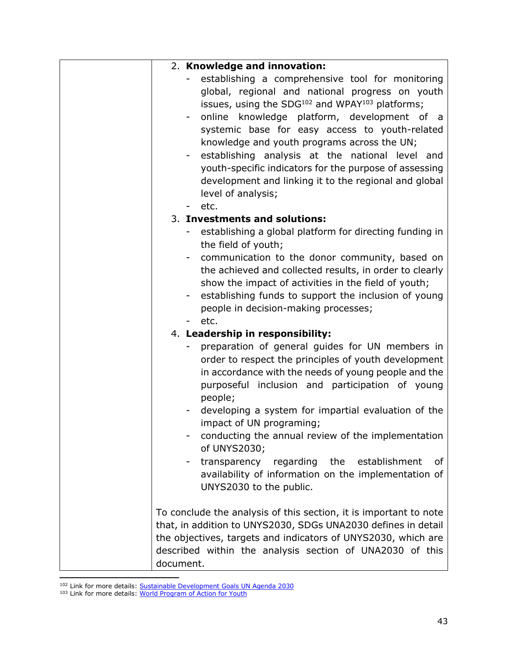| 2. Knowledge and innovation:                                                                                                                                                                                                                                                                                                                                                                                                                                                                                                         |
|--------------------------------------------------------------------------------------------------------------------------------------------------------------------------------------------------------------------------------------------------------------------------------------------------------------------------------------------------------------------------------------------------------------------------------------------------------------------------------------------------------------------------------------|
| establishing a comprehensive tool for monitoring<br>global, regional and national progress on youth<br>issues, using the SDG <sup>102</sup> and WPAY <sup>103</sup> platforms;<br>online knowledge platform, development of a<br>systemic base for easy access to youth-related<br>knowledge and youth programs across the UN;<br>establishing analysis at the national level<br>and<br>- 1<br>youth-specific indicators for the purpose of assessing<br>development and linking it to the regional and global<br>level of analysis; |
| etc.                                                                                                                                                                                                                                                                                                                                                                                                                                                                                                                                 |
| 3. Investments and solutions:<br>establishing a global platform for directing funding in<br>the field of youth;<br>communication to the donor community, based on<br>the achieved and collected results, in order to clearly<br>show the impact of activities in the field of youth;<br>- establishing funds to support the inclusion of young<br>people in decision-making processes;<br>etc.                                                                                                                                       |
| 4. Leadership in responsibility:                                                                                                                                                                                                                                                                                                                                                                                                                                                                                                     |
| preparation of general guides for UN members in<br>order to respect the principles of youth development<br>in accordance with the needs of young people and the<br>purposeful inclusion and participation of young<br>people;<br>developing a system for impartial evaluation of the<br>impact of UN programing;<br>conducting the annual review of the implementation<br>of UNYS2030;<br>the<br>transparency<br>regarding<br>establishment<br>0f<br>availability of information on the implementation of<br>UNYS2030 to the public. |
| To conclude the analysis of this section, it is important to note<br>that, in addition to UNYS2030, SDGs UNA2030 defines in detail<br>the objectives, targets and indicators of UNYS2030, which are<br>described within the analysis section of UNA2030 of this<br>document.                                                                                                                                                                                                                                                         |

<sup>&</sup>lt;sup>102</sup> Link for more details: [Sustainable Development Goals UN Agenda 2030](https://www.un.org/sustainabledevelopment/sustainable-development-goals/)

<sup>&</sup>lt;sup>103</sup> Link for more details: [World Program of Action for Youth](https://www.un.org/development/desa/youth/world-programme-of-action-for-youth.html)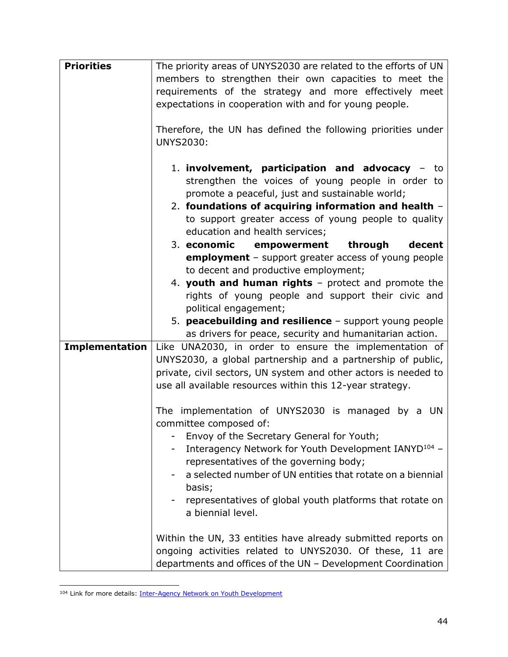| <b>Priorities</b>     | The priority areas of UNYS2030 are related to the efforts of UN  |
|-----------------------|------------------------------------------------------------------|
|                       | members to strengthen their own capacities to meet the           |
|                       | requirements of the strategy and more effectively meet           |
|                       | expectations in cooperation with and for young people.           |
|                       |                                                                  |
|                       | Therefore, the UN has defined the following priorities under     |
|                       | <b>UNYS2030:</b>                                                 |
|                       |                                                                  |
|                       | 1. involvement, participation and advocacy - to                  |
|                       |                                                                  |
|                       | strengthen the voices of young people in order to                |
|                       | promote a peaceful, just and sustainable world;                  |
|                       | 2. foundations of acquiring information and health -             |
|                       | to support greater access of young people to quality             |
|                       | education and health services;                                   |
|                       | 3. economic<br>empowerment<br>through<br>decent                  |
|                       | <b>employment</b> - support greater access of young people       |
|                       | to decent and productive employment;                             |
|                       | 4. youth and human rights - protect and promote the              |
|                       | rights of young people and support their civic and               |
|                       | political engagement;                                            |
|                       | 5. peacebuilding and resilience - support young people           |
|                       | as drivers for peace, security and humanitarian action.          |
| <b>Implementation</b> | Like UNA2030, in order to ensure the implementation of           |
|                       | UNYS2030, a global partnership and a partnership of public,      |
|                       | private, civil sectors, UN system and other actors is needed to  |
|                       | use all available resources within this 12-year strategy.        |
|                       |                                                                  |
|                       | The implementation of UNYS2030 is managed by a UN                |
|                       | committee composed of:                                           |
|                       | Envoy of the Secretary General for Youth;                        |
|                       | Interagency Network for Youth Development IANYD <sup>104</sup> - |
|                       | representatives of the governing body;                           |
|                       | a selected number of UN entities that rotate on a biennial       |
|                       | basis;                                                           |
|                       | representatives of global youth platforms that rotate on         |
|                       | a biennial level.                                                |
|                       |                                                                  |
|                       | Within the UN, 33 entities have already submitted reports on     |
|                       | ongoing activities related to UNYS2030. Of these, 11 are         |
|                       |                                                                  |
|                       | departments and offices of the UN - Development Coordination     |

<sup>&</sup>lt;sup>104</sup> Link for more details: **Inter-Agency Network on Youth Development**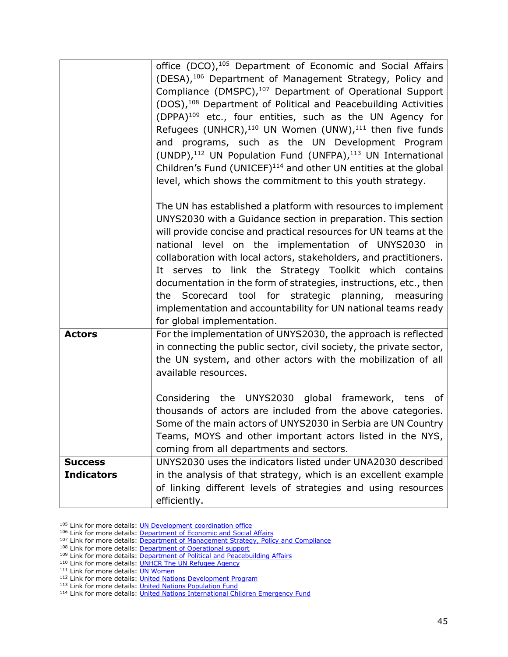|                                     | office (DCO), <sup>105</sup> Department of Economic and Social Affairs<br>(DESA), <sup>106</sup> Department of Management Strategy, Policy and<br>Compliance (DMSPC), <sup>107</sup> Department of Operational Support<br>(DOS), <sup>108</sup> Department of Political and Peacebuilding Activities<br>(DPPA) <sup>109</sup> etc., four entities, such as the UN Agency for<br>Refugees (UNHCR), $^{110}$ UN Women (UNW), $^{111}$ then five funds<br>and programs, such as the UN Development Program<br>(UNDP), <sup>112</sup> UN Population Fund (UNFPA), <sup>113</sup> UN International<br>Children's Fund (UNICEF) <sup>114</sup> and other UN entities at the global<br>level, which shows the commitment to this youth strategy. |
|-------------------------------------|-------------------------------------------------------------------------------------------------------------------------------------------------------------------------------------------------------------------------------------------------------------------------------------------------------------------------------------------------------------------------------------------------------------------------------------------------------------------------------------------------------------------------------------------------------------------------------------------------------------------------------------------------------------------------------------------------------------------------------------------|
|                                     | The UN has established a platform with resources to implement<br>UNYS2030 with a Guidance section in preparation. This section<br>will provide concise and practical resources for UN teams at the<br>national level on the implementation of UNYS2030 in<br>collaboration with local actors, stakeholders, and practitioners.<br>It serves to link the Strategy Toolkit which contains<br>documentation in the form of strategies, instructions, etc., then<br>the Scorecard tool for strategic planning, measuring<br>implementation and accountability for UN national teams ready<br>for global implementation.                                                                                                                       |
| <b>Actors</b>                       | For the implementation of UNYS2030, the approach is reflected<br>in connecting the public sector, civil society, the private sector,<br>the UN system, and other actors with the mobilization of all<br>available resources.<br>Considering the UNYS2030 global framework, tens of<br>thousands of actors are included from the above categories.<br>Some of the main actors of UNYS2030 in Serbia are UN Country                                                                                                                                                                                                                                                                                                                         |
|                                     | Teams, MOYS and other important actors listed in the NYS,<br>coming from all departments and sectors.                                                                                                                                                                                                                                                                                                                                                                                                                                                                                                                                                                                                                                     |
| <b>Success</b><br><b>Indicators</b> | UNYS2030 uses the indicators listed under UNA2030 described<br>in the analysis of that strategy, which is an excellent example<br>of linking different levels of strategies and using resources<br>efficiently.                                                                                                                                                                                                                                                                                                                                                                                                                                                                                                                           |

<sup>105</sup> Link for more details: **UN Development coordination office** 

110 Link for more details: [UNHCR The UN Refugee Agency](https://www.unhcr.org/)

<sup>&</sup>lt;sup>106</sup> Link for more details: [Department of Economic and Social Affairs](https://www.un.org/en/desa)

<sup>&</sup>lt;sup>107</sup> Link for more details: <u>Department of Management Strategy, Policy and Compliance</u>

<sup>&</sup>lt;sup>108</sup> Link for more details: **Department of Operational support** 

<sup>&</sup>lt;sup>109</sup> Link for more details: [Department of Political and Peacebuilding Affairs](https://dppa.un.org/en)

<sup>&</sup>lt;sup>111</sup> Link for more details: **UN Women** 

<sup>&</sup>lt;sup>112</sup> Link for more details: [United Nations Development Program](https://www.undp.org/about-us)

<sup>&</sup>lt;sup>113</sup> Link for more details: *United Nations Population Fund* 

<sup>&</sup>lt;sup>114</sup> Link for more details: [United Nations International Children Emergency Fund](https://www.unicef.org/)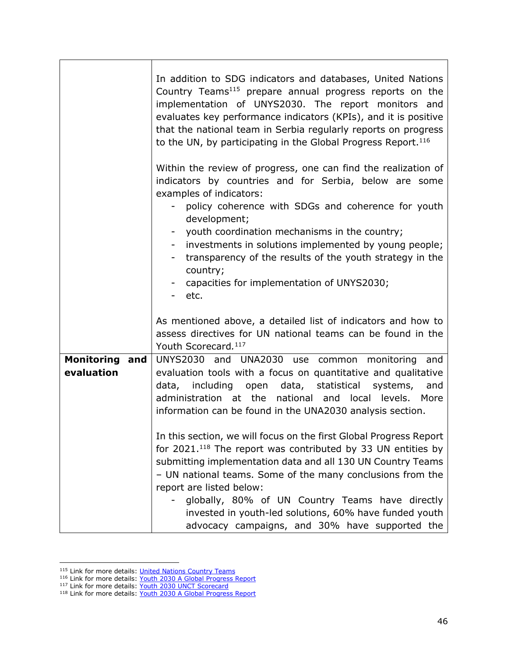|                                     | In addition to SDG indicators and databases, United Nations<br>Country Teams <sup>115</sup> prepare annual progress reports on the<br>implementation of UNYS2030. The report monitors and<br>evaluates key performance indicators (KPIs), and it is positive<br>that the national team in Serbia regularly reports on progress<br>to the UN, by participating in the Global Progress Report. <sup>116</sup>                                                               |
|-------------------------------------|---------------------------------------------------------------------------------------------------------------------------------------------------------------------------------------------------------------------------------------------------------------------------------------------------------------------------------------------------------------------------------------------------------------------------------------------------------------------------|
|                                     | Within the review of progress, one can find the realization of<br>indicators by countries and for Serbia, below are some<br>examples of indicators:<br>- policy coherence with SDGs and coherence for youth<br>development;<br>youth coordination mechanisms in the country;<br>investments in solutions implemented by young people;<br>transparency of the results of the youth strategy in the<br>country;<br>capacities for implementation of UNYS2030;<br>etc.       |
|                                     | As mentioned above, a detailed list of indicators and how to<br>assess directives for UN national teams can be found in the<br>Youth Scorecard. <sup>117</sup>                                                                                                                                                                                                                                                                                                            |
| <b>Monitoring and</b><br>evaluation | UNYS2030 and UNA2030 use common monitoring and<br>evaluation tools with a focus on quantitative and qualitative<br>data, including open data, statistical systems,<br>and<br>administration at the<br>national and local<br>levels. More<br>information can be found in the UNA2030 analysis section.                                                                                                                                                                     |
|                                     | In this section, we will focus on the first Global Progress Report<br>for $2021$ . <sup>118</sup> The report was contributed by 33 UN entities by<br>submitting implementation data and all 130 UN Country Teams<br>- UN national teams. Some of the many conclusions from the<br>report are listed below:<br>globally, 80% of UN Country Teams have directly<br>invested in youth-led solutions, 60% have funded youth<br>advocacy campaigns, and 30% have supported the |

<sup>117</sup> Link for more details: [Youth 2030 UNCT Scorecard](https://www.un.org/youthenvoy/wp-content/uploads/2020/11/Youth-2030-UNCT-Scorecard.pdf)

<sup>&</sup>lt;sup>115</sup> Link for more details: *United Nations Country Teams* 

<sup>116</sup> Link for more details: [Youth 2030 A Global Progress Report](https://5d962978-9e17-4b96-91be-93983605fae8.filesusr.com/ugd/b1d674_731b4ac5aa674c6dbe087e96a9150872.pdf)

<sup>&</sup>lt;sup>118</sup> Link for more details: [Youth 2030 A Global Progress Report](https://5d962978-9e17-4b96-91be-93983605fae8.filesusr.com/ugd/b1d674_731b4ac5aa674c6dbe087e96a9150872.pdf)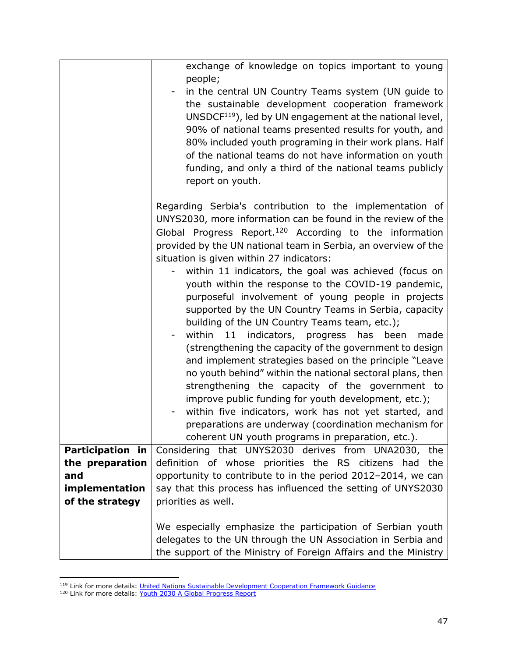|                         | exchange of knowledge on topics important to young<br>people;                                                                                                                                                                                                                                                                                                                                                                             |
|-------------------------|-------------------------------------------------------------------------------------------------------------------------------------------------------------------------------------------------------------------------------------------------------------------------------------------------------------------------------------------------------------------------------------------------------------------------------------------|
|                         | in the central UN Country Teams system (UN guide to<br>the sustainable development cooperation framework<br>UNSDC $F^{119}$ ), led by UN engagement at the national level,<br>90% of national teams presented results for youth, and<br>80% included youth programing in their work plans. Half<br>of the national teams do not have information on youth<br>funding, and only a third of the national teams publicly<br>report on youth. |
|                         | Regarding Serbia's contribution to the implementation of<br>UNYS2030, more information can be found in the review of the<br>Global Progress Report. <sup>120</sup> According to the information<br>provided by the UN national team in Serbia, an overview of the                                                                                                                                                                         |
|                         | situation is given within 27 indicators:<br>within 11 indicators, the goal was achieved (focus on                                                                                                                                                                                                                                                                                                                                         |
|                         | youth within the response to the COVID-19 pandemic,                                                                                                                                                                                                                                                                                                                                                                                       |
|                         | purposeful involvement of young people in projects<br>supported by the UN Country Teams in Serbia, capacity                                                                                                                                                                                                                                                                                                                               |
|                         | building of the UN Country Teams team, etc.);<br>within 11 indicators, progress has been<br>made                                                                                                                                                                                                                                                                                                                                          |
|                         | (strengthening the capacity of the government to design<br>and implement strategies based on the principle "Leave                                                                                                                                                                                                                                                                                                                         |
|                         | no youth behind" within the national sectoral plans, then<br>strengthening the capacity of the government to                                                                                                                                                                                                                                                                                                                              |
|                         | improve public funding for youth development, etc.);                                                                                                                                                                                                                                                                                                                                                                                      |
|                         | within five indicators, work has not yet started, and<br>preparations are underway (coordination mechanism for                                                                                                                                                                                                                                                                                                                            |
|                         | coherent UN youth programs in preparation, etc.).                                                                                                                                                                                                                                                                                                                                                                                         |
| <b>Participation in</b> | Considering that UNYS2030 derives from UNA2030, the                                                                                                                                                                                                                                                                                                                                                                                       |
| the preparation<br>and  | definition of whose priorities the RS citizens had the<br>opportunity to contribute to in the period 2012-2014, we can                                                                                                                                                                                                                                                                                                                    |
| implementation          | say that this process has influenced the setting of UNYS2030                                                                                                                                                                                                                                                                                                                                                                              |
| of the strategy         | priorities as well.                                                                                                                                                                                                                                                                                                                                                                                                                       |
|                         |                                                                                                                                                                                                                                                                                                                                                                                                                                           |
|                         | We especially emphasize the participation of Serbian youth<br>delegates to the UN through the UN Association in Serbia and<br>the support of the Ministry of Foreign Affairs and the Ministry                                                                                                                                                                                                                                             |

<sup>&</sup>lt;sup>119</sup> Link for more details: *United Nations Sustainable Development Cooperation Framework Guidance* 

<sup>&</sup>lt;sup>120</sup> Link for more details: [Youth 2030 A Global Progress Report](https://5d962978-9e17-4b96-91be-93983605fae8.filesusr.com/ugd/b1d674_731b4ac5aa674c6dbe087e96a9150872.pdf)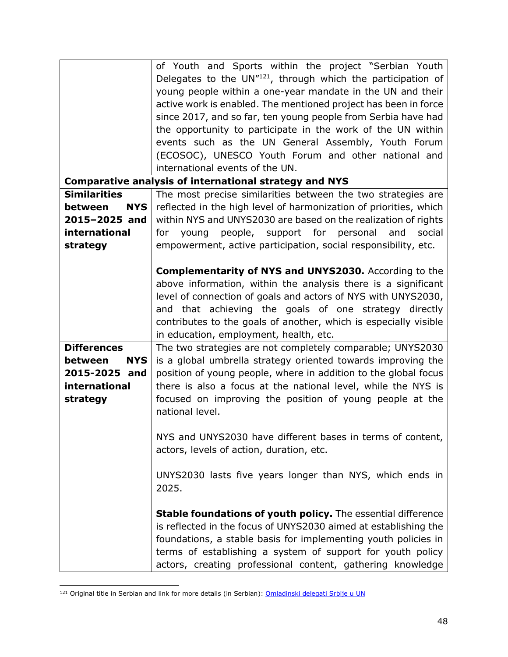|                       | of Youth and Sports within the project "Serbian Youth             |
|-----------------------|-------------------------------------------------------------------|
|                       | Delegates to the UN"121, through which the participation of       |
|                       | young people within a one-year mandate in the UN and their        |
|                       | active work is enabled. The mentioned project has been in force   |
|                       | since 2017, and so far, ten young people from Serbia have had     |
|                       | the opportunity to participate in the work of the UN within       |
|                       | events such as the UN General Assembly, Youth Forum               |
|                       | (ECOSOC), UNESCO Youth Forum and other national and               |
|                       | international events of the UN.                                   |
|                       | <b>Comparative analysis of international strategy and NYS</b>     |
| <b>Similarities</b>   | The most precise similarities between the two strategies are      |
| <b>NYS</b><br>between | reflected in the high level of harmonization of priorities, which |
| 2015-2025 and         | within NYS and UNYS2030 are based on the realization of rights    |
| international         | young people, support for personal<br>and<br>social<br>for        |
| strategy              | empowerment, active participation, social responsibility, etc.    |
|                       |                                                                   |
|                       | <b>Complementarity of NYS and UNYS2030.</b> According to the      |
|                       | above information, within the analysis there is a significant     |
|                       | level of connection of goals and actors of NYS with UNYS2030,     |
|                       | and that achieving the goals of one strategy directly             |
|                       | contributes to the goals of another, which is especially visible  |
|                       | in education, employment, health, etc.                            |
| <b>Differences</b>    | The two strategies are not completely comparable; UNYS2030        |
| <b>NYS</b><br>between | is a global umbrella strategy oriented towards improving the      |
| 2015-2025 and         | position of young people, where in addition to the global focus   |
| international         | there is also a focus at the national level, while the NYS is     |
| strategy              | focused on improving the position of young people at the          |
|                       | national level.                                                   |
|                       |                                                                   |
|                       | NYS and UNYS2030 have different bases in terms of content,        |
|                       | actors, levels of action, duration, etc.                          |
|                       |                                                                   |
|                       | UNYS2030 lasts five years longer than NYS, which ends in          |
|                       | 2025.                                                             |
|                       |                                                                   |
|                       | Stable foundations of youth policy. The essential difference      |
|                       | is reflected in the focus of UNYS2030 aimed at establishing the   |
|                       | foundations, a stable basis for implementing youth policies in    |
|                       | terms of establishing a system of support for youth policy        |
|                       | actors, creating professional content, gathering knowledge        |

<sup>&</sup>lt;sup>121</sup> Original title in Serbian and link for more details (in Serbian): **Omladinski delegati Srbije u UN**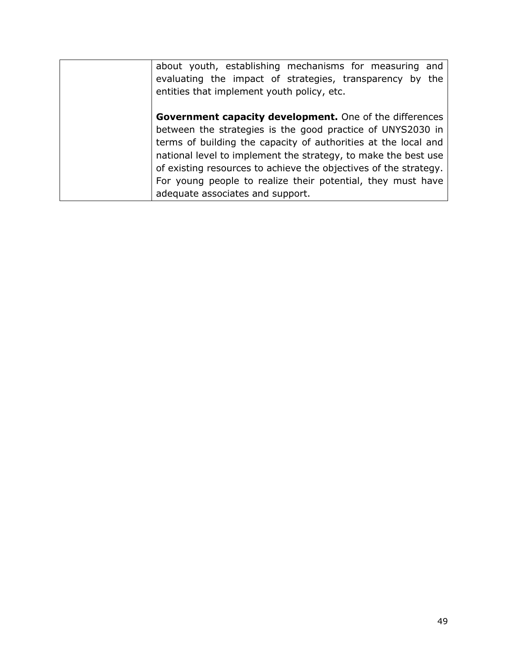| about youth, establishing mechanisms for measuring<br>and<br>evaluating the impact of strategies, transparency by the<br>entities that implement youth policy, etc.                                                                                                                                                                                                                                                              |
|----------------------------------------------------------------------------------------------------------------------------------------------------------------------------------------------------------------------------------------------------------------------------------------------------------------------------------------------------------------------------------------------------------------------------------|
| Government capacity development. One of the differences<br>between the strategies is the good practice of UNYS2030 in<br>terms of building the capacity of authorities at the local and<br>national level to implement the strategy, to make the best use<br>of existing resources to achieve the objectives of the strategy.<br>For young people to realize their potential, they must have<br>adequate associates and support. |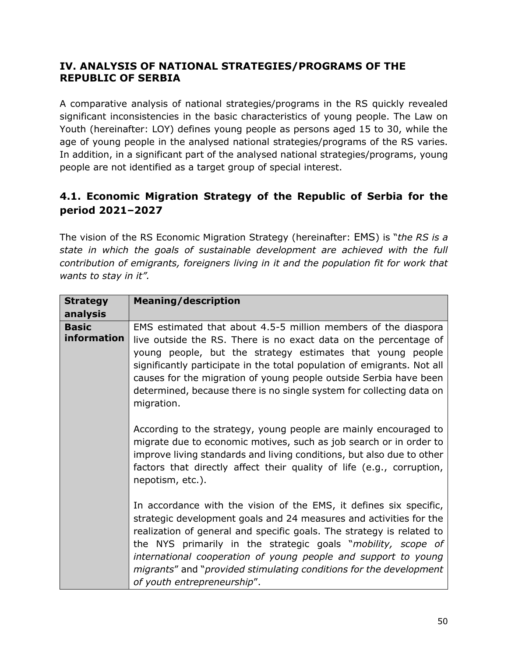#### **IV. ANALYSIS OF NATIONAL STRATEGIES/PROGRAMS OF THE REPUBLIC OF SERBIA**

A comparative analysis of national strategies/programs in the RS quickly revealed significant inconsistencies in the basic characteristics of young people. The Law on Youth (hereinafter: LOY) defines young people as persons aged 15 to 30, while the age of young people in the analysed national strategies/programs of the RS varies. In addition, in a significant part of the analysed national strategies/programs, young people are not identified as a target group of special interest.

### **4.1. Economic Migration Strategy of the Republic of Serbia for the period 2021‒2027**

The vision of the RS Economic Migration Strategy (hereinafter: EMS) is "*the RS is a state in which the goals of sustainable development are achieved with the full contribution of emigrants, foreigners living in it and the population fit for work that wants to stay in it".*

| <b>Strategy</b>             | <b>Meaning/description</b>                                                                                                                                                                                                                                                                                                                                                                                                                               |
|-----------------------------|----------------------------------------------------------------------------------------------------------------------------------------------------------------------------------------------------------------------------------------------------------------------------------------------------------------------------------------------------------------------------------------------------------------------------------------------------------|
| analysis                    |                                                                                                                                                                                                                                                                                                                                                                                                                                                          |
| <b>Basic</b><br>information | EMS estimated that about 4.5-5 million members of the diaspora<br>live outside the RS. There is no exact data on the percentage of<br>young people, but the strategy estimates that young people<br>significantly participate in the total population of emigrants. Not all<br>causes for the migration of young people outside Serbia have been<br>determined, because there is no single system for collecting data on<br>migration.                   |
|                             | According to the strategy, young people are mainly encouraged to<br>migrate due to economic motives, such as job search or in order to<br>improve living standards and living conditions, but also due to other<br>factors that directly affect their quality of life (e.g., corruption,<br>nepotism, etc.).                                                                                                                                             |
|                             | In accordance with the vision of the EMS, it defines six specific,<br>strategic development goals and 24 measures and activities for the<br>realization of general and specific goals. The strategy is related to<br>the NYS primarily in the strategic goals "mobility, scope of<br>international cooperation of young people and support to young<br>migrants" and "provided stimulating conditions for the development<br>of youth entrepreneurship". |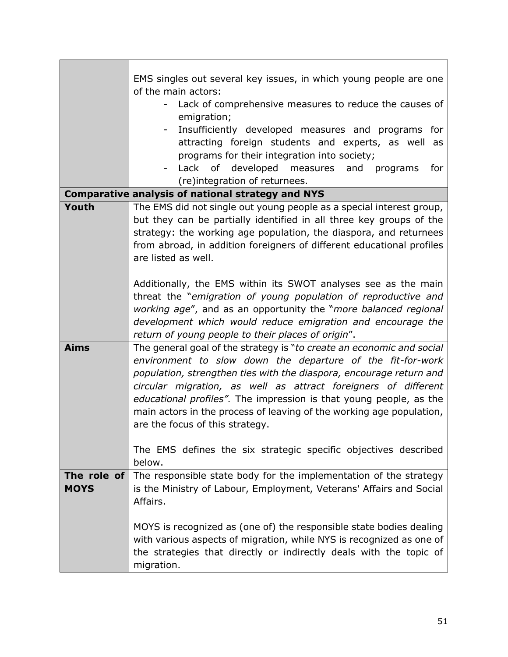|                            | EMS singles out several key issues, in which young people are one     |
|----------------------------|-----------------------------------------------------------------------|
|                            | of the main actors:                                                   |
|                            | Lack of comprehensive measures to reduce the causes of<br>۰           |
|                            | emigration;                                                           |
|                            | Insufficiently developed measures and programs for                    |
|                            | attracting foreign students and experts, as well as                   |
|                            | programs for their integration into society;                          |
|                            | Lack of developed measures and programs<br>for                        |
|                            | (re)integration of returnees.                                         |
|                            | <b>Comparative analysis of national strategy and NYS</b>              |
| Youth                      | The EMS did not single out young people as a special interest group,  |
|                            | but they can be partially identified in all three key groups of the   |
|                            | strategy: the working age population, the diaspora, and returnees     |
|                            | from abroad, in addition foreigners of different educational profiles |
|                            | are listed as well.                                                   |
|                            |                                                                       |
|                            | Additionally, the EMS within its SWOT analyses see as the main        |
|                            | threat the "emigration of young population of reproductive and        |
|                            | working age", and as an opportunity the "more balanced regional       |
|                            | development which would reduce emigration and encourage the           |
|                            | return of young people to their places of origin".                    |
| <b>Aims</b>                | The general goal of the strategy is "to create an economic and social |
|                            | environment to slow down the departure of the fit-for-work            |
|                            | population, strengthen ties with the diaspora, encourage return and   |
|                            | circular migration, as well as attract foreigners of different        |
|                            | educational profiles". The impression is that young people, as the    |
|                            | main actors in the process of leaving of the working age population,  |
|                            | are the focus of this strategy.                                       |
|                            |                                                                       |
|                            | The EMS defines the six strategic specific objectives described       |
|                            | below.                                                                |
| The role of<br><b>MOYS</b> | The responsible state body for the implementation of the strategy     |
|                            | is the Ministry of Labour, Employment, Veterans' Affairs and Social   |
|                            | Affairs.                                                              |
|                            | MOYS is recognized as (one of) the responsible state bodies dealing   |
|                            | with various aspects of migration, while NYS is recognized as one of  |
|                            | the strategies that directly or indirectly deals with the topic of    |
|                            |                                                                       |
|                            | migration.                                                            |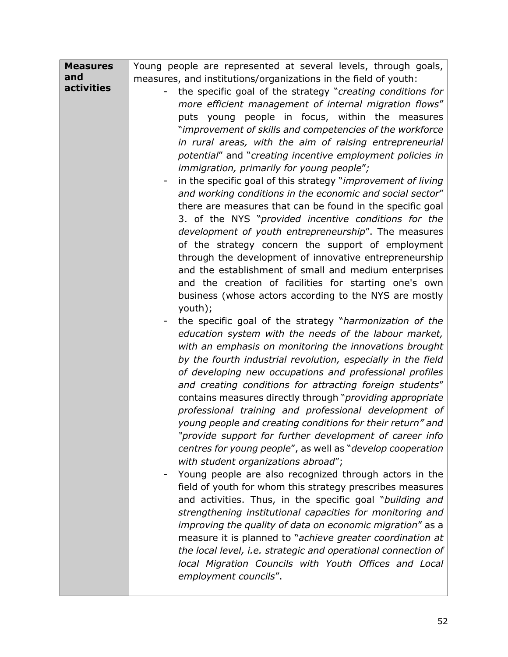| <b>Measures</b> | Young people are represented at several levels, through goals,       |
|-----------------|----------------------------------------------------------------------|
| and             | measures, and institutions/organizations in the field of youth:      |
| activities      | the specific goal of the strategy "creating conditions for<br>-      |
|                 | more efficient management of internal migration flows"               |
|                 | puts young people in focus, within the measures                      |
|                 | "improvement of skills and competencies of the workforce             |
|                 | in rural areas, with the aim of raising entrepreneurial              |
|                 | potential" and "creating incentive employment policies in            |
|                 | immigration, primarily for young people";                            |
|                 | in the specific goal of this strategy "improvement of living         |
|                 | and working conditions in the economic and social sector"            |
|                 | there are measures that can be found in the specific goal            |
|                 | 3. of the NYS "provided incentive conditions for the                 |
|                 | development of youth entrepreneurship". The measures                 |
|                 | of the strategy concern the support of employment                    |
|                 | through the development of innovative entrepreneurship               |
|                 | and the establishment of small and medium enterprises                |
|                 | and the creation of facilities for starting one's own                |
|                 | business (whose actors according to the NYS are mostly               |
|                 | youth);                                                              |
|                 | the specific goal of the strategy "harmonization of the              |
|                 | education system with the needs of the labour market,                |
|                 | with an emphasis on monitoring the innovations brought               |
|                 | by the fourth industrial revolution, especially in the field         |
|                 | of developing new occupations and professional profiles              |
|                 | and creating conditions for attracting foreign students"             |
|                 | contains measures directly through "providing appropriate            |
|                 | professional training and professional development of                |
|                 | young people and creating conditions for their return" and           |
|                 | "provide support for further development of career info              |
|                 | centres for young people", as well as "develop cooperation           |
|                 | with student organizations abroad";                                  |
|                 | Young people are also recognized through actors in the               |
|                 | field of youth for whom this strategy prescribes measures            |
|                 | and activities. Thus, in the specific goal "building and             |
|                 | strengthening institutional capacities for monitoring and            |
|                 | improving the quality of data on economic migration" as a            |
|                 | measure it is planned to "achieve greater coordination at            |
|                 | the local level, <i>i.e.</i> strategic and operational connection of |
|                 | local Migration Councils with Youth Offices and Local                |
|                 | employment councils".                                                |
|                 |                                                                      |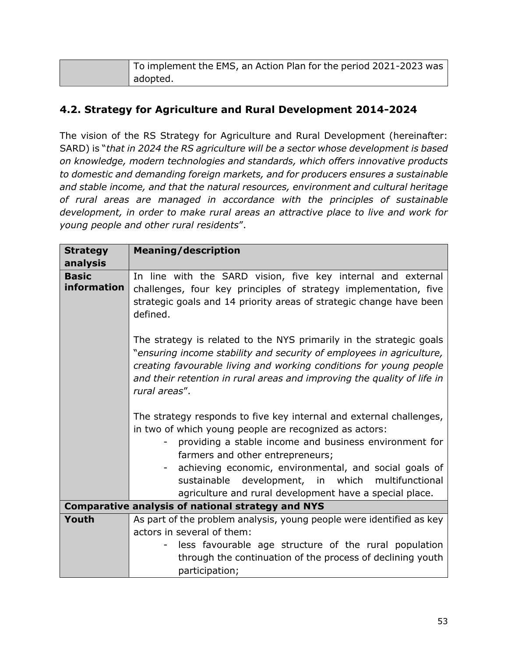| $\mid$ To implement the EMS, an Action Plan for the period 2021-2023 was $\mid$ |
|---------------------------------------------------------------------------------|
| adopted.                                                                        |

#### **4.2. Strategy for Agriculture and Rural Development 2014-2024**

The vision of the RS Strategy for Agriculture and Rural Development (hereinafter: SARD) is "*that in 2024 the RS agriculture will be a sector whose development is based on knowledge, modern technologies and standards, which offers innovative products to domestic and demanding foreign markets, and for producers ensures a sustainable and stable income, and that the natural resources, environment and cultural heritage of rural areas are managed in accordance with the principles of sustainable development, in order to make rural areas an attractive place to live and work for young people and other rural residents*".

| <b>Strategy</b><br>analysis | <b>Meaning/description</b>                                                                                                                                                                                                                                                                                                                                                                            |
|-----------------------------|-------------------------------------------------------------------------------------------------------------------------------------------------------------------------------------------------------------------------------------------------------------------------------------------------------------------------------------------------------------------------------------------------------|
| <b>Basic</b><br>information | In line with the SARD vision, five key internal and external<br>challenges, four key principles of strategy implementation, five<br>strategic goals and 14 priority areas of strategic change have been<br>defined.                                                                                                                                                                                   |
|                             | The strategy is related to the NYS primarily in the strategic goals<br>"ensuring income stability and security of employees in agriculture,<br>creating favourable living and working conditions for young people<br>and their retention in rural areas and improving the quality of life in<br>rural areas".                                                                                         |
|                             | The strategy responds to five key internal and external challenges,<br>in two of which young people are recognized as actors:<br>providing a stable income and business environment for<br>farmers and other entrepreneurs;<br>achieving economic, environmental, and social goals of<br>sustainable development, in which multifunctional<br>agriculture and rural development have a special place. |
|                             | <b>Comparative analysis of national strategy and NYS</b>                                                                                                                                                                                                                                                                                                                                              |
| Youth                       | As part of the problem analysis, young people were identified as key<br>actors in several of them:<br>less favourable age structure of the rural population<br>through the continuation of the process of declining youth<br>participation;                                                                                                                                                           |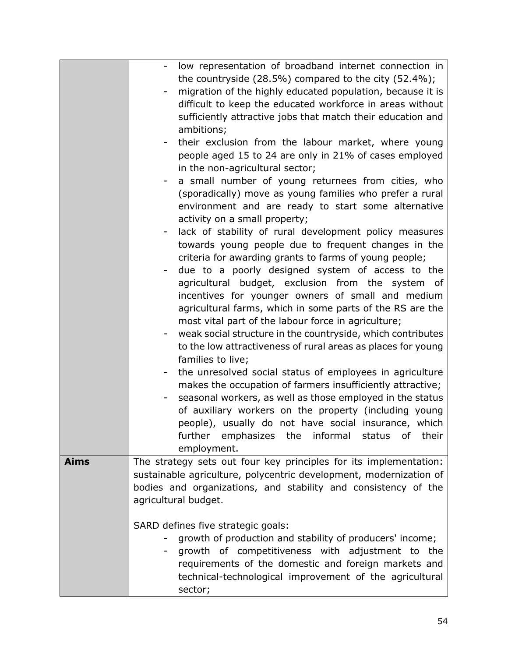|             | low representation of broadband internet connection in                                                                                  |
|-------------|-----------------------------------------------------------------------------------------------------------------------------------------|
|             | the countryside $(28.5\%)$ compared to the city $(52.4\%)$ ;                                                                            |
|             | migration of the highly educated population, because it is                                                                              |
|             | difficult to keep the educated workforce in areas without                                                                               |
|             | sufficiently attractive jobs that match their education and                                                                             |
|             | ambitions;                                                                                                                              |
|             | their exclusion from the labour market, where young                                                                                     |
|             | people aged 15 to 24 are only in 21% of cases employed                                                                                  |
|             | in the non-agricultural sector;                                                                                                         |
|             | a small number of young returnees from cities, who                                                                                      |
|             | (sporadically) move as young families who prefer a rural                                                                                |
|             | environment and are ready to start some alternative                                                                                     |
|             | activity on a small property;                                                                                                           |
|             | lack of stability of rural development policy measures                                                                                  |
|             | towards young people due to frequent changes in the                                                                                     |
|             | criteria for awarding grants to farms of young people;                                                                                  |
|             | due to a poorly designed system of access to the                                                                                        |
|             | agricultural budget, exclusion from the system of                                                                                       |
|             | incentives for younger owners of small and medium                                                                                       |
|             | agricultural farms, which in some parts of the RS are the                                                                               |
|             | most vital part of the labour force in agriculture;                                                                                     |
|             | weak social structure in the countryside, which contributes<br>-                                                                        |
|             | to the low attractiveness of rural areas as places for young                                                                            |
|             | families to live;                                                                                                                       |
|             | the unresolved social status of employees in agriculture                                                                                |
|             | makes the occupation of farmers insufficiently attractive;                                                                              |
|             | seasonal workers, as well as those employed in the status                                                                               |
|             | of auxiliary workers on the property (including young                                                                                   |
|             | people), usually do not have social insurance, which                                                                                    |
|             |                                                                                                                                         |
|             | further emphasizes the informal<br>their<br>status<br>of                                                                                |
| <b>Aims</b> | employment.                                                                                                                             |
|             | The strategy sets out four key principles for its implementation:<br>sustainable agriculture, polycentric development, modernization of |
|             |                                                                                                                                         |
|             | bodies and organizations, and stability and consistency of the                                                                          |
|             | agricultural budget.                                                                                                                    |
|             |                                                                                                                                         |
|             | SARD defines five strategic goals:                                                                                                      |
|             | growth of production and stability of producers' income;                                                                                |
|             | growth of competitiveness with adjustment to the                                                                                        |
|             | requirements of the domestic and foreign markets and                                                                                    |
|             | technical-technological improvement of the agricultural                                                                                 |
|             | sector;                                                                                                                                 |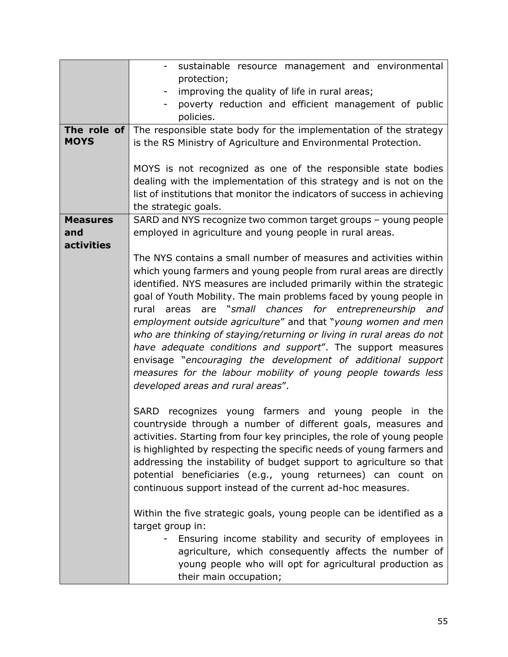|                        | sustainable resource management and environmental<br>$\overline{\phantom{a}}$                                              |
|------------------------|----------------------------------------------------------------------------------------------------------------------------|
|                        | protection;                                                                                                                |
|                        | improving the quality of life in rural areas;                                                                              |
|                        | poverty reduction and efficient management of public                                                                       |
|                        | policies.                                                                                                                  |
| The role of            | The responsible state body for the implementation of the strategy                                                          |
| <b>MOYS</b>            | is the RS Ministry of Agriculture and Environmental Protection.                                                            |
|                        |                                                                                                                            |
|                        | MOYS is not recognized as one of the responsible state bodies                                                              |
|                        | dealing with the implementation of this strategy and is not on the                                                         |
|                        | list of institutions that monitor the indicators of success in achieving                                                   |
|                        | the strategic goals.                                                                                                       |
| <b>Measures</b><br>and | SARD and NYS recognize two common target groups - young people<br>employed in agriculture and young people in rural areas. |
| <b>activities</b>      |                                                                                                                            |
|                        | The NYS contains a small number of measures and activities within                                                          |
|                        | which young farmers and young people from rural areas are directly                                                         |
|                        | identified. NYS measures are included primarily within the strategic                                                       |
|                        | goal of Youth Mobility. The main problems faced by young people in                                                         |
|                        | are "small chances for entrepreneurship and<br>rural<br>areas                                                              |
|                        | employment outside agriculture" and that "young women and men                                                              |
|                        | who are thinking of staying/returning or living in rural areas do not                                                      |
|                        | have adequate conditions and support". The support measures                                                                |
|                        | envisage "encouraging the development of additional support                                                                |
|                        | measures for the labour mobility of young people towards less                                                              |
|                        | developed areas and rural areas".                                                                                          |
|                        |                                                                                                                            |
|                        | SARD recognizes young farmers and young people in the                                                                      |
|                        | countryside through a number of different goals, measures and                                                              |
|                        | activities. Starting from four key principles, the role of young people                                                    |
|                        | is highlighted by respecting the specific needs of young farmers and                                                       |
|                        | addressing the instability of budget support to agriculture so that                                                        |
|                        | potential beneficiaries (e.g., young returnees) can count on                                                               |
|                        | continuous support instead of the current ad-hoc measures.                                                                 |
|                        | Within the five strategic goals, young people can be identified as a                                                       |
|                        | target group in:                                                                                                           |
|                        | Ensuring income stability and security of employees in                                                                     |
|                        | agriculture, which consequently affects the number of                                                                      |
|                        | young people who will opt for agricultural production as                                                                   |
|                        | their main occupation;                                                                                                     |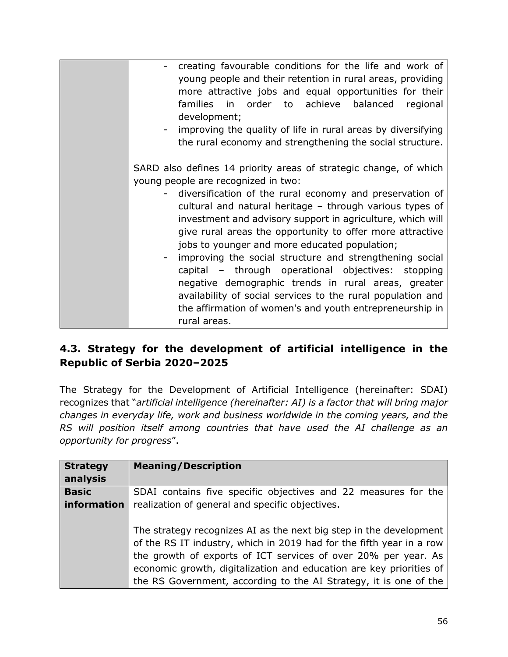| creating favourable conditions for the life and work of           |
|-------------------------------------------------------------------|
| young people and their retention in rural areas, providing        |
| more attractive jobs and equal opportunities for their            |
|                                                                   |
| families in order to achieve balanced<br>regional                 |
| development;                                                      |
| improving the quality of life in rural areas by diversifying      |
|                                                                   |
| the rural economy and strengthening the social structure.         |
|                                                                   |
| SARD also defines 14 priority areas of strategic change, of which |
| young people are recognized in two:                               |
|                                                                   |
| diversification of the rural economy and preservation of          |
| cultural and natural heritage - through various types of          |
| investment and advisory support in agriculture, which will        |
| give rural areas the opportunity to offer more attractive         |
|                                                                   |
| jobs to younger and more educated population;                     |
| improving the social structure and strengthening social           |
| capital – through operational objectives: stopping                |
|                                                                   |
| negative demographic trends in rural areas, greater               |
| availability of social services to the rural population and       |
| the affirmation of women's and youth entrepreneurship in          |
| rural areas.                                                      |
|                                                                   |

### **4.3. Strategy for the development of artificial intelligence in the**  Republic of Serbia 2020-2025

The Strategy for the Development of Artificial Intelligence (hereinafter: SDAI) recognizes that "*artificial intelligence (hereinafter: AI) is a factor that will bring major changes in everyday life, work and business worldwide in the coming years, and the RS will position itself among countries that have used the AI challenge as an opportunity for progress*".

| <b>Strategy</b><br>analysis | <b>Meaning/Description</b>                                                                                                                                                                                                                                                                                                                               |
|-----------------------------|----------------------------------------------------------------------------------------------------------------------------------------------------------------------------------------------------------------------------------------------------------------------------------------------------------------------------------------------------------|
| <b>Basic</b>                | SDAI contains five specific objectives and 22 measures for the                                                                                                                                                                                                                                                                                           |
| information                 | realization of general and specific objectives.                                                                                                                                                                                                                                                                                                          |
|                             | The strategy recognizes AI as the next big step in the development<br>of the RS IT industry, which in 2019 had for the fifth year in a row<br>the growth of exports of ICT services of over 20% per year. As<br>economic growth, digitalization and education are key priorities of<br>the RS Government, according to the AI Strategy, it is one of the |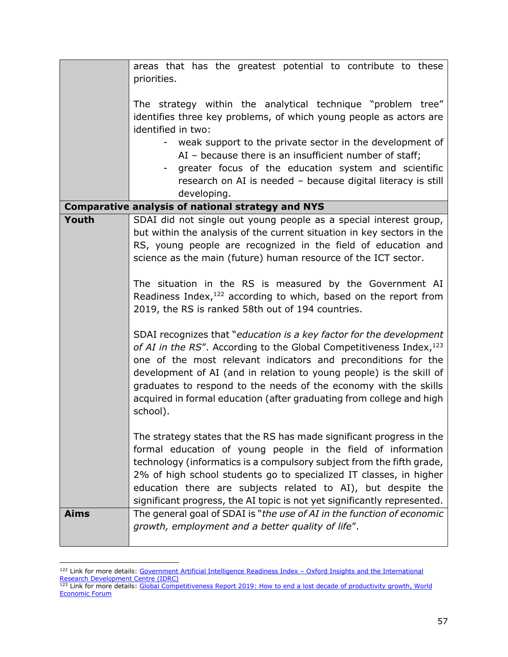|             | areas that has the greatest potential to contribute to these<br>priorities.                                                                                                                                                                                                                                                                                                                                                                 |
|-------------|---------------------------------------------------------------------------------------------------------------------------------------------------------------------------------------------------------------------------------------------------------------------------------------------------------------------------------------------------------------------------------------------------------------------------------------------|
|             |                                                                                                                                                                                                                                                                                                                                                                                                                                             |
|             | The strategy within the analytical technique "problem tree"<br>identifies three key problems, of which young people as actors are<br>identified in two:                                                                                                                                                                                                                                                                                     |
|             | weak support to the private sector in the development of<br>AI - because there is an insufficient number of staff;<br>greater focus of the education system and scientific                                                                                                                                                                                                                                                                  |
|             | research on AI is needed - because digital literacy is still<br>developing.                                                                                                                                                                                                                                                                                                                                                                 |
|             | <b>Comparative analysis of national strategy and NYS</b>                                                                                                                                                                                                                                                                                                                                                                                    |
| Youth       | SDAI did not single out young people as a special interest group,<br>but within the analysis of the current situation in key sectors in the<br>RS, young people are recognized in the field of education and<br>science as the main (future) human resource of the ICT sector.                                                                                                                                                              |
|             | The situation in the RS is measured by the Government AI<br>Readiness Index, $^{122}$ according to which, based on the report from<br>2019, the RS is ranked 58th out of 194 countries.                                                                                                                                                                                                                                                     |
|             | SDAI recognizes that "education is a key factor for the development<br>of AI in the RS". According to the Global Competitiveness Index, 123<br>one of the most relevant indicators and preconditions for the<br>development of AI (and in relation to young people) is the skill of<br>graduates to respond to the needs of the economy with the skills<br>acquired in formal education (after graduating from college and high<br>school). |
|             | The strategy states that the RS has made significant progress in the<br>formal education of young people in the field of information<br>technology (informatics is a compulsory subject from the fifth grade,<br>2% of high school students go to specialized IT classes, in higher<br>education there are subjects related to AI), but despite the<br>significant progress, the AI topic is not yet significantly represented.             |
| <b>Aims</b> | The general goal of SDAI is "the use of AI in the function of economic<br>growth, employment and a better quality of life".                                                                                                                                                                                                                                                                                                                 |

<sup>122</sup> Link for more details: [Government Artificial Intelligence Readiness Index](https://www.oxfordinsights.com/) - Oxford Insights and the International [Research Development Centre \(IDRC\)](https://www.oxfordinsights.com/)

<sup>&</sup>lt;sup>123</sup> Link for more details: Global Competitiveness Report 2019: How to end a lost decade of productivity growth, World [Economic Forum](http://www3.weforum.org/docs/WEF_TheGlobalCompetitivenessReport2019.pdf)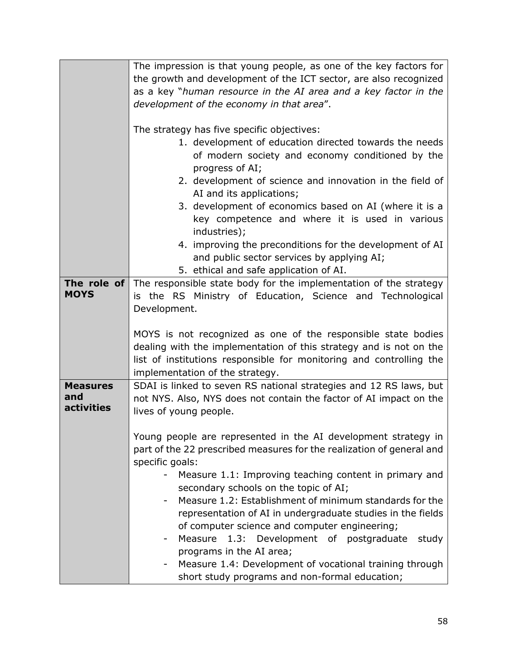|                   | The impression is that young people, as one of the key factors for                               |
|-------------------|--------------------------------------------------------------------------------------------------|
|                   | the growth and development of the ICT sector, are also recognized                                |
|                   | as a key "human resource in the AI area and a key factor in the                                  |
|                   | development of the economy in that area".                                                        |
|                   |                                                                                                  |
|                   | The strategy has five specific objectives:                                                       |
|                   | 1. development of education directed towards the needs                                           |
|                   | of modern society and economy conditioned by the                                                 |
|                   | progress of AI;                                                                                  |
|                   | 2. development of science and innovation in the field of                                         |
|                   | AI and its applications;                                                                         |
|                   | 3. development of economics based on AI (where it is a                                           |
|                   | key competence and where it is used in various                                                   |
|                   | industries);                                                                                     |
|                   | 4. improving the preconditions for the development of AI                                         |
|                   | and public sector services by applying AI;                                                       |
|                   | 5. ethical and safe application of AI.                                                           |
|                   | <b>The role of</b> The responsible state body for the implementation of the strategy             |
| <b>MOYS</b>       | is the RS Ministry of Education, Science and Technological                                       |
|                   | Development.                                                                                     |
|                   |                                                                                                  |
|                   | MOYS is not recognized as one of the responsible state bodies                                    |
|                   | dealing with the implementation of this strategy and is not on the                               |
|                   | list of institutions responsible for monitoring and controlling the                              |
|                   | implementation of the strategy.                                                                  |
| <b>Measures</b>   | SDAI is linked to seven RS national strategies and 12 RS laws, but                               |
| and               | not NYS. Also, NYS does not contain the factor of AI impact on the                               |
| <b>activities</b> | lives of young people.                                                                           |
|                   |                                                                                                  |
|                   | Young people are represented in the AI development strategy in                                   |
|                   |                                                                                                  |
|                   |                                                                                                  |
|                   | part of the 22 prescribed measures for the realization of general and                            |
|                   | specific goals:                                                                                  |
|                   | Measure 1.1: Improving teaching content in primary and                                           |
|                   | secondary schools on the topic of AI;<br>Measure 1.2: Establishment of minimum standards for the |
|                   | representation of AI in undergraduate studies in the fields                                      |
|                   |                                                                                                  |
|                   | of computer science and computer engineering;<br>study<br>۰                                      |
|                   | Measure 1.3: Development of postgraduate                                                         |
|                   | programs in the AI area;<br>Measure 1.4: Development of vocational training through              |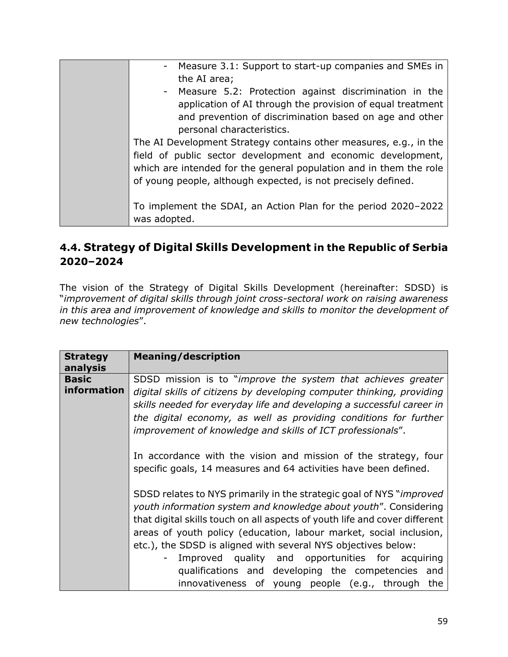| Measure 3.1: Support to start-up companies and SMEs in<br>the AI area;                                                                                                                                                                                                                                |
|-------------------------------------------------------------------------------------------------------------------------------------------------------------------------------------------------------------------------------------------------------------------------------------------------------|
| - Measure 5.2: Protection against discrimination in the<br>application of AI through the provision of equal treatment<br>and prevention of discrimination based on age and other                                                                                                                      |
| personal characteristics.<br>The AI Development Strategy contains other measures, e.g., in the<br>field of public sector development and economic development,<br>which are intended for the general population and in them the role<br>of young people, although expected, is not precisely defined. |
| To implement the SDAI, an Action Plan for the period 2020-2022<br>was adopted.                                                                                                                                                                                                                        |

#### **4.4. Strategy of Digital Skills Development in the Republic of Serbia 2020–2024**

The vision of the Strategy of Digital Skills Development (hereinafter: SDSD) is "*improvement of digital skills through joint cross-sectoral work on raising awareness in this area and improvement of knowledge and skills to monitor the development of new technologies*".

| <b>Strategy</b><br>analysis | <b>Meaning/description</b>                                                                                                                                                                                                                                                                                                                                                                                                |
|-----------------------------|---------------------------------------------------------------------------------------------------------------------------------------------------------------------------------------------------------------------------------------------------------------------------------------------------------------------------------------------------------------------------------------------------------------------------|
| <b>Basic</b><br>information | SDSD mission is to "improve the system that achieves greater<br>digital skills of citizens by developing computer thinking, providing<br>skills needed for everyday life and developing a successful career in<br>the digital economy, as well as providing conditions for further<br>improvement of knowledge and skills of ICT professionals".                                                                          |
|                             | In accordance with the vision and mission of the strategy, four<br>specific goals, 14 measures and 64 activities have been defined.                                                                                                                                                                                                                                                                                       |
|                             | SDSD relates to NYS primarily in the strategic goal of NYS " <i>improved</i><br>youth information system and knowledge about youth". Considering<br>that digital skills touch on all aspects of youth life and cover different<br>areas of youth policy (education, labour market, social inclusion,<br>etc.), the SDSD is aligned with several NYS objectives below:<br>Improved quality and opportunities for acquiring |
|                             | qualifications and developing the competencies and<br>innovativeness of young people (e.g., through the                                                                                                                                                                                                                                                                                                                   |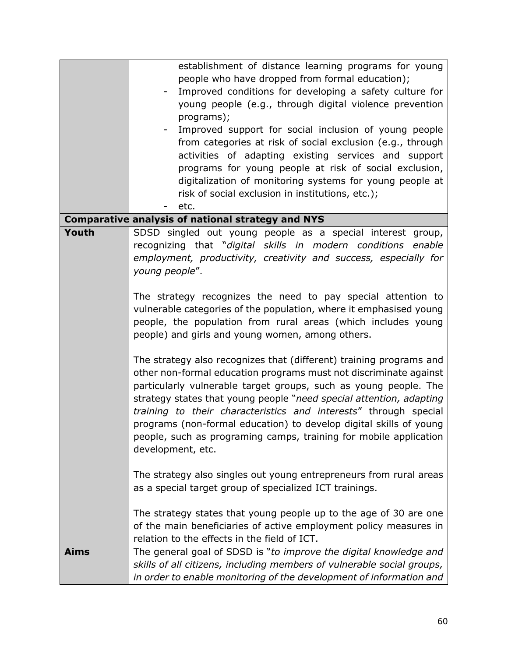|             | establishment of distance learning programs for young<br>people who have dropped from formal education);<br>Improved conditions for developing a safety culture for<br>young people (e.g., through digital violence prevention<br>programs);<br>Improved support for social inclusion of young people<br>from categories at risk of social exclusion (e.g., through                                                                                                                                                     |
|-------------|-------------------------------------------------------------------------------------------------------------------------------------------------------------------------------------------------------------------------------------------------------------------------------------------------------------------------------------------------------------------------------------------------------------------------------------------------------------------------------------------------------------------------|
|             | activities of adapting existing services and support<br>programs for young people at risk of social exclusion,<br>digitalization of monitoring systems for young people at<br>risk of social exclusion in institutions, etc.);                                                                                                                                                                                                                                                                                          |
|             | etc.                                                                                                                                                                                                                                                                                                                                                                                                                                                                                                                    |
|             | <b>Comparative analysis of national strategy and NYS</b>                                                                                                                                                                                                                                                                                                                                                                                                                                                                |
| Youth       | SDSD singled out young people as a special interest group,<br>recognizing that "digital skills in modern conditions<br>enable<br>employment, productivity, creativity and success, especially for<br>young people".                                                                                                                                                                                                                                                                                                     |
|             | The strategy recognizes the need to pay special attention to<br>vulnerable categories of the population, where it emphasised young<br>people, the population from rural areas (which includes young<br>people) and girls and young women, among others.                                                                                                                                                                                                                                                                 |
|             | The strategy also recognizes that (different) training programs and<br>other non-formal education programs must not discriminate against<br>particularly vulnerable target groups, such as young people. The<br>strategy states that young people "need special attention, adapting<br>training to their characteristics and interests" through special<br>programs (non-formal education) to develop digital skills of young<br>people, such as programing camps, training for mobile application<br>development, etc. |
|             | The strategy also singles out young entrepreneurs from rural areas<br>as a special target group of specialized ICT trainings.                                                                                                                                                                                                                                                                                                                                                                                           |
|             | The strategy states that young people up to the age of 30 are one<br>of the main beneficiaries of active employment policy measures in<br>relation to the effects in the field of ICT.                                                                                                                                                                                                                                                                                                                                  |
| <b>Aims</b> | The general goal of SDSD is "to improve the digital knowledge and<br>skills of all citizens, including members of vulnerable social groups,<br>in order to enable monitoring of the development of information and                                                                                                                                                                                                                                                                                                      |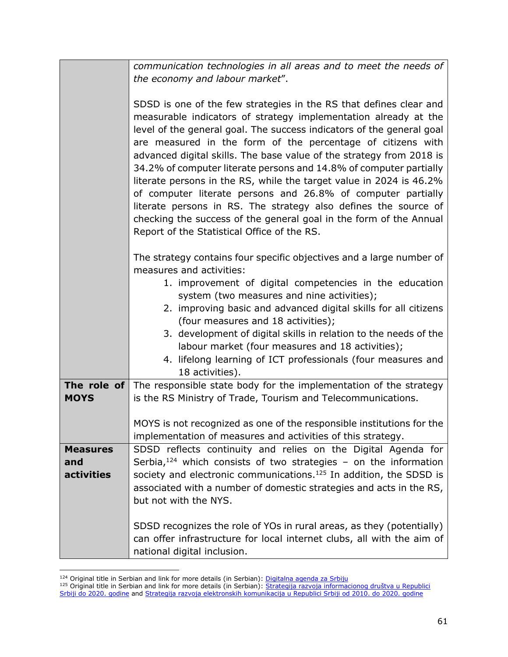|                 | communication technologies in all areas and to meet the needs of                                                                                                                                                                                                                                                                                                                                                                                                                                                                                                                                                                                                                                                                                           |
|-----------------|------------------------------------------------------------------------------------------------------------------------------------------------------------------------------------------------------------------------------------------------------------------------------------------------------------------------------------------------------------------------------------------------------------------------------------------------------------------------------------------------------------------------------------------------------------------------------------------------------------------------------------------------------------------------------------------------------------------------------------------------------------|
|                 | the economy and labour market".                                                                                                                                                                                                                                                                                                                                                                                                                                                                                                                                                                                                                                                                                                                            |
|                 |                                                                                                                                                                                                                                                                                                                                                                                                                                                                                                                                                                                                                                                                                                                                                            |
|                 | SDSD is one of the few strategies in the RS that defines clear and<br>measurable indicators of strategy implementation already at the<br>level of the general goal. The success indicators of the general goal<br>are measured in the form of the percentage of citizens with<br>advanced digital skills. The base value of the strategy from 2018 is<br>34.2% of computer literate persons and 14.8% of computer partially<br>literate persons in the RS, while the target value in 2024 is 46.2%<br>of computer literate persons and 26.8% of computer partially<br>literate persons in RS. The strategy also defines the source of<br>checking the success of the general goal in the form of the Annual<br>Report of the Statistical Office of the RS. |
|                 | The strategy contains four specific objectives and a large number of<br>measures and activities:                                                                                                                                                                                                                                                                                                                                                                                                                                                                                                                                                                                                                                                           |
|                 | 1. improvement of digital competencies in the education<br>system (two measures and nine activities);                                                                                                                                                                                                                                                                                                                                                                                                                                                                                                                                                                                                                                                      |
|                 | 2. improving basic and advanced digital skills for all citizens<br>(four measures and 18 activities);                                                                                                                                                                                                                                                                                                                                                                                                                                                                                                                                                                                                                                                      |
|                 | 3. development of digital skills in relation to the needs of the                                                                                                                                                                                                                                                                                                                                                                                                                                                                                                                                                                                                                                                                                           |
|                 | labour market (four measures and 18 activities);                                                                                                                                                                                                                                                                                                                                                                                                                                                                                                                                                                                                                                                                                                           |
|                 | 4. lifelong learning of ICT professionals (four measures and                                                                                                                                                                                                                                                                                                                                                                                                                                                                                                                                                                                                                                                                                               |
|                 | 18 activities).                                                                                                                                                                                                                                                                                                                                                                                                                                                                                                                                                                                                                                                                                                                                            |
| The role of     | The responsible state body for the implementation of the strategy                                                                                                                                                                                                                                                                                                                                                                                                                                                                                                                                                                                                                                                                                          |
| <b>MOYS</b>     | is the RS Ministry of Trade, Tourism and Telecommunications.                                                                                                                                                                                                                                                                                                                                                                                                                                                                                                                                                                                                                                                                                               |
|                 |                                                                                                                                                                                                                                                                                                                                                                                                                                                                                                                                                                                                                                                                                                                                                            |
|                 | MOYS is not recognized as one of the responsible institutions for the                                                                                                                                                                                                                                                                                                                                                                                                                                                                                                                                                                                                                                                                                      |
|                 | implementation of measures and activities of this strategy.                                                                                                                                                                                                                                                                                                                                                                                                                                                                                                                                                                                                                                                                                                |
| <b>Measures</b> | SDSD reflects continuity and relies on the Digital Agenda for                                                                                                                                                                                                                                                                                                                                                                                                                                                                                                                                                                                                                                                                                              |
| and             | Serbia, $124$ which consists of two strategies - on the information                                                                                                                                                                                                                                                                                                                                                                                                                                                                                                                                                                                                                                                                                        |
| activities      | society and electronic communications. <sup>125</sup> In addition, the SDSD is                                                                                                                                                                                                                                                                                                                                                                                                                                                                                                                                                                                                                                                                             |
|                 | associated with a number of domestic strategies and acts in the RS,                                                                                                                                                                                                                                                                                                                                                                                                                                                                                                                                                                                                                                                                                        |
|                 | but not with the NYS.                                                                                                                                                                                                                                                                                                                                                                                                                                                                                                                                                                                                                                                                                                                                      |
|                 |                                                                                                                                                                                                                                                                                                                                                                                                                                                                                                                                                                                                                                                                                                                                                            |
|                 | SDSD recognizes the role of YOs in rural areas, as they (potentially)<br>can offer infrastructure for local internet clubs, all with the aim of<br>national digital inclusion.                                                                                                                                                                                                                                                                                                                                                                                                                                                                                                                                                                             |

<sup>&</sup>lt;sup>124</sup> Original title in Serbian and link for more details (in Serbian): [Digitalna agenda za Srbiju](https://mtt.gov.rs/sektori/uprava-za-digitalnu-agendu/sektor-za-digitalnu-agendu/?0=lat)

<sup>&</sup>lt;sup>125</sup> Original title in Serbian and link for more details (in Serbian): Strategija razvoja informacionog društva u Republici [Srbiji do 2020. godine](https://www.srbija.gov.rs/extfile/sr/135791/strategija_razvoja_informacionog_drustva0288_cyr.zip) and [Strategija razvoja elektronskih komunikacija u Republici Srbiji od 2010. do 2020. godine](https://www.srbija.gov.rs/extfile/sr/138664/strategija_elektronske_komunikacije0315_cyr.zip)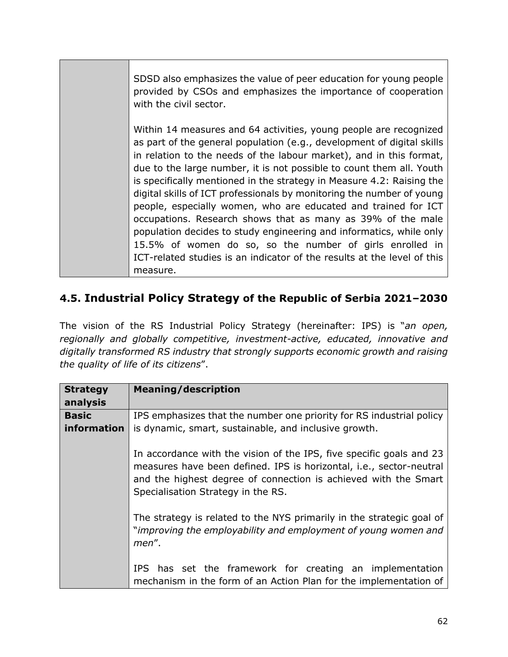SDSD also emphasizes the value of peer education for young people provided by CSOs and emphasizes the importance of cooperation with the civil sector. Within 14 measures and 64 activities, young people are recognized as part of the general population (e.g., development of digital skills in relation to the needs of the labour market), and in this format, due to the large number, it is not possible to count them all. Youth is specifically mentioned in the strategy in Measure 4.2: Raising the digital skills of ICT professionals by monitoring the number of young people, especially women, who are educated and trained for ICT occupations. Research shows that as many as 39% of the male population decides to study engineering and informatics, while only 15.5% of women do so, so the number of girls enrolled in ICT-related studies is an indicator of the results at the level of this measure.

# **4.5. Industrial Policy Strategy of the Republic of Serbia 2021‒2030**

The vision of the RS Industrial Policy Strategy (hereinafter: IPS) is "*an open, regionally and globally competitive, investment-active, educated, innovative and digitally transformed RS industry that strongly supports economic growth and raising the quality of life of its citizens*".

| <b>Strategy</b> | <b>Meaning/description</b>                                                                                                                                                                                                                           |
|-----------------|------------------------------------------------------------------------------------------------------------------------------------------------------------------------------------------------------------------------------------------------------|
| analysis        |                                                                                                                                                                                                                                                      |
| <b>Basic</b>    | IPS emphasizes that the number one priority for RS industrial policy                                                                                                                                                                                 |
| information     | is dynamic, smart, sustainable, and inclusive growth.                                                                                                                                                                                                |
|                 | In accordance with the vision of the IPS, five specific goals and 23<br>measures have been defined. IPS is horizontal, i.e., sector-neutral<br>and the highest degree of connection is achieved with the Smart<br>Specialisation Strategy in the RS. |
|                 | The strategy is related to the NYS primarily in the strategic goal of<br>"improving the employability and employment of young women and<br>men".                                                                                                     |
|                 | IPS has set the framework for creating an implementation<br>mechanism in the form of an Action Plan for the implementation of                                                                                                                        |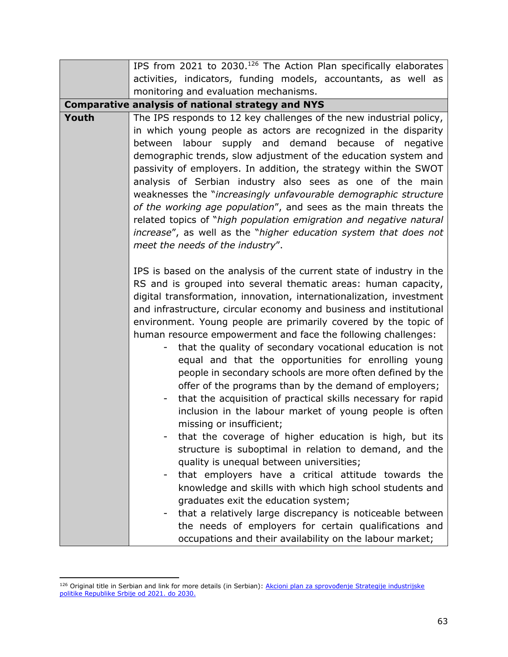|       | IPS from 2021 to 2030. <sup>126</sup> The Action Plan specifically elaborates                                          |
|-------|------------------------------------------------------------------------------------------------------------------------|
|       | activities, indicators, funding models, accountants, as well as                                                        |
|       | monitoring and evaluation mechanisms.                                                                                  |
|       | <b>Comparative analysis of national strategy and NYS</b>                                                               |
| Youth | The IPS responds to 12 key challenges of the new industrial policy,                                                    |
|       | in which young people as actors are recognized in the disparity                                                        |
|       | between labour supply and demand because of negative                                                                   |
|       | demographic trends, slow adjustment of the education system and                                                        |
|       | passivity of employers. In addition, the strategy within the SWOT                                                      |
|       | analysis of Serbian industry also sees as one of the main                                                              |
|       | weaknesses the "increasingly unfavourable demographic structure                                                        |
|       | of the working age population", and sees as the main threats the                                                       |
|       | related topics of "high population emigration and negative natural                                                     |
|       | increase", as well as the "higher education system that does not                                                       |
|       | meet the needs of the industry".                                                                                       |
|       |                                                                                                                        |
|       | IPS is based on the analysis of the current state of industry in the                                                   |
|       | RS and is grouped into several thematic areas: human capacity,                                                         |
|       | digital transformation, innovation, internationalization, investment                                                   |
|       | and infrastructure, circular economy and business and institutional                                                    |
|       | environment. Young people are primarily covered by the topic of                                                        |
|       | human resource empowerment and face the following challenges:                                                          |
|       | that the quality of secondary vocational education is not                                                              |
|       | equal and that the opportunities for enrolling young                                                                   |
|       | people in secondary schools are more often defined by the                                                              |
|       | offer of the programs than by the demand of employers;<br>that the acquisition of practical skills necessary for rapid |
|       | inclusion in the labour market of young people is often                                                                |
|       | missing or insufficient;                                                                                               |
|       | that the coverage of higher education is high, but its                                                                 |
|       | structure is suboptimal in relation to demand, and the                                                                 |
|       | quality is unequal between universities;                                                                               |
|       | that employers have a critical attitude towards the<br>-                                                               |
|       | knowledge and skills with which high school students and                                                               |
|       | graduates exit the education system;                                                                                   |
|       | that a relatively large discrepancy is noticeable between                                                              |
|       | the needs of employers for certain qualifications and                                                                  |
|       | occupations and their availability on the labour market;                                                               |

<sup>&</sup>lt;sup>126</sup> Original title in Serbian and link for more details (in Serbian): Akcioni plan za sprovođenje Strategije industrijske [politike Republike Srbije od 2021. do 2030.](https://www.srbija.gov.rs/extfile/sr/535161/akcioni-plan-ind-politike-RS-2021-2030-period-2021-2023-0046-cyr.zip)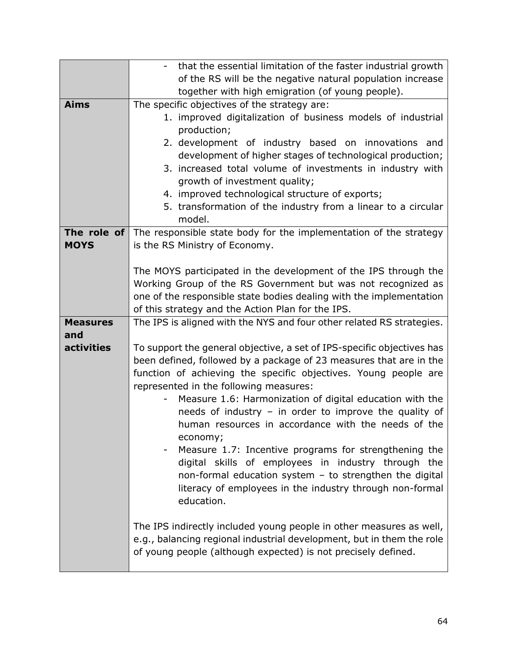|                 | that the essential limitation of the faster industrial growth          |
|-----------------|------------------------------------------------------------------------|
|                 | of the RS will be the negative natural population increase             |
|                 | together with high emigration (of young people).                       |
| <b>Aims</b>     | The specific objectives of the strategy are:                           |
|                 | 1. improved digitalization of business models of industrial            |
|                 | production;                                                            |
|                 | 2. development of industry based on innovations and                    |
|                 | development of higher stages of technological production;              |
|                 | 3. increased total volume of investments in industry with              |
|                 | growth of investment quality;                                          |
|                 | 4. improved technological structure of exports;                        |
|                 | 5. transformation of the industry from a linear to a circular          |
|                 | model.                                                                 |
| The role of     | The responsible state body for the implementation of the strategy      |
| <b>MOYS</b>     | is the RS Ministry of Economy.                                         |
|                 |                                                                        |
|                 | The MOYS participated in the development of the IPS through the        |
|                 | Working Group of the RS Government but was not recognized as           |
|                 | one of the responsible state bodies dealing with the implementation    |
|                 | of this strategy and the Action Plan for the IPS.                      |
| <b>Measures</b> | The IPS is aligned with the NYS and four other related RS strategies.  |
| and             |                                                                        |
| activities      | To support the general objective, a set of IPS-specific objectives has |
|                 | been defined, followed by a package of 23 measures that are in the     |
|                 | function of achieving the specific objectives. Young people are        |
|                 | represented in the following measures:                                 |
|                 | Measure 1.6: Harmonization of digital education with the               |
|                 | needs of industry - in order to improve the quality of                 |
|                 | human resources in accordance with the needs of the                    |
|                 | economy;                                                               |
|                 | Measure 1.7: Incentive programs for strengthening the                  |
|                 | digital skills of employees in industry through the                    |
|                 | non-formal education system - to strengthen the digital                |
|                 | literacy of employees in the industry through non-formal               |
|                 | education.                                                             |
|                 |                                                                        |
|                 | The IPS indirectly included young people in other measures as well,    |
|                 | e.g., balancing regional industrial development, but in them the role  |
|                 | of young people (although expected) is not precisely defined.          |
|                 |                                                                        |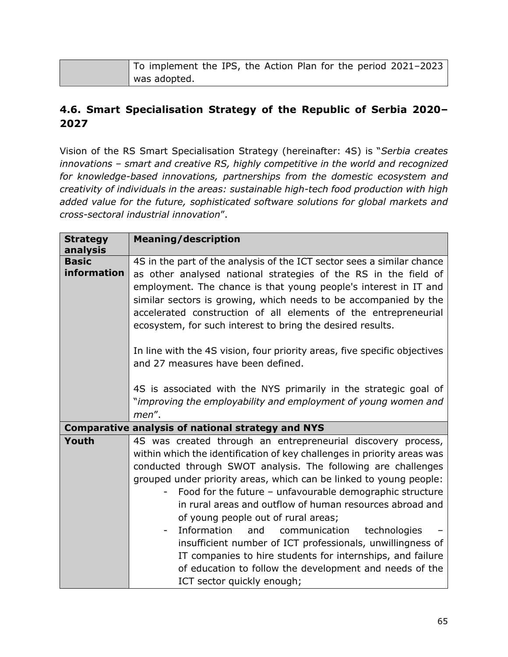| To implement the IPS, the Action Plan for the period 2021-2023 |
|----------------------------------------------------------------|
| was adopted.                                                   |

#### **4.6. Smart Specialisation Strategy of the Republic of Serbia 2020‒ 2027**

Vision of the RS Smart Specialisation Strategy (hereinafter: 4S) is "*Serbia creates innovations – smart and creative RS, highly competitive in the world and recognized for knowledge-based innovations, partnerships from the domestic ecosystem and creativity of individuals in the areas: sustainable high-tech food production with high added value for the future, sophisticated software solutions for global markets and cross-sectoral industrial innovation*".

| <b>Meaning/description</b>                                                                                                                                                                                                                                                                                                                                                                                                                                                                                                                                         |
|--------------------------------------------------------------------------------------------------------------------------------------------------------------------------------------------------------------------------------------------------------------------------------------------------------------------------------------------------------------------------------------------------------------------------------------------------------------------------------------------------------------------------------------------------------------------|
| 4S in the part of the analysis of the ICT sector sees a similar chance<br>as other analysed national strategies of the RS in the field of<br>employment. The chance is that young people's interest in IT and<br>similar sectors is growing, which needs to be accompanied by the<br>accelerated construction of all elements of the entrepreneurial<br>ecosystem, for such interest to bring the desired results.<br>In line with the 4S vision, four priority areas, five specific objectives                                                                    |
| and 27 measures have been defined.<br>4S is associated with the NYS primarily in the strategic goal of                                                                                                                                                                                                                                                                                                                                                                                                                                                             |
| "improving the employability and employment of young women and<br>men".                                                                                                                                                                                                                                                                                                                                                                                                                                                                                            |
| <b>Comparative analysis of national strategy and NYS</b>                                                                                                                                                                                                                                                                                                                                                                                                                                                                                                           |
| 4S was created through an entrepreneurial discovery process,<br>within which the identification of key challenges in priority areas was<br>conducted through SWOT analysis. The following are challenges<br>grouped under priority areas, which can be linked to young people:<br>Food for the future - unfavourable demographic structure<br>in rural areas and outflow of human resources abroad and<br>of young people out of rural areas;<br>Information<br>and<br>communication<br>technologies<br>insufficient number of ICT professionals, unwillingness of |
|                                                                                                                                                                                                                                                                                                                                                                                                                                                                                                                                                                    |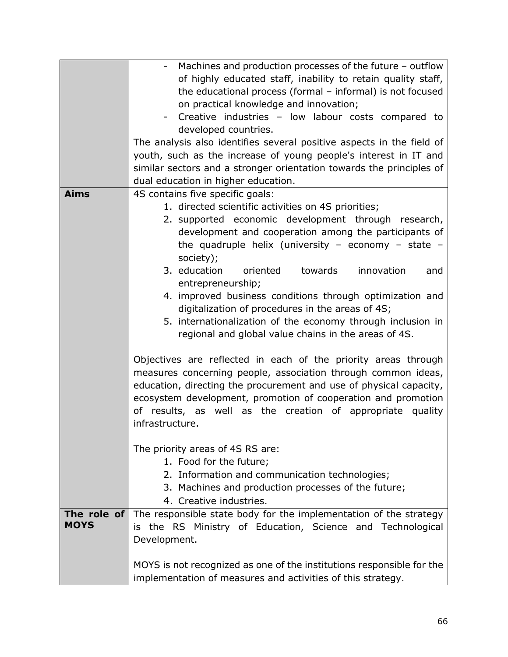|             | Machines and production processes of the future - outflow             |
|-------------|-----------------------------------------------------------------------|
|             | of highly educated staff, inability to retain quality staff,          |
|             | the educational process (formal - informal) is not focused            |
|             | on practical knowledge and innovation;                                |
|             | Creative industries - low labour costs compared to                    |
|             | developed countries.                                                  |
|             | The analysis also identifies several positive aspects in the field of |
|             | youth, such as the increase of young people's interest in IT and      |
|             | similar sectors and a stronger orientation towards the principles of  |
|             |                                                                       |
|             | dual education in higher education.                                   |
| <b>Aims</b> | 4S contains five specific goals:                                      |
|             | 1. directed scientific activities on 4S priorities;                   |
|             | 2. supported economic development through research,                   |
|             | development and cooperation among the participants of                 |
|             | the quadruple helix (university - economy - state -                   |
|             | society);                                                             |
|             | 3. education<br>oriented<br>towards<br>innovation<br>and              |
|             | entrepreneurship;                                                     |
|             | 4. improved business conditions through optimization and              |
|             | digitalization of procedures in the areas of 4S;                      |
|             | 5. internationalization of the economy through inclusion in           |
|             | regional and global value chains in the areas of 4S.                  |
|             |                                                                       |
|             | Objectives are reflected in each of the priority areas through        |
|             | measures concerning people, association through common ideas,         |
|             |                                                                       |
|             | education, directing the procurement and use of physical capacity,    |
|             | ecosystem development, promotion of cooperation and promotion         |
|             | of results, as well as the creation of appropriate quality            |
|             | infrastructure.                                                       |
|             |                                                                       |
|             | The priority areas of 4S RS are:                                      |
|             | 1. Food for the future;                                               |
|             | 2. Information and communication technologies;                        |
|             | 3. Machines and production processes of the future;                   |
|             | 4. Creative industries.                                               |
| The role of | The responsible state body for the implementation of the strategy     |
| <b>MOYS</b> | is the RS Ministry of Education, Science and Technological            |
|             | Development.                                                          |
|             |                                                                       |
|             | MOYS is not recognized as one of the institutions responsible for the |
|             | implementation of measures and activities of this strategy.           |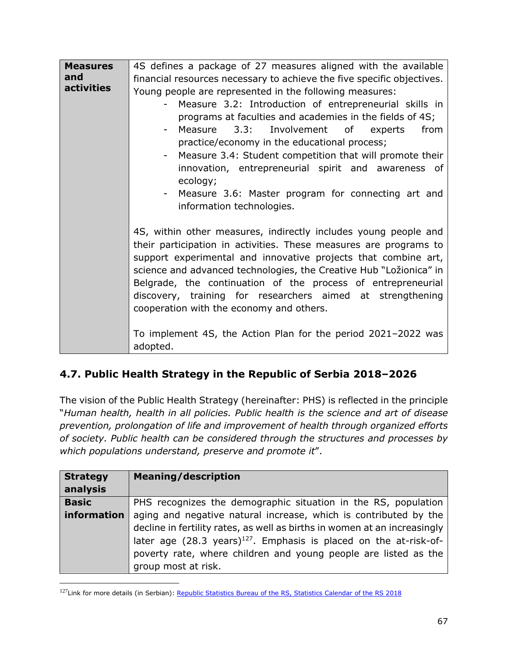| <b>Measures</b>   | 4S defines a package of 27 measures aligned with the available               |
|-------------------|------------------------------------------------------------------------------|
| and               | financial resources necessary to achieve the five specific objectives.       |
| <b>activities</b> | Young people are represented in the following measures:                      |
|                   | Measure 3.2: Introduction of entrepreneurial skills in                       |
|                   | programs at faculties and academies in the fields of 4S;                     |
|                   | Measure 3.3:<br>Involvement of experts<br>from                               |
|                   | practice/economy in the educational process;                                 |
|                   | Measure 3.4: Student competition that will promote their                     |
|                   | innovation, entrepreneurial spirit and awareness of                          |
|                   | ecology;<br>Measure 3.6: Master program for connecting art and<br>$\sim$ $-$ |
|                   | information technologies.                                                    |
|                   |                                                                              |
|                   | 4S, within other measures, indirectly includes young people and              |
|                   | their participation in activities. These measures are programs to            |
|                   | support experimental and innovative projects that combine art,               |
|                   | science and advanced technologies, the Creative Hub "Ložionica" in           |
|                   | Belgrade, the continuation of the process of entrepreneurial                 |
|                   | discovery, training for researchers aimed at strengthening                   |
|                   | cooperation with the economy and others.                                     |
|                   |                                                                              |
|                   | To implement 4S, the Action Plan for the period 2021-2022 was                |
|                   | adopted.                                                                     |

## **4.7. Public Health Strategy in the Republic of Serbia 2018–2026**

The vision of the Public Health Strategy (hereinafter: PHS) is reflected in the principle "*Human health, health in all policies. Public health is the science and art of disease prevention, prolongation of life and improvement of health through organized efforts of society. Public health can be considered through the structures and processes by which populations understand, preserve and promote it*".

| <b>Strategy</b><br>analysis | <b>Meaning/description</b>                                                    |
|-----------------------------|-------------------------------------------------------------------------------|
| <b>Basic</b>                | PHS recognizes the demographic situation in the RS, population                |
| information                 | aging and negative natural increase, which is contributed by the              |
|                             | decline in fertility rates, as well as births in women at an increasingly     |
|                             | later age (28.3 years) <sup>127</sup> . Emphasis is placed on the at-risk-of- |
|                             | poverty rate, where children and young people are listed as the               |
|                             | group most at risk.                                                           |

<sup>&</sup>lt;sup>127</sup>Link for more details (in Serbian): [Republic Statistics Bureau of the RS, Statistics Calendar of the RS 2018](https://www.stat.gov.rs/sr-cyrl/publikacije/?d=17&r=)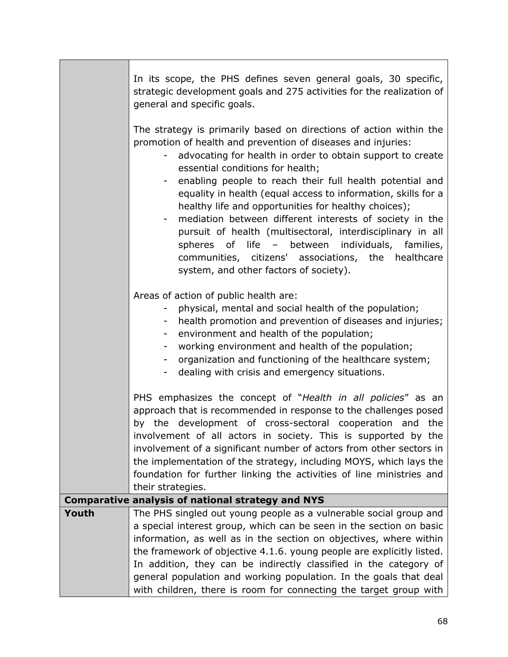|       | In its scope, the PHS defines seven general goals, 30 specific,<br>strategic development goals and 275 activities for the realization of<br>general and specific goals.                                                                                                                                                                                                                                                                                                                                                                                                                                                                                                                                 |
|-------|---------------------------------------------------------------------------------------------------------------------------------------------------------------------------------------------------------------------------------------------------------------------------------------------------------------------------------------------------------------------------------------------------------------------------------------------------------------------------------------------------------------------------------------------------------------------------------------------------------------------------------------------------------------------------------------------------------|
|       | The strategy is primarily based on directions of action within the<br>promotion of health and prevention of diseases and injuries:<br>advocating for health in order to obtain support to create<br>essential conditions for health;<br>enabling people to reach their full health potential and<br>equality in health (equal access to information, skills for a<br>healthy life and opportunities for healthy choices);<br>mediation between different interests of society in the<br>pursuit of health (multisectoral, interdisciplinary in all<br>spheres of life - between individuals, families,<br>communities, citizens' associations, the healthcare<br>system, and other factors of society). |
|       | Areas of action of public health are:<br>physical, mental and social health of the population;<br>Ξ.<br>health promotion and prevention of diseases and injuries;<br>environment and health of the population;<br>$\sim$<br>working environment and health of the population;<br>organization and functioning of the healthcare system;<br>$\overline{\phantom{a}}$<br>dealing with crisis and emergency situations.<br>$\sim$                                                                                                                                                                                                                                                                          |
|       | PHS emphasizes the concept of "Health in all policies" as an<br>approach that is recommended in response to the challenges posed<br>by the development of cross-sectoral cooperation and the<br>involvement of all actors in society. This is supported by the<br>involvement of a significant number of actors from other sectors in<br>the implementation of the strategy, including MOYS, which lays the<br>foundation for further linking the activities of line ministries and<br>their strategies.                                                                                                                                                                                                |
|       | <b>Comparative analysis of national strategy and NYS</b>                                                                                                                                                                                                                                                                                                                                                                                                                                                                                                                                                                                                                                                |
| Youth | The PHS singled out young people as a vulnerable social group and                                                                                                                                                                                                                                                                                                                                                                                                                                                                                                                                                                                                                                       |
|       | a special interest group, which can be seen in the section on basic                                                                                                                                                                                                                                                                                                                                                                                                                                                                                                                                                                                                                                     |
|       | information, as well as in the section on objectives, where within                                                                                                                                                                                                                                                                                                                                                                                                                                                                                                                                                                                                                                      |
|       | the framework of objective 4.1.6. young people are explicitly listed.                                                                                                                                                                                                                                                                                                                                                                                                                                                                                                                                                                                                                                   |
|       | In addition, they can be indirectly classified in the category of                                                                                                                                                                                                                                                                                                                                                                                                                                                                                                                                                                                                                                       |
|       | general population and working population. In the goals that deal<br>with children, there is room for connecting the target group with                                                                                                                                                                                                                                                                                                                                                                                                                                                                                                                                                                  |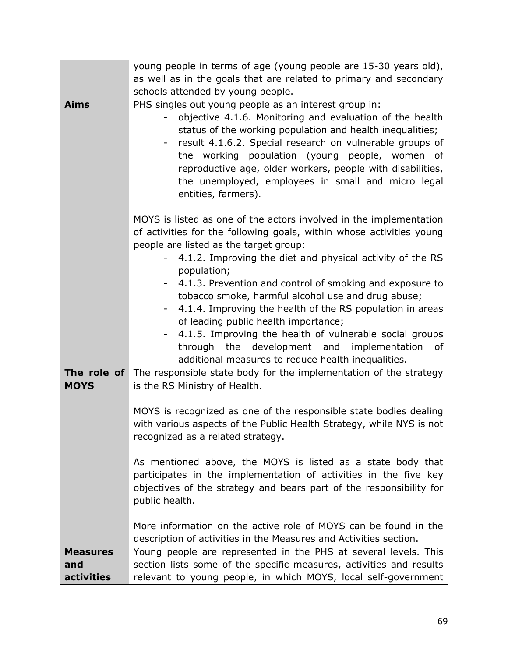|                 | young people in terms of age (young people are 15-30 years old),                                                                                                                                                                                                                                                                                                                                                                                                                                                                                                                                                                                                                                                                                        |
|-----------------|---------------------------------------------------------------------------------------------------------------------------------------------------------------------------------------------------------------------------------------------------------------------------------------------------------------------------------------------------------------------------------------------------------------------------------------------------------------------------------------------------------------------------------------------------------------------------------------------------------------------------------------------------------------------------------------------------------------------------------------------------------|
|                 | as well as in the goals that are related to primary and secondary                                                                                                                                                                                                                                                                                                                                                                                                                                                                                                                                                                                                                                                                                       |
|                 | schools attended by young people.                                                                                                                                                                                                                                                                                                                                                                                                                                                                                                                                                                                                                                                                                                                       |
| <b>Aims</b>     | PHS singles out young people as an interest group in:<br>objective 4.1.6. Monitoring and evaluation of the health<br>status of the working population and health inequalities;<br>result 4.1.6.2. Special research on vulnerable groups of<br>the working population (young people, women of<br>reproductive age, older workers, people with disabilities,<br>the unemployed, employees in small and micro legal<br>entities, farmers).                                                                                                                                                                                                                                                                                                                 |
|                 | MOYS is listed as one of the actors involved in the implementation<br>of activities for the following goals, within whose activities young<br>people are listed as the target group:<br>4.1.2. Improving the diet and physical activity of the RS<br>population;<br>4.1.3. Prevention and control of smoking and exposure to<br>tobacco smoke, harmful alcohol use and drug abuse;<br>4.1.4. Improving the health of the RS population in areas<br>of leading public health importance;<br>4.1.5. Improving the health of vulnerable social groups<br>through the<br>development and implementation<br>of<br>additional measures to reduce health inequalities.<br><b>The role of</b> The responsible state body for the implementation of the strategy |
| <b>MOYS</b>     | is the RS Ministry of Health.<br>MOYS is recognized as one of the responsible state bodies dealing<br>with various aspects of the Public Health Strategy, while NYS is not<br>recognized as a related strategy.<br>As mentioned above, the MOYS is listed as a state body that<br>participates in the implementation of activities in the five key<br>objectives of the strategy and bears part of the responsibility for<br>public health.<br>More information on the active role of MOYS can be found in the<br>description of activities in the Measures and Activities section.                                                                                                                                                                     |
| <b>Measures</b> | Young people are represented in the PHS at several levels. This                                                                                                                                                                                                                                                                                                                                                                                                                                                                                                                                                                                                                                                                                         |
| and             | section lists some of the specific measures, activities and results                                                                                                                                                                                                                                                                                                                                                                                                                                                                                                                                                                                                                                                                                     |
| activities      | relevant to young people, in which MOYS, local self-government                                                                                                                                                                                                                                                                                                                                                                                                                                                                                                                                                                                                                                                                                          |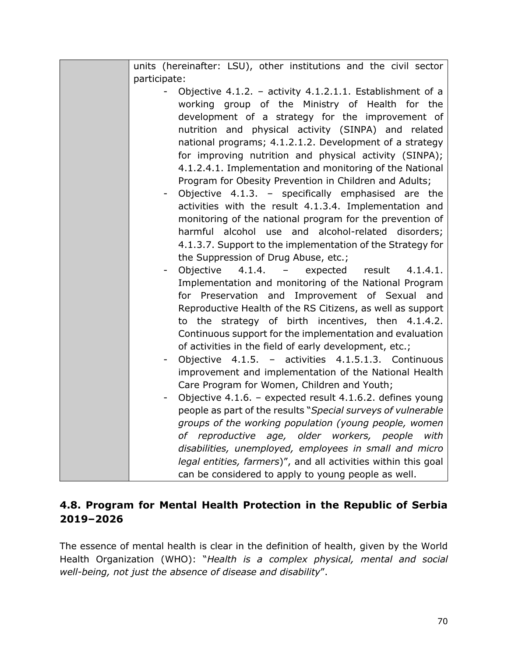| units (hereinafter: LSU), other institutions and the civil sector                 |
|-----------------------------------------------------------------------------------|
| participate:                                                                      |
| Objective 4.1.2. - activity 4.1.2.1.1. Establishment of a                         |
| working group of the Ministry of Health for the                                   |
| development of a strategy for the improvement of                                  |
| nutrition and physical activity (SINPA) and related                               |
| national programs; 4.1.2.1.2. Development of a strategy                           |
| for improving nutrition and physical activity (SINPA);                            |
| 4.1.2.4.1. Implementation and monitoring of the National                          |
| Program for Obesity Prevention in Children and Adults;                            |
| Objective 4.1.3. - specifically emphasised are the                                |
| activities with the result 4.1.3.4. Implementation and                            |
| monitoring of the national program for the prevention of                          |
| harmful alcohol use and alcohol-related disorders;                                |
| 4.1.3.7. Support to the implementation of the Strategy for                        |
| the Suppression of Drug Abuse, etc.;                                              |
| 4.1.4.<br>Objective<br>result<br>4.1.4.1.<br>expected<br>$\overline{\phantom{m}}$ |
| Implementation and monitoring of the National Program                             |
| for Preservation and<br>Improvement of Sexual and                                 |
| Reproductive Health of the RS Citizens, as well as support                        |
| to the strategy of birth incentives, then 4.1.4.2.                                |
| Continuous support for the implementation and evaluation                          |
| of activities in the field of early development, etc.;                            |
| Objective 4.1.5. - activities 4.1.5.1.3. Continuous                               |
| improvement and implementation of the National Health                             |
| Care Program for Women, Children and Youth;                                       |
| Objective 4.1.6. - expected result 4.1.6.2. defines young                         |
| people as part of the results "Special surveys of vulnerable                      |
| groups of the working population (young people, women                             |
| of reproductive age, older workers, people<br>with                                |
| disabilities, unemployed, employees in small and micro                            |
| legal entities, farmers)", and all activities within this goal                    |
| can be considered to apply to young people as well.                               |

#### **4.8. Program for Mental Health Protection in the Republic of Serbia 2019–2026**

The essence of mental health is clear in the definition of health, given by the World Health Organization (WHO): "*Health is a complex physical, mental and social well-being, not just the absence of disease and disability*".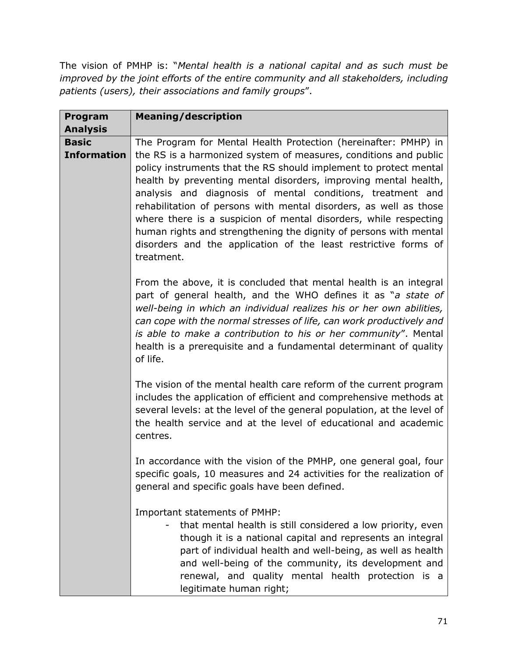The vision of PMHP is: "*Mental health is a national capital and as such must be improved by the joint efforts of the entire community and all stakeholders, including patients (users), their associations and family groups*".

| Program<br><b>Analysis</b>         | <b>Meaning/description</b>                                                                                                                                                                                                                                                                                                                                                                                                                                                                                                                                                                                                               |
|------------------------------------|------------------------------------------------------------------------------------------------------------------------------------------------------------------------------------------------------------------------------------------------------------------------------------------------------------------------------------------------------------------------------------------------------------------------------------------------------------------------------------------------------------------------------------------------------------------------------------------------------------------------------------------|
| <b>Basic</b><br><b>Information</b> | The Program for Mental Health Protection (hereinafter: PMHP) in<br>the RS is a harmonized system of measures, conditions and public<br>policy instruments that the RS should implement to protect mental<br>health by preventing mental disorders, improving mental health,<br>analysis and diagnosis of mental conditions, treatment and<br>rehabilitation of persons with mental disorders, as well as those<br>where there is a suspicion of mental disorders, while respecting<br>human rights and strengthening the dignity of persons with mental<br>disorders and the application of the least restrictive forms of<br>treatment. |
|                                    | From the above, it is concluded that mental health is an integral<br>part of general health, and the WHO defines it as "a state of<br>well-being in which an individual realizes his or her own abilities,<br>can cope with the normal stresses of life, can work productively and<br>is able to make a contribution to his or her community". Mental<br>health is a prerequisite and a fundamental determinant of quality<br>of life.                                                                                                                                                                                                   |
|                                    | The vision of the mental health care reform of the current program<br>includes the application of efficient and comprehensive methods at<br>several levels: at the level of the general population, at the level of<br>the health service and at the level of educational and academic<br>centres.                                                                                                                                                                                                                                                                                                                                       |
|                                    | In accordance with the vision of the PMHP, one general goal, four<br>specific goals, 10 measures and 24 activities for the realization of<br>general and specific goals have been defined.                                                                                                                                                                                                                                                                                                                                                                                                                                               |
|                                    | Important statements of PMHP:<br>that mental health is still considered a low priority, even<br>though it is a national capital and represents an integral<br>part of individual health and well-being, as well as health<br>and well-being of the community, its development and<br>renewal, and quality mental health protection is a<br>legitimate human right;                                                                                                                                                                                                                                                                       |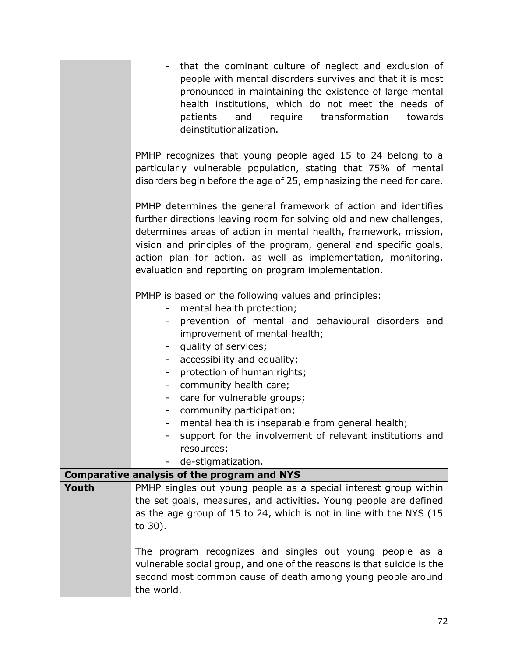|       | that the dominant culture of neglect and exclusion of                                                                                                                                                 |
|-------|-------------------------------------------------------------------------------------------------------------------------------------------------------------------------------------------------------|
|       | people with mental disorders survives and that it is most                                                                                                                                             |
|       | pronounced in maintaining the existence of large mental                                                                                                                                               |
|       | health institutions, which do not meet the needs of                                                                                                                                                   |
|       | transformation<br>patients<br>and<br>require<br>towards                                                                                                                                               |
|       | deinstitutionalization.                                                                                                                                                                               |
|       | PMHP recognizes that young people aged 15 to 24 belong to a<br>particularly vulnerable population, stating that 75% of mental<br>disorders begin before the age of 25, emphasizing the need for care. |
|       | PMHP determines the general framework of action and identifies                                                                                                                                        |
|       | further directions leaving room for solving old and new challenges,                                                                                                                                   |
|       | determines areas of action in mental health, framework, mission,                                                                                                                                      |
|       | vision and principles of the program, general and specific goals,                                                                                                                                     |
|       | action plan for action, as well as implementation, monitoring,                                                                                                                                        |
|       | evaluation and reporting on program implementation.                                                                                                                                                   |
|       | PMHP is based on the following values and principles:                                                                                                                                                 |
|       | mental health protection;                                                                                                                                                                             |
|       | prevention of mental and behavioural disorders and                                                                                                                                                    |
|       | improvement of mental health;                                                                                                                                                                         |
|       | quality of services;                                                                                                                                                                                  |
|       | accessibility and equality;                                                                                                                                                                           |
|       | protection of human rights;<br>-                                                                                                                                                                      |
|       | community health care;<br>-                                                                                                                                                                           |
|       | care for vulnerable groups;<br>community participation;                                                                                                                                               |
|       | mental health is inseparable from general health;<br>۰,                                                                                                                                               |
|       | support for the involvement of relevant institutions and                                                                                                                                              |
|       | resources;                                                                                                                                                                                            |
|       | de-stigmatization.<br>Ξ.                                                                                                                                                                              |
|       | <b>Comparative analysis of the program and NYS</b>                                                                                                                                                    |
| Youth | PMHP singles out young people as a special interest group within                                                                                                                                      |
|       | the set goals, measures, and activities. Young people are defined                                                                                                                                     |
|       | as the age group of 15 to 24, which is not in line with the NYS (15                                                                                                                                   |
|       | to 30).                                                                                                                                                                                               |
|       | The program recognizes and singles out young people as a                                                                                                                                              |
|       | vulnerable social group, and one of the reasons is that suicide is the                                                                                                                                |
|       | second most common cause of death among young people around                                                                                                                                           |
|       | the world.                                                                                                                                                                                            |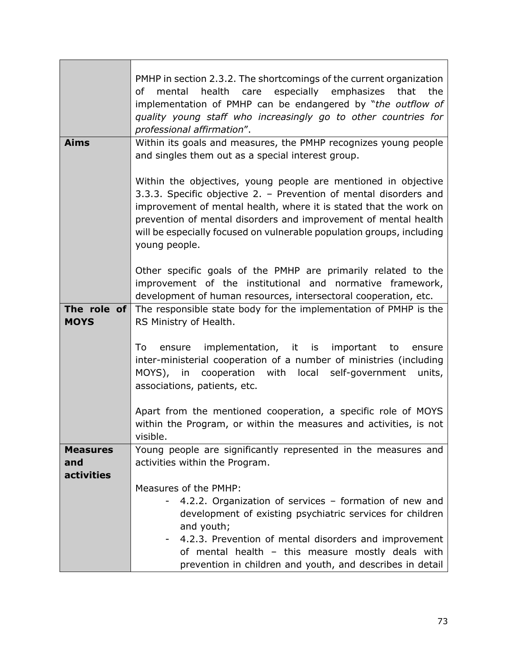| PMHP in section 2.3.2. The shortcomings of the current organization   |
|-----------------------------------------------------------------------|
|                                                                       |
| the                                                                   |
| implementation of PMHP can be endangered by "the outflow of           |
| quality young staff who increasingly go to other countries for        |
| Within its goals and measures, the PMHP recognizes young people       |
|                                                                       |
|                                                                       |
| Within the objectives, young people are mentioned in objective        |
| 3.3.3. Specific objective 2. - Prevention of mental disorders and     |
| improvement of mental health, where it is stated that the work on     |
| prevention of mental disorders and improvement of mental health       |
| will be especially focused on vulnerable population groups, including |
|                                                                       |
|                                                                       |
| Other specific goals of the PMHP are primarily related to the         |
| improvement of the institutional and normative framework,             |
| development of human resources, intersectoral cooperation, etc.       |
| The responsible state body for the implementation of PMHP is the      |
|                                                                       |
| ensure                                                                |
| inter-ministerial cooperation of a number of ministries (including    |
| units,                                                                |
|                                                                       |
|                                                                       |
| Apart from the mentioned cooperation, a specific role of MOYS         |
| within the Program, or within the measures and activities, is not     |
|                                                                       |
| Young people are significantly represented in the measures and        |
|                                                                       |
|                                                                       |
|                                                                       |
| 4.2.2. Organization of services – formation of new and                |
| development of existing psychiatric services for children             |
| 4.2.3. Prevention of mental disorders and improvement                 |
| of mental health - this measure mostly deals with                     |
| prevention in children and youth, and describes in detail             |
|                                                                       |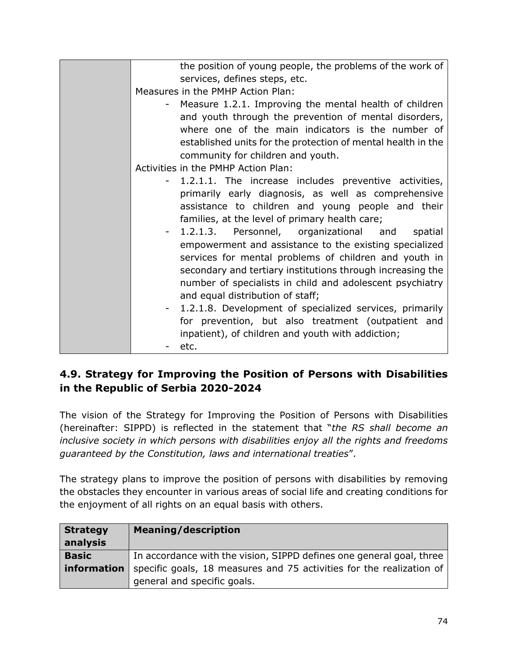| the position of young people, the problems of the work of    |
|--------------------------------------------------------------|
| services, defines steps, etc.                                |
| Measures in the PMHP Action Plan:                            |
| Measure 1.2.1. Improving the mental health of children       |
| and youth through the prevention of mental disorders,        |
| where one of the main indicators is the number of            |
| established units for the protection of mental health in the |
| community for children and youth.                            |
| Activities in the PMHP Action Plan:                          |
| 1.2.1.1. The increase includes preventive activities,        |
| primarily early diagnosis, as well as comprehensive          |
| assistance to children and young people and their            |
| families, at the level of primary health care;               |
|                                                              |
| - 1.2.1.3. Personnel, organizational and<br>spatial          |
| empowerment and assistance to the existing specialized       |
| services for mental problems of children and youth in        |
| secondary and tertiary institutions through increasing the   |
| number of specialists in child and adolescent psychiatry     |
| and equal distribution of staff;                             |
| - 1.2.1.8. Development of specialized services, primarily    |
| for prevention, but also treatment (outpatient and           |
| inpatient), of children and youth with addiction;            |
| etc.                                                         |

# **4.9. Strategy for Improving the Position of Persons with Disabilities in the Republic of Serbia 2020-2024**

The vision of the Strategy for Improving the Position of Persons with Disabilities (hereinafter: SIPPD) is reflected in the statement that "*the RS shall become an inclusive society in which persons with disabilities enjoy all the rights and freedoms guaranteed by the Constitution, laws and international treaties*".

The strategy plans to improve the position of persons with disabilities by removing the obstacles they encounter in various areas of social life and creating conditions for the enjoyment of all rights on an equal basis with others.

| <b>Strategy</b><br>analysis | <b>Meaning/description</b>                                           |
|-----------------------------|----------------------------------------------------------------------|
| <b>Basic</b>                | In accordance with the vision, SIPPD defines one general goal, three |
| information                 | specific goals, 18 measures and 75 activities for the realization of |
|                             | general and specific goals.                                          |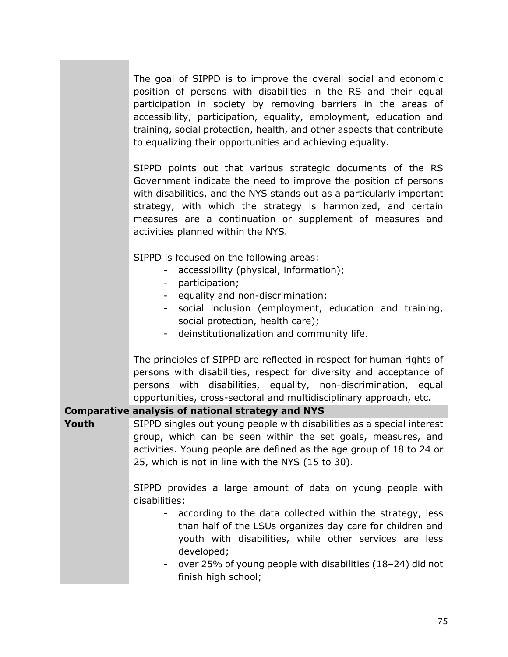|       | The goal of SIPPD is to improve the overall social and economic<br>position of persons with disabilities in the RS and their equal<br>participation in society by removing barriers in the areas of<br>accessibility, participation, equality, employment, education and<br>training, social protection, health, and other aspects that contribute<br>to equalizing their opportunities and achieving equality. |
|-------|-----------------------------------------------------------------------------------------------------------------------------------------------------------------------------------------------------------------------------------------------------------------------------------------------------------------------------------------------------------------------------------------------------------------|
|       | SIPPD points out that various strategic documents of the RS<br>Government indicate the need to improve the position of persons<br>with disabilities, and the NYS stands out as a particularly important<br>strategy, with which the strategy is harmonized, and certain<br>measures are a continuation or supplement of measures and<br>activities planned within the NYS.                                      |
|       | SIPPD is focused on the following areas:<br>accessibility (physical, information);<br>Ξ.<br>- participation;<br>equality and non-discrimination;<br>$\sim$<br>social inclusion (employment, education and training,<br>$\overline{\phantom{0}}$<br>social protection, health care);<br>deinstitutionalization and community life.                                                                               |
|       | The principles of SIPPD are reflected in respect for human rights of<br>persons with disabilities, respect for diversity and acceptance of<br>persons with disabilities, equality, non-discrimination, equal<br>opportunities, cross-sectoral and multidisciplinary approach, etc.                                                                                                                              |
|       | <b>Comparative analysis of national strategy and NYS</b>                                                                                                                                                                                                                                                                                                                                                        |
| Youth | SIPPD singles out young people with disabilities as a special interest<br>group, which can be seen within the set goals, measures, and<br>activities. Young people are defined as the age group of 18 to 24 or<br>25, which is not in line with the NYS (15 to 30).                                                                                                                                             |
|       | SIPPD provides a large amount of data on young people with<br>disabilities:<br>according to the data collected within the strategy, less                                                                                                                                                                                                                                                                        |
|       | than half of the LSUs organizes day care for children and<br>youth with disabilities, while other services are less<br>developed;                                                                                                                                                                                                                                                                               |
|       | over 25% of young people with disabilities (18-24) did not<br>finish high school;                                                                                                                                                                                                                                                                                                                               |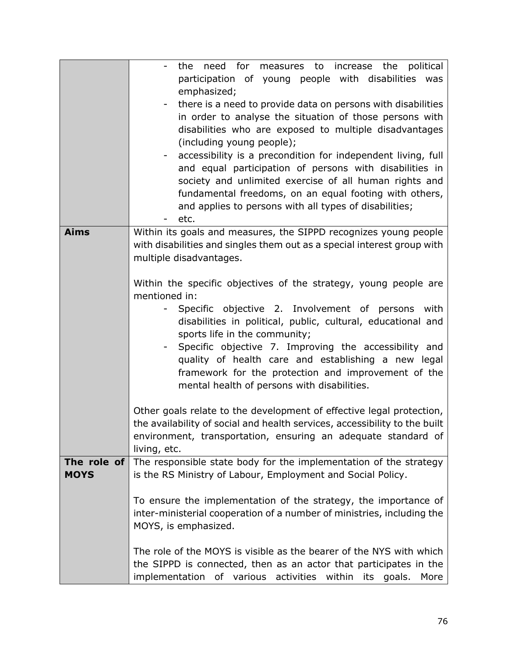|             | need for measures to<br>the<br>political<br>the<br>increase                                   |
|-------------|-----------------------------------------------------------------------------------------------|
|             | participation of young people with disabilities was<br>emphasized;                            |
|             | there is a need to provide data on persons with disabilities                                  |
|             | in order to analyse the situation of those persons with                                       |
|             | disabilities who are exposed to multiple disadvantages                                        |
|             | (including young people);                                                                     |
|             | accessibility is a precondition for independent living, full                                  |
|             | and equal participation of persons with disabilities in                                       |
|             | society and unlimited exercise of all human rights and                                        |
|             | fundamental freedoms, on an equal footing with others,                                        |
|             | and applies to persons with all types of disabilities;                                        |
|             | etc.                                                                                          |
| <b>Aims</b> | Within its goals and measures, the SIPPD recognizes young people                              |
|             | with disabilities and singles them out as a special interest group with                       |
|             | multiple disadvantages.                                                                       |
|             |                                                                                               |
|             | Within the specific objectives of the strategy, young people are                              |
|             | mentioned in:                                                                                 |
|             | Specific objective 2. Involvement of persons<br>with<br>۰                                     |
|             | disabilities in political, public, cultural, educational and<br>sports life in the community; |
|             | Specific objective 7. Improving the accessibility and                                         |
|             | quality of health care and establishing a new legal                                           |
|             | framework for the protection and improvement of the                                           |
|             | mental health of persons with disabilities.                                                   |
|             |                                                                                               |
|             | Other goals relate to the development of effective legal protection,                          |
|             | the availability of social and health services, accessibility to the built                    |
|             | environment, transportation, ensuring an adequate standard of                                 |
|             | living, etc.                                                                                  |
| The role of | The responsible state body for the implementation of the strategy                             |
| <b>MOYS</b> | is the RS Ministry of Labour, Employment and Social Policy.                                   |
|             |                                                                                               |
|             | To ensure the implementation of the strategy, the importance of                               |
|             | inter-ministerial cooperation of a number of ministries, including the                        |
|             | MOYS, is emphasized.                                                                          |
|             | The role of the MOYS is visible as the bearer of the NYS with which                           |
|             | the SIPPD is connected, then as an actor that participates in the                             |
|             | implementation of various activities within its<br>goals.<br>More                             |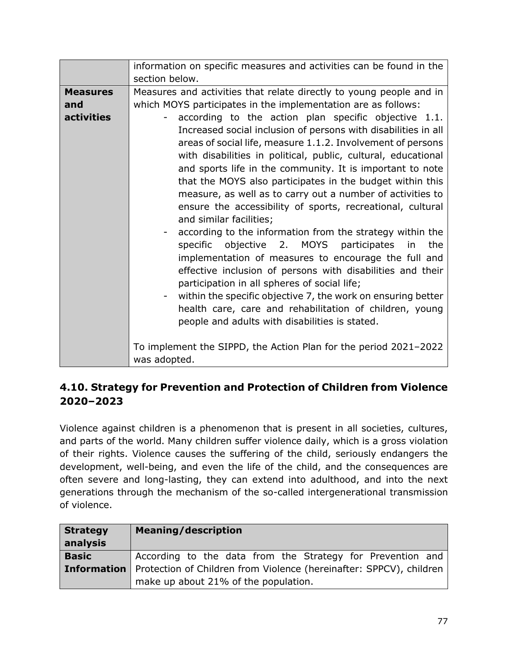|                   | information on specific measures and activities can be found in the                                                                                                                                                                                                                                                                                                                                                                                                                                                                                                                                                                                                                                                                                                                                                                                                                                                                                                                                                |
|-------------------|--------------------------------------------------------------------------------------------------------------------------------------------------------------------------------------------------------------------------------------------------------------------------------------------------------------------------------------------------------------------------------------------------------------------------------------------------------------------------------------------------------------------------------------------------------------------------------------------------------------------------------------------------------------------------------------------------------------------------------------------------------------------------------------------------------------------------------------------------------------------------------------------------------------------------------------------------------------------------------------------------------------------|
|                   | section below.                                                                                                                                                                                                                                                                                                                                                                                                                                                                                                                                                                                                                                                                                                                                                                                                                                                                                                                                                                                                     |
| <b>Measures</b>   | Measures and activities that relate directly to young people and in                                                                                                                                                                                                                                                                                                                                                                                                                                                                                                                                                                                                                                                                                                                                                                                                                                                                                                                                                |
| and               | which MOYS participates in the implementation are as follows:                                                                                                                                                                                                                                                                                                                                                                                                                                                                                                                                                                                                                                                                                                                                                                                                                                                                                                                                                      |
| <b>activities</b> | according to the action plan specific objective 1.1.<br>Increased social inclusion of persons with disabilities in all<br>areas of social life, measure 1.1.2. Involvement of persons<br>with disabilities in political, public, cultural, educational<br>and sports life in the community. It is important to note<br>that the MOYS also participates in the budget within this<br>measure, as well as to carry out a number of activities to<br>ensure the accessibility of sports, recreational, cultural<br>and similar facilities;<br>according to the information from the strategy within the<br>specific<br>objective 2. MOYS participates<br>the<br>in<br>implementation of measures to encourage the full and<br>effective inclusion of persons with disabilities and their<br>participation in all spheres of social life;<br>within the specific objective 7, the work on ensuring better<br>health care, care and rehabilitation of children, young<br>people and adults with disabilities is stated. |
|                   | To implement the SIPPD, the Action Plan for the period 2021-2022<br>was adopted.                                                                                                                                                                                                                                                                                                                                                                                                                                                                                                                                                                                                                                                                                                                                                                                                                                                                                                                                   |

# **4.10. Strategy for Prevention and Protection of Children from Violence 2020–2023**

Violence against children is a phenomenon that is present in all societies, cultures, and parts of the world. Many children suffer violence daily, which is a gross violation of their rights. Violence causes the suffering of the child, seriously endangers the development, well-being, and even the life of the child, and the consequences are often severe and long-lasting, they can extend into adulthood, and into the next generations through the mechanism of the so-called intergenerational transmission of violence.

| <b>Strategy</b><br>analysis | <b>Meaning/description</b>                                                                                                       |
|-----------------------------|----------------------------------------------------------------------------------------------------------------------------------|
| <b>Basic</b>                | According to the data from the Strategy for Prevention and                                                                       |
|                             | <b>Information</b>   Protection of Children from Violence (hereinafter: SPPCV), children<br>make up about 21% of the population. |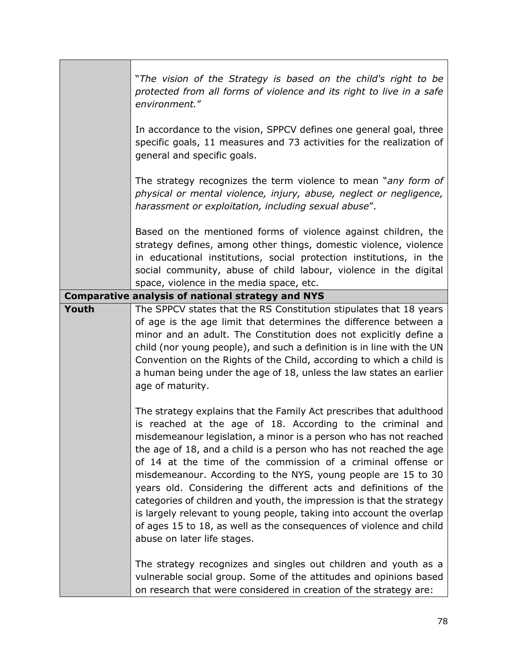|       | "The vision of the Strategy is based on the child's right to be<br>protected from all forms of violence and its right to live in a safe<br>environment."                                                                                                                                                                                                                                                                                                                                                                                                                                                                                                                                                                                                                                                    |
|-------|-------------------------------------------------------------------------------------------------------------------------------------------------------------------------------------------------------------------------------------------------------------------------------------------------------------------------------------------------------------------------------------------------------------------------------------------------------------------------------------------------------------------------------------------------------------------------------------------------------------------------------------------------------------------------------------------------------------------------------------------------------------------------------------------------------------|
|       | In accordance to the vision, SPPCV defines one general goal, three<br>specific goals, 11 measures and 73 activities for the realization of<br>general and specific goals.                                                                                                                                                                                                                                                                                                                                                                                                                                                                                                                                                                                                                                   |
|       | The strategy recognizes the term violence to mean "any form of<br>physical or mental violence, injury, abuse, neglect or negligence,<br>harassment or exploitation, including sexual abuse".                                                                                                                                                                                                                                                                                                                                                                                                                                                                                                                                                                                                                |
|       | Based on the mentioned forms of violence against children, the<br>strategy defines, among other things, domestic violence, violence<br>in educational institutions, social protection institutions, in the<br>social community, abuse of child labour, violence in the digital<br>space, violence in the media space, etc.                                                                                                                                                                                                                                                                                                                                                                                                                                                                                  |
|       | <b>Comparative analysis of national strategy and NYS</b>                                                                                                                                                                                                                                                                                                                                                                                                                                                                                                                                                                                                                                                                                                                                                    |
| Youth | The SPPCV states that the RS Constitution stipulates that 18 years<br>of age is the age limit that determines the difference between a<br>minor and an adult. The Constitution does not explicitly define a<br>child (nor young people), and such a definition is in line with the UN<br>Convention on the Rights of the Child, according to which a child is<br>a human being under the age of 18, unless the law states an earlier<br>age of maturity.                                                                                                                                                                                                                                                                                                                                                    |
|       | The strategy explains that the Family Act prescribes that adulthood<br>is reached at the age of 18. According to the criminal and<br>misdemeanour legislation, a minor is a person who has not reached<br>the age of 18, and a child is a person who has not reached the age<br>of 14 at the time of the commission of a criminal offense or<br>misdemeanour. According to the NYS, young people are 15 to 30<br>years old. Considering the different acts and definitions of the<br>categories of children and youth, the impression is that the strategy<br>is largely relevant to young people, taking into account the overlap<br>of ages 15 to 18, as well as the consequences of violence and child<br>abuse on later life stages.<br>The strategy recognizes and singles out children and youth as a |
|       | vulnerable social group. Some of the attitudes and opinions based<br>on research that were considered in creation of the strategy are:                                                                                                                                                                                                                                                                                                                                                                                                                                                                                                                                                                                                                                                                      |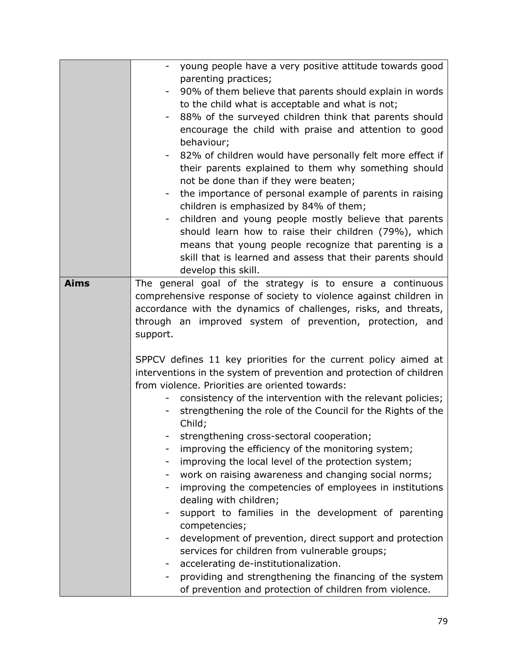|                          | young people have a very positive attitude towards good                                          |
|--------------------------|--------------------------------------------------------------------------------------------------|
|                          | parenting practices;                                                                             |
|                          | 90% of them believe that parents should explain in words                                         |
|                          | to the child what is acceptable and what is not;                                                 |
|                          | 88% of the surveyed children think that parents should                                           |
|                          | encourage the child with praise and attention to good                                            |
|                          | behaviour;                                                                                       |
|                          | 82% of children would have personally felt more effect if                                        |
|                          | their parents explained to them why something should                                             |
|                          | not be done than if they were beaten;                                                            |
|                          | the importance of personal example of parents in raising                                         |
|                          | children is emphasized by 84% of them;                                                           |
|                          |                                                                                                  |
|                          | children and young people mostly believe that parents                                            |
|                          | should learn how to raise their children (79%), which                                            |
|                          | means that young people recognize that parenting is a                                            |
|                          | skill that is learned and assess that their parents should                                       |
|                          | develop this skill.                                                                              |
| <b>Aims</b>              | The general goal of the strategy is to ensure a continuous                                       |
|                          | comprehensive response of society to violence against children in                                |
|                          | accordance with the dynamics of challenges, risks, and threats,                                  |
|                          | through an improved system of prevention, protection, and                                        |
| support.                 |                                                                                                  |
|                          |                                                                                                  |
|                          |                                                                                                  |
|                          | SPPCV defines 11 key priorities for the current policy aimed at                                  |
|                          | interventions in the system of prevention and protection of children                             |
|                          | from violence. Priorities are oriented towards:                                                  |
|                          | consistency of the intervention with the relevant policies;                                      |
|                          | strengthening the role of the Council for the Rights of the                                      |
|                          | Child;                                                                                           |
|                          | strengthening cross-sectoral cooperation;                                                        |
|                          | improving the efficiency of the monitoring system;                                               |
|                          | improving the local level of the protection system;                                              |
| $\overline{\phantom{a}}$ | work on raising awareness and changing social norms;                                             |
|                          | improving the competencies of employees in institutions                                          |
|                          |                                                                                                  |
|                          | dealing with children;                                                                           |
|                          | support to families in the development of parenting                                              |
|                          | competencies;                                                                                    |
|                          | development of prevention, direct support and protection                                         |
|                          | services for children from vulnerable groups;                                                    |
| $\overline{\phantom{a}}$ | accelerating de-institutionalization.<br>providing and strengthening the financing of the system |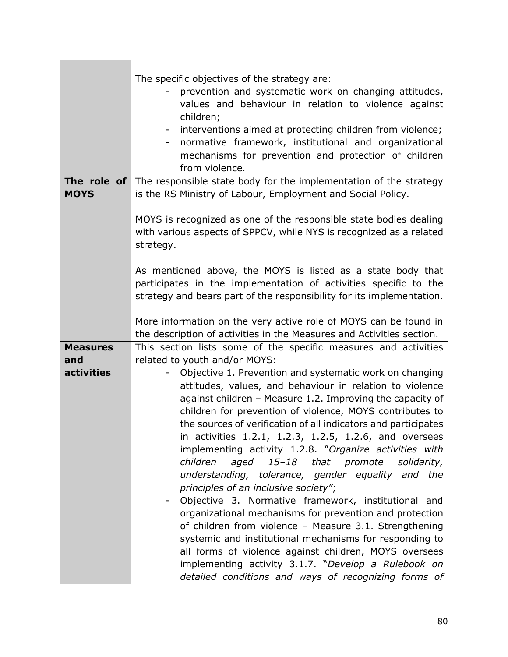| The specific objectives of the strategy are:<br>prevention and systematic work on changing attitudes,<br>values and behaviour in relation to violence against<br>children;<br>interventions aimed at protecting children from violence;<br>normative framework, institutional and organizational<br>mechanisms for prevention and protection of children<br>from violence.<br>The role of<br>The responsible state body for the implementation of the strategy |
|----------------------------------------------------------------------------------------------------------------------------------------------------------------------------------------------------------------------------------------------------------------------------------------------------------------------------------------------------------------------------------------------------------------------------------------------------------------|
| is the RS Ministry of Labour, Employment and Social Policy.                                                                                                                                                                                                                                                                                                                                                                                                    |
| MOYS is recognized as one of the responsible state bodies dealing<br>with various aspects of SPPCV, while NYS is recognized as a related<br>strategy.                                                                                                                                                                                                                                                                                                          |
| As mentioned above, the MOYS is listed as a state body that<br>participates in the implementation of activities specific to the<br>strategy and bears part of the responsibility for its implementation.                                                                                                                                                                                                                                                       |
| More information on the very active role of MOYS can be found in<br>the description of activities in the Measures and Activities section.                                                                                                                                                                                                                                                                                                                      |
| This section lists some of the specific measures and activities                                                                                                                                                                                                                                                                                                                                                                                                |
| related to youth and/or MOYS:<br>Objective 1. Prevention and systematic work on changing                                                                                                                                                                                                                                                                                                                                                                       |
| attitudes, values, and behaviour in relation to violence                                                                                                                                                                                                                                                                                                                                                                                                       |
| against children - Measure 1.2. Improving the capacity of                                                                                                                                                                                                                                                                                                                                                                                                      |
| children for prevention of violence, MOYS contributes to                                                                                                                                                                                                                                                                                                                                                                                                       |
| the sources of verification of all indicators and participates<br>in activities 1.2.1, 1.2.3, 1.2.5, 1.2.6, and oversees                                                                                                                                                                                                                                                                                                                                       |
| implementing activity 1.2.8. "Organize activities with                                                                                                                                                                                                                                                                                                                                                                                                         |
| children<br>aged<br>15-18 that promote<br>solidarity,                                                                                                                                                                                                                                                                                                                                                                                                          |
| understanding, tolerance, gender equality and the                                                                                                                                                                                                                                                                                                                                                                                                              |
| principles of an inclusive society";<br>Objective 3. Normative framework, institutional and                                                                                                                                                                                                                                                                                                                                                                    |
| organizational mechanisms for prevention and protection                                                                                                                                                                                                                                                                                                                                                                                                        |
| of children from violence - Measure 3.1. Strengthening                                                                                                                                                                                                                                                                                                                                                                                                         |
| systemic and institutional mechanisms for responding to                                                                                                                                                                                                                                                                                                                                                                                                        |
| all forms of violence against children, MOYS oversees                                                                                                                                                                                                                                                                                                                                                                                                          |
| implementing activity 3.1.7. "Develop a Rulebook on<br>detailed conditions and ways of recognizing forms of                                                                                                                                                                                                                                                                                                                                                    |
|                                                                                                                                                                                                                                                                                                                                                                                                                                                                |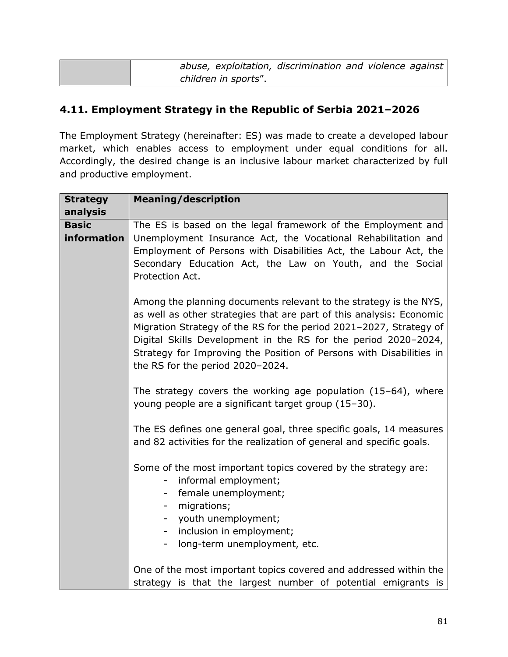| abuse, exploitation, discrimination and violence against |  |
|----------------------------------------------------------|--|
| children in sports".                                     |  |

### **4.11. Employment Strategy in the Republic of Serbia 2021–2026**

The Employment Strategy (hereinafter: ES) was made to create a developed labour market, which enables access to employment under equal conditions for all. Accordingly, the desired change is an inclusive labour market characterized by full and productive employment.

| <b>Strategy</b>             | <b>Meaning/description</b>                                                                                                                                                                                                                                                                                                                                                                   |
|-----------------------------|----------------------------------------------------------------------------------------------------------------------------------------------------------------------------------------------------------------------------------------------------------------------------------------------------------------------------------------------------------------------------------------------|
| analysis                    |                                                                                                                                                                                                                                                                                                                                                                                              |
| <b>Basic</b><br>information | The ES is based on the legal framework of the Employment and<br>Unemployment Insurance Act, the Vocational Rehabilitation and<br>Employment of Persons with Disabilities Act, the Labour Act, the<br>Secondary Education Act, the Law on Youth, and the Social<br>Protection Act.                                                                                                            |
|                             | Among the planning documents relevant to the strategy is the NYS,<br>as well as other strategies that are part of this analysis: Economic<br>Migration Strategy of the RS for the period 2021-2027, Strategy of<br>Digital Skills Development in the RS for the period 2020-2024,<br>Strategy for Improving the Position of Persons with Disabilities in<br>the RS for the period 2020-2024. |
|                             | The strategy covers the working age population $(15-64)$ , where<br>young people are a significant target group (15-30).                                                                                                                                                                                                                                                                     |
|                             | The ES defines one general goal, three specific goals, 14 measures<br>and 82 activities for the realization of general and specific goals.                                                                                                                                                                                                                                                   |
|                             | Some of the most important topics covered by the strategy are:<br>informal employment;<br>-<br>female unemployment;<br>-<br>migrations;<br>youth unemployment;<br>inclusion in employment;<br>$\sim$ $-$<br>long-term unemployment, etc.<br>Ξ.                                                                                                                                               |
|                             | One of the most important topics covered and addressed within the<br>strategy is that the largest number of potential emigrants is                                                                                                                                                                                                                                                           |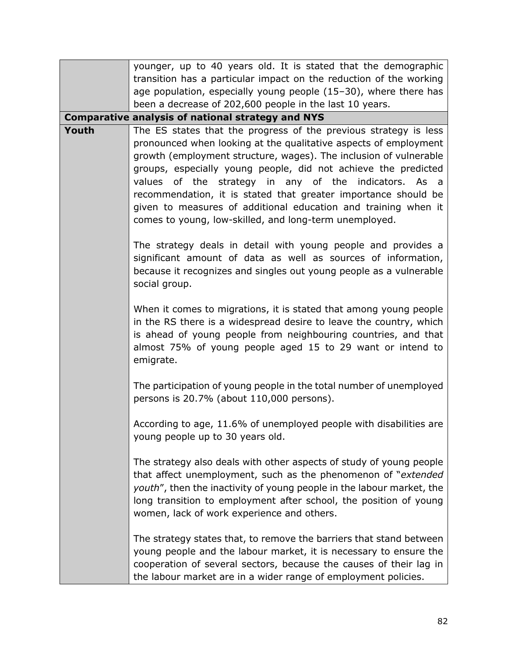|                                                                                                                                                                                                                                                                                                                                                                                                                                                                                                                                             | younger, up to 40 years old. It is stated that the demographic                                                                                                                                                                                                                                                                    |
|---------------------------------------------------------------------------------------------------------------------------------------------------------------------------------------------------------------------------------------------------------------------------------------------------------------------------------------------------------------------------------------------------------------------------------------------------------------------------------------------------------------------------------------------|-----------------------------------------------------------------------------------------------------------------------------------------------------------------------------------------------------------------------------------------------------------------------------------------------------------------------------------|
|                                                                                                                                                                                                                                                                                                                                                                                                                                                                                                                                             | transition has a particular impact on the reduction of the working                                                                                                                                                                                                                                                                |
|                                                                                                                                                                                                                                                                                                                                                                                                                                                                                                                                             | age population, especially young people (15-30), where there has                                                                                                                                                                                                                                                                  |
|                                                                                                                                                                                                                                                                                                                                                                                                                                                                                                                                             | been a decrease of 202,600 people in the last 10 years.                                                                                                                                                                                                                                                                           |
|                                                                                                                                                                                                                                                                                                                                                                                                                                                                                                                                             | <b>Comparative analysis of national strategy and NYS</b>                                                                                                                                                                                                                                                                          |
| Youth<br>The ES states that the progress of the previous strategy is less<br>pronounced when looking at the qualitative aspects of employment<br>growth (employment structure, wages). The inclusion of vulnerable<br>groups, especially young people, did not achieve the predicted<br>values of the strategy in any of the indicators. As a<br>recommendation, it is stated that greater importance should be<br>given to measures of additional education and training when it<br>comes to young, low-skilled, and long-term unemployed. |                                                                                                                                                                                                                                                                                                                                   |
| social group.<br>emigrate.<br>persons is 20.7% (about 110,000 persons).<br>young people up to 30 years old.                                                                                                                                                                                                                                                                                                                                                                                                                                 | The strategy deals in detail with young people and provides a<br>significant amount of data as well as sources of information,<br>because it recognizes and singles out young people as a vulnerable                                                                                                                              |
|                                                                                                                                                                                                                                                                                                                                                                                                                                                                                                                                             | When it comes to migrations, it is stated that among young people<br>in the RS there is a widespread desire to leave the country, which<br>is ahead of young people from neighbouring countries, and that<br>almost 75% of young people aged 15 to 29 want or intend to                                                           |
|                                                                                                                                                                                                                                                                                                                                                                                                                                                                                                                                             | The participation of young people in the total number of unemployed                                                                                                                                                                                                                                                               |
|                                                                                                                                                                                                                                                                                                                                                                                                                                                                                                                                             | According to age, 11.6% of unemployed people with disabilities are                                                                                                                                                                                                                                                                |
|                                                                                                                                                                                                                                                                                                                                                                                                                                                                                                                                             | The strategy also deals with other aspects of study of young people<br>that affect unemployment, such as the phenomenon of "extended"<br>youth", then the inactivity of young people in the labour market, the<br>long transition to employment after school, the position of young<br>women, lack of work experience and others. |
|                                                                                                                                                                                                                                                                                                                                                                                                                                                                                                                                             | The strategy states that, to remove the barriers that stand between<br>young people and the labour market, it is necessary to ensure the<br>cooperation of several sectors, because the causes of their lag in<br>the labour market are in a wider range of employment policies.                                                  |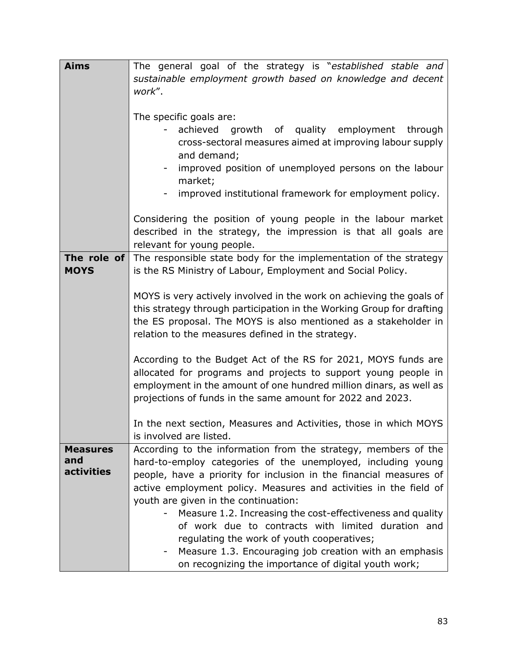| <b>Aims</b>       | The general goal of the strategy is "established stable and                                  |  |
|-------------------|----------------------------------------------------------------------------------------------|--|
|                   | sustainable employment growth based on knowledge and decent                                  |  |
|                   | work".                                                                                       |  |
|                   |                                                                                              |  |
|                   | The specific goals are:                                                                      |  |
|                   | growth of quality employment<br>achieved<br>through                                          |  |
|                   | cross-sectoral measures aimed at improving labour supply                                     |  |
|                   | and demand;                                                                                  |  |
|                   | improved position of unemployed persons on the labour                                        |  |
|                   | market;                                                                                      |  |
|                   | improved institutional framework for employment policy.                                      |  |
|                   |                                                                                              |  |
|                   | Considering the position of young people in the labour market                                |  |
|                   | described in the strategy, the impression is that all goals are                              |  |
|                   | relevant for young people.                                                                   |  |
| The role of       | The responsible state body for the implementation of the strategy                            |  |
| <b>MOYS</b>       | is the RS Ministry of Labour, Employment and Social Policy.                                  |  |
|                   |                                                                                              |  |
|                   | MOYS is very actively involved in the work on achieving the goals of                         |  |
|                   | this strategy through participation in the Working Group for drafting                        |  |
|                   | the ES proposal. The MOYS is also mentioned as a stakeholder in                              |  |
|                   | relation to the measures defined in the strategy.                                            |  |
|                   |                                                                                              |  |
|                   | According to the Budget Act of the RS for 2021, MOYS funds are                               |  |
|                   | allocated for programs and projects to support young people in                               |  |
|                   | employment in the amount of one hundred million dinars, as well as                           |  |
|                   | projections of funds in the same amount for 2022 and 2023.                                   |  |
|                   |                                                                                              |  |
|                   | In the next section, Measures and Activities, those in which MOYS<br>is involved are listed. |  |
| <b>Measures</b>   | According to the information from the strategy, members of the                               |  |
| and               | hard-to-employ categories of the unemployed, including young                                 |  |
| <b>activities</b> | people, have a priority for inclusion in the financial measures of                           |  |
|                   | active employment policy. Measures and activities in the field of                            |  |
|                   | youth are given in the continuation:                                                         |  |
|                   | Measure 1.2. Increasing the cost-effectiveness and quality                                   |  |
|                   | of work due to contracts with limited duration and                                           |  |
|                   | regulating the work of youth cooperatives;                                                   |  |
|                   | Measure 1.3. Encouraging job creation with an emphasis                                       |  |
|                   | on recognizing the importance of digital youth work;                                         |  |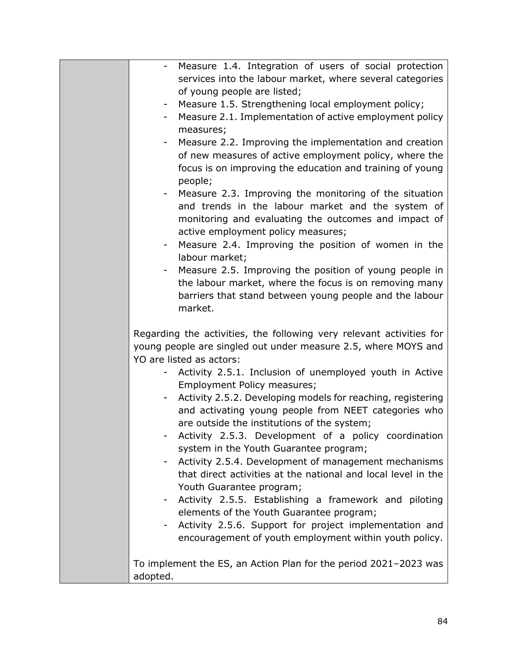| Measure 1.4. Integration of users of social protection<br>$\overline{\phantom{a}}$                                                                                                                        |
|-----------------------------------------------------------------------------------------------------------------------------------------------------------------------------------------------------------|
| services into the labour market, where several categories<br>of young people are listed;                                                                                                                  |
| Measure 1.5. Strengthening local employment policy;<br>-                                                                                                                                                  |
| Measure 2.1. Implementation of active employment policy<br>۰.<br>measures;                                                                                                                                |
| Measure 2.2. Improving the implementation and creation<br>of new measures of active employment policy, where the<br>focus is on improving the education and training of young<br>people;                  |
| Measure 2.3. Improving the monitoring of the situation<br>and trends in the labour market and the system of<br>monitoring and evaluating the outcomes and impact of<br>active employment policy measures; |
| Measure 2.4. Improving the position of women in the<br>labour market;                                                                                                                                     |
| Measure 2.5. Improving the position of young people in<br>the labour market, where the focus is on removing many<br>barriers that stand between young people and the labour<br>market.                    |
| Regarding the activities, the following very relevant activities for<br>young people are singled out under measure 2.5, where MOYS and<br>YO are listed as actors:                                        |
| Activity 2.5.1. Inclusion of unemployed youth in Active<br>Employment Policy measures;                                                                                                                    |
| Activity 2.5.2. Developing models for reaching, registering<br>and activating young people from NEET categories who<br>are outside the institutions of the system;                                        |
| Activity 2.5.3. Development of a policy coordination<br>system in the Youth Guarantee program;                                                                                                            |
| Activity 2.5.4. Development of management mechanisms<br>that direct activities at the national and local level in the<br>Youth Guarantee program;                                                         |
| Activity 2.5.5. Establishing a framework and piloting<br>elements of the Youth Guarantee program;                                                                                                         |
| Activity 2.5.6. Support for project implementation and<br>encouragement of youth employment within youth policy.                                                                                          |
| To implement the ES, an Action Plan for the period 2021-2023 was<br>adopted.                                                                                                                              |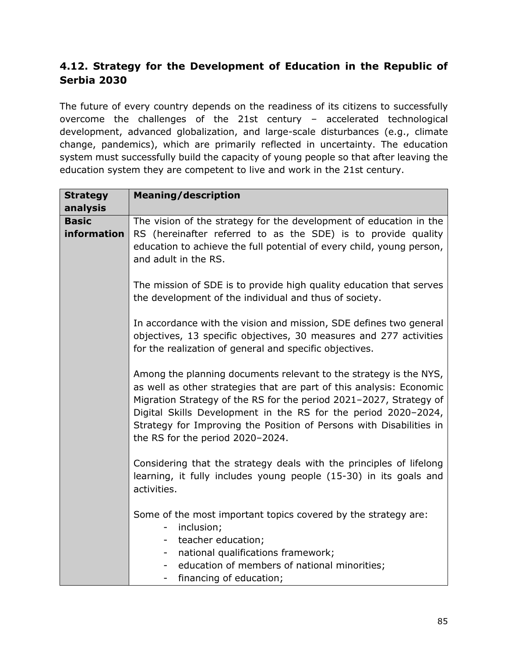# **4.12. Strategy for the Development of Education in the Republic of Serbia 2030**

The future of every country depends on the readiness of its citizens to successfully overcome the challenges of the 21st century – accelerated technological development, advanced globalization, and large-scale disturbances (e.g., climate change, pandemics), which are primarily reflected in uncertainty. The education system must successfully build the capacity of young people so that after leaving the education system they are competent to live and work in the 21st century.

| <b>Strategy</b>             | <b>Meaning/description</b>                                                                                                                                                                                                                                                                                                                                                                   |  |  |
|-----------------------------|----------------------------------------------------------------------------------------------------------------------------------------------------------------------------------------------------------------------------------------------------------------------------------------------------------------------------------------------------------------------------------------------|--|--|
| analysis                    |                                                                                                                                                                                                                                                                                                                                                                                              |  |  |
| <b>Basic</b><br>information | The vision of the strategy for the development of education in the<br>RS (hereinafter referred to as the SDE) is to provide quality<br>education to achieve the full potential of every child, young person,<br>and adult in the RS.                                                                                                                                                         |  |  |
|                             | The mission of SDE is to provide high quality education that serves<br>the development of the individual and thus of society.                                                                                                                                                                                                                                                                |  |  |
| activities.                 | In accordance with the vision and mission, SDE defines two general<br>objectives, 13 specific objectives, 30 measures and 277 activities<br>for the realization of general and specific objectives.                                                                                                                                                                                          |  |  |
|                             | Among the planning documents relevant to the strategy is the NYS,<br>as well as other strategies that are part of this analysis: Economic<br>Migration Strategy of the RS for the period 2021-2027, Strategy of<br>Digital Skills Development in the RS for the period 2020-2024,<br>Strategy for Improving the Position of Persons with Disabilities in<br>the RS for the period 2020-2024. |  |  |
|                             | Considering that the strategy deals with the principles of lifelong<br>learning, it fully includes young people (15-30) in its goals and                                                                                                                                                                                                                                                     |  |  |
|                             | Some of the most important topics covered by the strategy are:<br>inclusion;<br>۰<br>teacher education;<br>۰<br>national qualifications framework;<br>۰.<br>education of members of national minorities;<br>financing of education;<br>$\sim$                                                                                                                                                |  |  |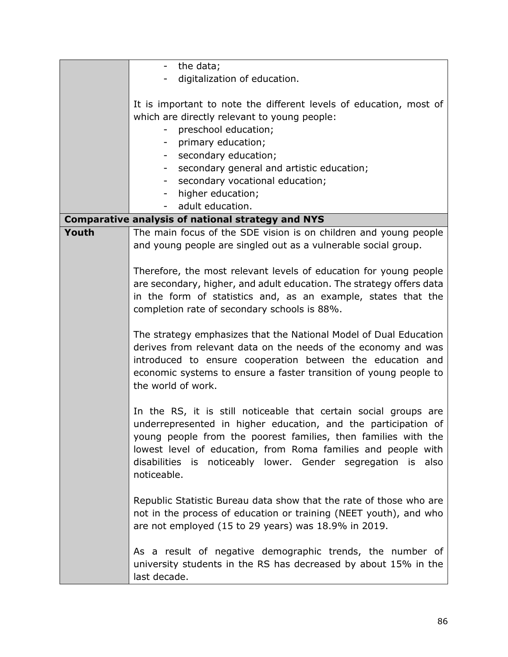|                                                                                                                                                                                                                                                                                              | the data;                                                                                                                                                                                                                                                                                                                                            |
|----------------------------------------------------------------------------------------------------------------------------------------------------------------------------------------------------------------------------------------------------------------------------------------------|------------------------------------------------------------------------------------------------------------------------------------------------------------------------------------------------------------------------------------------------------------------------------------------------------------------------------------------------------|
|                                                                                                                                                                                                                                                                                              | digitalization of education.                                                                                                                                                                                                                                                                                                                         |
|                                                                                                                                                                                                                                                                                              |                                                                                                                                                                                                                                                                                                                                                      |
|                                                                                                                                                                                                                                                                                              | It is important to note the different levels of education, most of                                                                                                                                                                                                                                                                                   |
|                                                                                                                                                                                                                                                                                              | which are directly relevant to young people:                                                                                                                                                                                                                                                                                                         |
|                                                                                                                                                                                                                                                                                              | preschool education;<br>Ξ.                                                                                                                                                                                                                                                                                                                           |
|                                                                                                                                                                                                                                                                                              |                                                                                                                                                                                                                                                                                                                                                      |
|                                                                                                                                                                                                                                                                                              | primary education;                                                                                                                                                                                                                                                                                                                                   |
|                                                                                                                                                                                                                                                                                              | secondary education;<br>$\sim$                                                                                                                                                                                                                                                                                                                       |
|                                                                                                                                                                                                                                                                                              | secondary general and artistic education;                                                                                                                                                                                                                                                                                                            |
|                                                                                                                                                                                                                                                                                              | secondary vocational education;<br>$\sim$                                                                                                                                                                                                                                                                                                            |
|                                                                                                                                                                                                                                                                                              | higher education;                                                                                                                                                                                                                                                                                                                                    |
|                                                                                                                                                                                                                                                                                              | adult education.<br>$\overline{\phantom{a}}$                                                                                                                                                                                                                                                                                                         |
|                                                                                                                                                                                                                                                                                              | <b>Comparative analysis of national strategy and NYS</b>                                                                                                                                                                                                                                                                                             |
| Youth                                                                                                                                                                                                                                                                                        | The main focus of the SDE vision is on children and young people<br>and young people are singled out as a vulnerable social group.                                                                                                                                                                                                                   |
|                                                                                                                                                                                                                                                                                              | Therefore, the most relevant levels of education for young people<br>are secondary, higher, and adult education. The strategy offers data<br>in the form of statistics and, as an example, states that the<br>completion rate of secondary schools is 88%.                                                                                           |
| The strategy emphasizes that the National Model of Dual Education<br>derives from relevant data on the needs of the economy and was<br>introduced to ensure cooperation between the education and<br>economic systems to ensure a faster transition of young people to<br>the world of work. |                                                                                                                                                                                                                                                                                                                                                      |
|                                                                                                                                                                                                                                                                                              | In the RS, it is still noticeable that certain social groups are<br>underrepresented in higher education, and the participation of<br>young people from the poorest families, then families with the<br>lowest level of education, from Roma families and people with<br>disabilities is noticeably lower. Gender segregation is also<br>noticeable. |
|                                                                                                                                                                                                                                                                                              | Republic Statistic Bureau data show that the rate of those who are<br>not in the process of education or training (NEET youth), and who<br>are not employed (15 to 29 years) was 18.9% in 2019.                                                                                                                                                      |
|                                                                                                                                                                                                                                                                                              | As a result of negative demographic trends, the number of<br>university students in the RS has decreased by about 15% in the<br>last decade.                                                                                                                                                                                                         |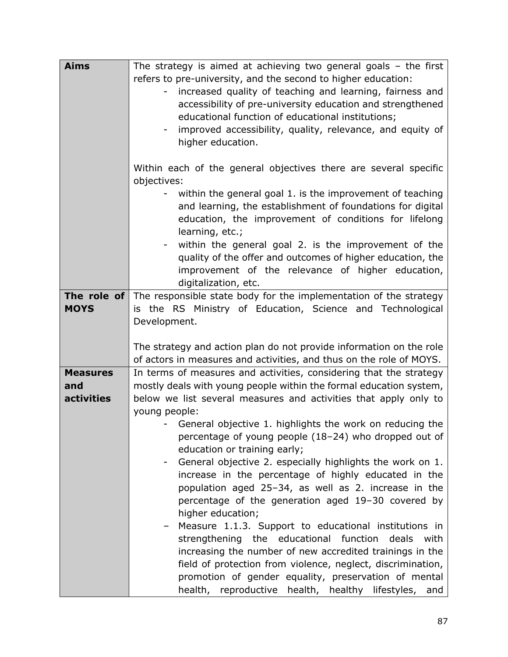| <b>Aims</b>                                 | The strategy is aimed at achieving two general goals $-$ the first<br>refers to pre-university, and the second to higher education:<br>increased quality of teaching and learning, fairness and<br>$\overline{\phantom{0}}$<br>accessibility of pre-university education and strengthened<br>educational function of educational institutions;<br>improved accessibility, quality, relevance, and equity of<br>higher education.                                                                                                                                                                                                                                                                                                                                                          |  |
|---------------------------------------------|-------------------------------------------------------------------------------------------------------------------------------------------------------------------------------------------------------------------------------------------------------------------------------------------------------------------------------------------------------------------------------------------------------------------------------------------------------------------------------------------------------------------------------------------------------------------------------------------------------------------------------------------------------------------------------------------------------------------------------------------------------------------------------------------|--|
|                                             | Within each of the general objectives there are several specific<br>objectives:<br>within the general goal 1. is the improvement of teaching<br>and learning, the establishment of foundations for digital<br>education, the improvement of conditions for lifelong                                                                                                                                                                                                                                                                                                                                                                                                                                                                                                                       |  |
|                                             | learning, etc.;<br>within the general goal 2. is the improvement of the<br>quality of the offer and outcomes of higher education, the<br>improvement of the relevance of higher education,<br>digitalization, etc.                                                                                                                                                                                                                                                                                                                                                                                                                                                                                                                                                                        |  |
| <b>MOYS</b>                                 | <b>The role of</b> The responsible state body for the implementation of the strategy<br>is the RS Ministry of Education, Science and Technological<br>Development.<br>The strategy and action plan do not provide information on the role                                                                                                                                                                                                                                                                                                                                                                                                                                                                                                                                                 |  |
|                                             | of actors in measures and activities, and thus on the role of MOYS.                                                                                                                                                                                                                                                                                                                                                                                                                                                                                                                                                                                                                                                                                                                       |  |
| <b>Measures</b><br>and<br><b>activities</b> | In terms of measures and activities, considering that the strategy<br>mostly deals with young people within the formal education system,<br>below we list several measures and activities that apply only to                                                                                                                                                                                                                                                                                                                                                                                                                                                                                                                                                                              |  |
|                                             | young people:<br>General objective 1. highlights the work on reducing the<br>percentage of young people (18-24) who dropped out of<br>education or training early;<br>General objective 2. especially highlights the work on 1.<br>increase in the percentage of highly educated in the<br>population aged 25-34, as well as 2. increase in the<br>percentage of the generation aged 19-30 covered by<br>higher education;<br>Measure 1.1.3. Support to educational institutions in<br>strengthening the educational function<br>deals<br>with<br>increasing the number of new accredited trainings in the<br>field of protection from violence, neglect, discrimination,<br>promotion of gender equality, preservation of mental<br>health, reproductive health, healthy lifestyles, and |  |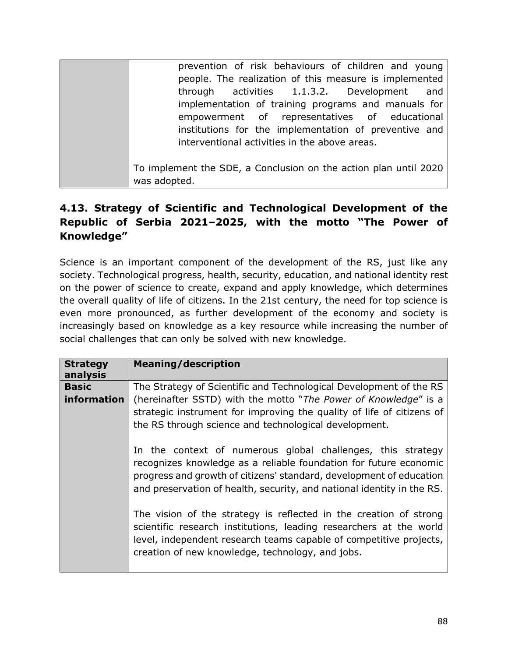| prevention of risk behaviours of children and young              |
|------------------------------------------------------------------|
| people. The realization of this measure is implemented           |
| activities 1.1.3.2. Development<br>through<br>and                |
| implementation of training programs and manuals for              |
| empowerment of representatives of educational                    |
| institutions for the implementation of preventive and            |
| interventional activities in the above areas.                    |
|                                                                  |
| To implement the SDE, a Conclusion on the action plan until 2020 |
| was adopted.                                                     |

## **4.13. Strategy of Scientific and Technological Development of the Republic of Serbia 2021–2025, with the motto "The Power of Knowledge"**

Science is an important component of the development of the RS, just like any society. Technological progress, health, security, education, and national identity rest on the power of science to create, expand and apply knowledge, which determines the overall quality of life of citizens. In the 21st century, the need for top science is even more pronounced, as further development of the economy and society is increasingly based on knowledge as a key resource while increasing the number of social challenges that can only be solved with new knowledge.

| <b>Strategy</b><br>analysis                                                                                              | <b>Meaning/description</b>                                                                                                                                                                                                                                                        |
|--------------------------------------------------------------------------------------------------------------------------|-----------------------------------------------------------------------------------------------------------------------------------------------------------------------------------------------------------------------------------------------------------------------------------|
| <b>Basic</b>                                                                                                             | The Strategy of Scientific and Technological Development of the RS                                                                                                                                                                                                                |
| information<br>the RS through science and technological development.<br>creation of new knowledge, technology, and jobs. | (hereinafter SSTD) with the motto "The Power of Knowledge" is a<br>strategic instrument for improving the quality of life of citizens of                                                                                                                                          |
|                                                                                                                          | In the context of numerous global challenges, this strategy<br>recognizes knowledge as a reliable foundation for future economic<br>progress and growth of citizens' standard, development of education<br>and preservation of health, security, and national identity in the RS. |
|                                                                                                                          | The vision of the strategy is reflected in the creation of strong<br>scientific research institutions, leading researchers at the world<br>level, independent research teams capable of competitive projects,                                                                     |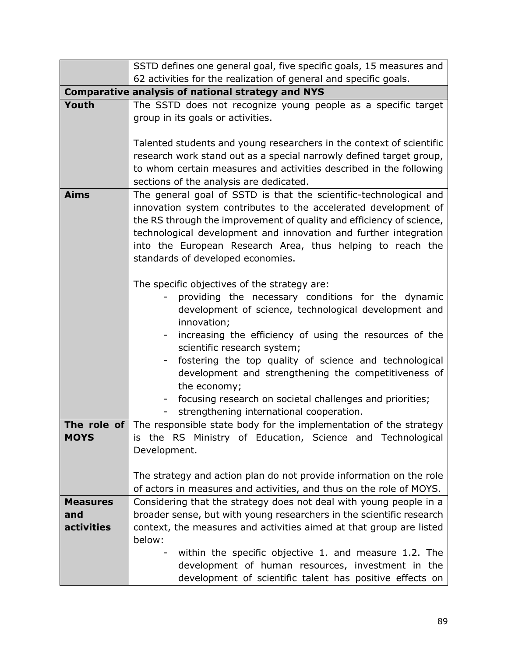|                                             | SSTD defines one general goal, five specific goals, 15 measures and                                                                                                                                                                                                                                                                                                                                                                                                                                                      |  |
|---------------------------------------------|--------------------------------------------------------------------------------------------------------------------------------------------------------------------------------------------------------------------------------------------------------------------------------------------------------------------------------------------------------------------------------------------------------------------------------------------------------------------------------------------------------------------------|--|
|                                             | 62 activities for the realization of general and specific goals.                                                                                                                                                                                                                                                                                                                                                                                                                                                         |  |
|                                             | <b>Comparative analysis of national strategy and NYS</b>                                                                                                                                                                                                                                                                                                                                                                                                                                                                 |  |
| Youth                                       | The SSTD does not recognize young people as a specific target<br>group in its goals or activities.                                                                                                                                                                                                                                                                                                                                                                                                                       |  |
|                                             | Talented students and young researchers in the context of scientific<br>research work stand out as a special narrowly defined target group,<br>to whom certain measures and activities described in the following<br>sections of the analysis are dedicated.                                                                                                                                                                                                                                                             |  |
| <b>Aims</b>                                 | The general goal of SSTD is that the scientific-technological and<br>innovation system contributes to the accelerated development of<br>the RS through the improvement of quality and efficiency of science,<br>technological development and innovation and further integration<br>into the European Research Area, thus helping to reach the<br>standards of developed economies.                                                                                                                                      |  |
|                                             | The specific objectives of the strategy are:<br>providing the necessary conditions for the dynamic<br>development of science, technological development and<br>innovation;<br>increasing the efficiency of using the resources of the<br>$\sim$<br>scientific research system;<br>fostering the top quality of science and technological<br>development and strengthening the competitiveness of<br>the economy;<br>focusing research on societal challenges and priorities;<br>strengthening international cooperation. |  |
| <b>MOYS</b>                                 | <b>The role of</b> The responsible state body for the implementation of the strategy<br>is the RS Ministry of Education, Science and Technological<br>Development.                                                                                                                                                                                                                                                                                                                                                       |  |
|                                             | The strategy and action plan do not provide information on the role<br>of actors in measures and activities, and thus on the role of MOYS.                                                                                                                                                                                                                                                                                                                                                                               |  |
| <b>Measures</b><br>and<br><b>activities</b> | Considering that the strategy does not deal with young people in a<br>broader sense, but with young researchers in the scientific research<br>context, the measures and activities aimed at that group are listed<br>below:                                                                                                                                                                                                                                                                                              |  |
|                                             | within the specific objective 1. and measure 1.2. The<br>development of human resources, investment in the<br>development of scientific talent has positive effects on                                                                                                                                                                                                                                                                                                                                                   |  |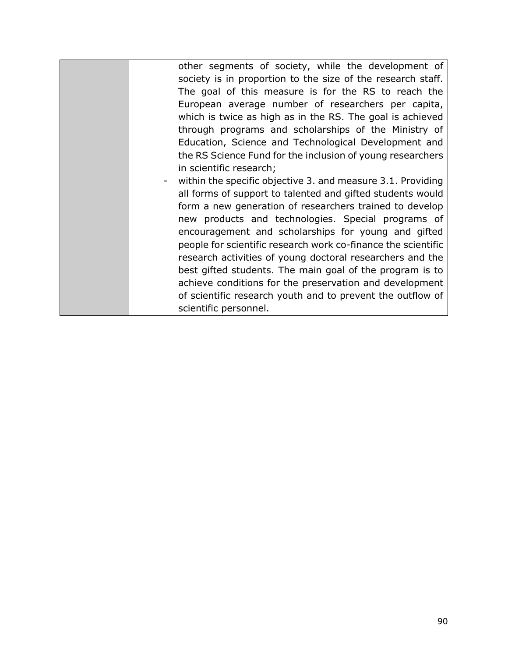| other segments of society, while the development of           |
|---------------------------------------------------------------|
| society is in proportion to the size of the research staff.   |
| The goal of this measure is for the RS to reach the           |
| European average number of researchers per capita,            |
| which is twice as high as in the RS. The goal is achieved     |
| through programs and scholarships of the Ministry of          |
| Education, Science and Technological Development and          |
| the RS Science Fund for the inclusion of young researchers    |
| in scientific research;                                       |
| within the specific objective 3. and measure 3.1. Providing   |
| all forms of support to talented and gifted students would    |
| form a new generation of researchers trained to develop       |
| new products and technologies. Special programs of            |
| encouragement and scholarships for young and gifted           |
| people for scientific research work co-finance the scientific |
| research activities of young doctoral researchers and the     |
| best gifted students. The main goal of the program is to      |
| achieve conditions for the preservation and development       |
| of scientific research youth and to prevent the outflow of    |
| scientific personnel.                                         |
|                                                               |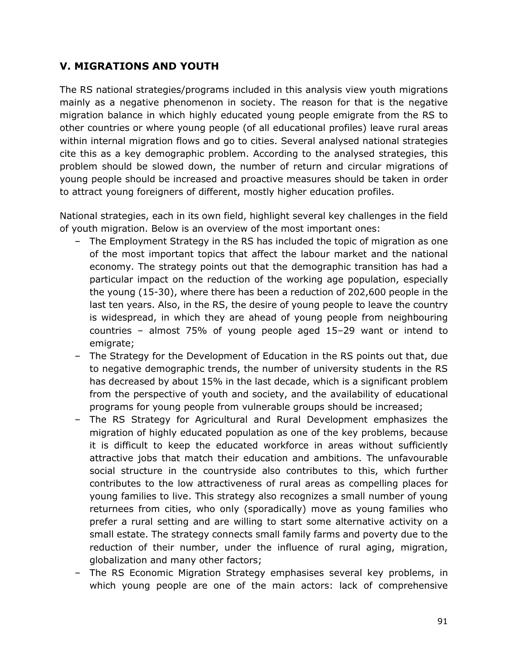## **V. MIGRATIONS AND YOUTH**

The RS national strategies/programs included in this analysis view youth migrations mainly as a negative phenomenon in society. The reason for that is the negative migration balance in which highly educated young people emigrate from the RS to other countries or where young people (of all educational profiles) leave rural areas within internal migration flows and go to cities. Several analysed national strategies cite this as a key demographic problem. According to the analysed strategies, this problem should be slowed down, the number of return and circular migrations of young people should be increased and proactive measures should be taken in order to attract young foreigners of different, mostly higher education profiles.

National strategies, each in its own field, highlight several key challenges in the field of youth migration. Below is an overview of the most important ones:

- The Employment Strategy in the RS has included the topic of migration as one of the most important topics that affect the labour market and the national economy. The strategy points out that the demographic transition has had a particular impact on the reduction of the working age population, especially the young (15-30), where there has been a reduction of 202,600 people in the last ten years. Also, in the RS, the desire of young people to leave the country is widespread, in which they are ahead of young people from neighbouring countries – almost 75% of young people aged 15–29 want or intend to emigrate;
- The Strategy for the Development of Education in the RS points out that, due to negative demographic trends, the number of university students in the RS has decreased by about 15% in the last decade, which is a significant problem from the perspective of youth and society, and the availability of educational programs for young people from vulnerable groups should be increased;
- The RS Strategy for Agricultural and Rural Development emphasizes the migration of highly educated population as one of the key problems, because it is difficult to keep the educated workforce in areas without sufficiently attractive jobs that match their education and ambitions. The unfavourable social structure in the countryside also contributes to this, which further contributes to the low attractiveness of rural areas as compelling places for young families to live. This strategy also recognizes a small number of young returnees from cities, who only (sporadically) move as young families who prefer a rural setting and are willing to start some alternative activity on a small estate. The strategy connects small family farms and poverty due to the reduction of their number, under the influence of rural aging, migration, globalization and many other factors;
- The RS Economic Migration Strategy emphasises several key problems, in which young people are one of the main actors: lack of comprehensive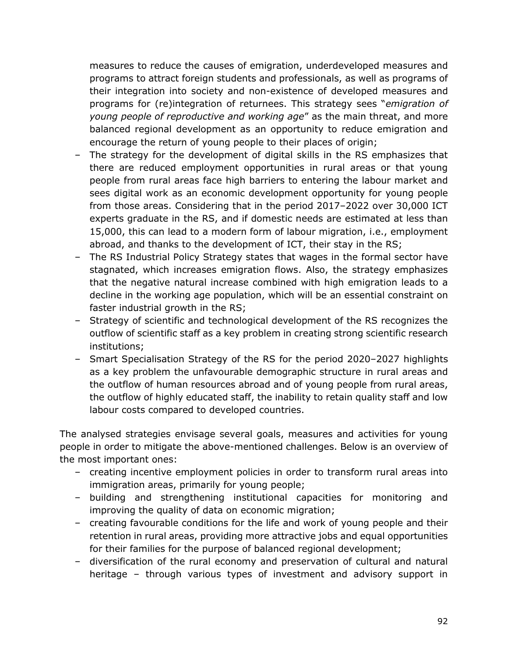measures to reduce the causes of emigration, underdeveloped measures and programs to attract foreign students and professionals, as well as programs of their integration into society and non-existence of developed measures and programs for (re)integration of returnees. This strategy sees "*emigration of young people of reproductive and working age*" as the main threat, and more balanced regional development as an opportunity to reduce emigration and encourage the return of young people to their places of origin;

- The strategy for the development of digital skills in the RS emphasizes that there are reduced employment opportunities in rural areas or that young people from rural areas face high barriers to entering the labour market and sees digital work as an economic development opportunity for young people from those areas. Considering that in the period 2017-2022 over 30,000 ICT experts graduate in the RS, and if domestic needs are estimated at less than 15,000, this can lead to a modern form of labour migration, i.e., employment abroad, and thanks to the development of ICT, their stay in the RS;
- The RS Industrial Policy Strategy states that wages in the formal sector have stagnated, which increases emigration flows. Also, the strategy emphasizes that the negative natural increase combined with high emigration leads to a decline in the working age population, which will be an essential constraint on faster industrial growth in the RS;
- Strategy of scientific and technological development of the RS recognizes the outflow of scientific staff as a key problem in creating strong scientific research institutions;
- Smart Specialisation Strategy of the RS for the period 2020-2027 highlights as a key problem the unfavourable demographic structure in rural areas and the outflow of human resources abroad and of young people from rural areas, the outflow of highly educated staff, the inability to retain quality staff and low labour costs compared to developed countries.

The analysed strategies envisage several goals, measures and activities for young people in order to mitigate the above-mentioned challenges. Below is an overview of the most important ones:

- creating incentive employment policies in order to transform rural areas into immigration areas, primarily for young people;
- building and strengthening institutional capacities for monitoring and improving the quality of data on economic migration;
- creating favourable conditions for the life and work of young people and their retention in rural areas, providing more attractive jobs and equal opportunities for their families for the purpose of balanced regional development;
- diversification of the rural economy and preservation of cultural and natural heritage – through various types of investment and advisory support in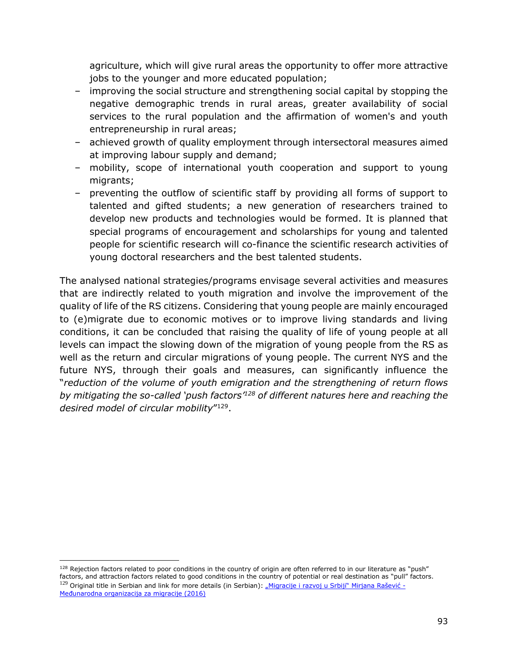agriculture, which will give rural areas the opportunity to offer more attractive jobs to the younger and more educated population;

- improving the social structure and strengthening social capital by stopping the negative demographic trends in rural areas, greater availability of social services to the rural population and the affirmation of women's and youth entrepreneurship in rural areas;
- achieved growth of quality employment through intersectoral measures aimed at improving labour supply and demand;
- mobility, scope of international youth cooperation and support to young migrants;
- preventing the outflow of scientific staff by providing all forms of support to talented and gifted students; a new generation of researchers trained to develop new products and technologies would be formed. It is planned that special programs of encouragement and scholarships for young and talented people for scientific research will co-finance the scientific research activities of young doctoral researchers and the best talented students.

The analysed national strategies/programs envisage several activities and measures that are indirectly related to youth migration and involve the improvement of the quality of life of the RS citizens. Considering that young people are mainly encouraged to (e)migrate due to economic motives or to improve living standards and living conditions, it can be concluded that raising the quality of life of young people at all levels can impact the slowing down of the migration of young people from the RS as well as the return and circular migrations of young people. The current NYS and the future NYS, through their goals and measures, can significantly influence the "*reduction of the volume of youth emigration and the strengthening of return flows by mitigating the so-called 'push factors'<sup>128</sup> of different natures here and reaching the desired model of circular mobility*" 129 .

 $128$  Rejection factors related to poor conditions in the country of origin are often referred to in our literature as "push" factors, and attraction factors related to good conditions in the country of potential or real destination as "pull" factors. <sup>129</sup> Original title in Serbian and link for more details (in Serbian): ["Migracije i razvoj u Srbiji" Mirjana Rašević](https://serbia.iom.int/sites/serbia/files/publications/documents/Migracije%20i%20razvoj%20u%20Srbiji.pdf) -[Međunarodna organizacija za migracije \(2016\)](https://serbia.iom.int/sites/serbia/files/publications/documents/Migracije%20i%20razvoj%20u%20Srbiji.pdf)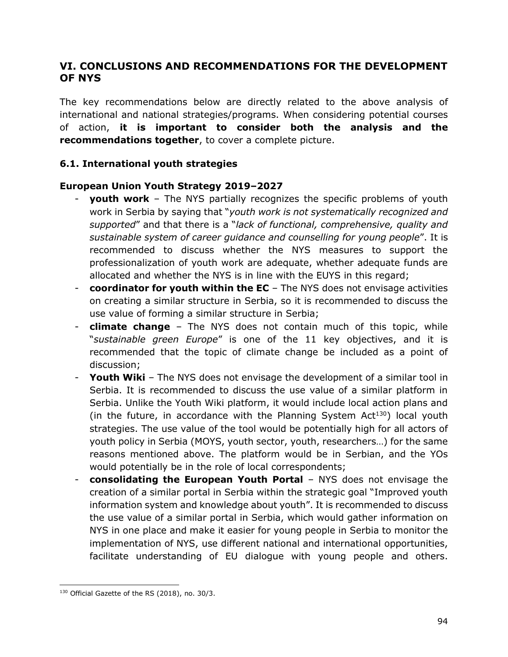### **VI. CONCLUSIONS AND RECOMMENDATIONS FOR THE DEVELOPMENT OF NYS**

The key recommendations below are directly related to the above analysis of international and national strategies/programs. When considering potential courses of action, **it is important to consider both the analysis and the recommendations together**, to cover a complete picture.

#### **6.1. International youth strategies**

#### **European Union Youth Strategy 2019–2027**

- **youth work** The NYS partially recognizes the specific problems of youth work in Serbia by saying that "*youth work is not systematically recognized and supported*" and that there is a "*lack of functional, comprehensive, quality and sustainable system of career guidance and counselling for young people*". It is recommended to discuss whether the NYS measures to support the professionalization of youth work are adequate, whether adequate funds are allocated and whether the NYS is in line with the EUYS in this regard;
- **coordinator for youth within the EC** The NYS does not envisage activities on creating a similar structure in Serbia, so it is recommended to discuss the use value of forming a similar structure in Serbia;
- **climate change**  The NYS does not contain much of this topic, while "*sustainable green Europe*" is one of the 11 key objectives, and it is recommended that the topic of climate change be included as a point of discussion;
- **Youth Wiki** The NYS does not envisage the development of a similar tool in Serbia. It is recommended to discuss the use value of a similar platform in Serbia. Unlike the Youth Wiki platform, it would include local action plans and (in the future, in accordance with the Planning System  $Act^{130}$ ) local youth strategies. The use value of the tool would be potentially high for all actors of youth policy in Serbia (MOYS, youth sector, youth, researchers…) for the same reasons mentioned above. The platform would be in Serbian, and the YOs would potentially be in the role of local correspondents;
- **consolidating the European Youth Portal**  NYS does not envisage the creation of a similar portal in Serbia within the strategic goal "Improved youth information system and knowledge about youth". It is recommended to discuss the use value of a similar portal in Serbia, which would gather information on NYS in one place and make it easier for young people in Serbia to monitor the implementation of NYS, use different national and international opportunities, facilitate understanding of EU dialogue with young people and others.

<sup>130</sup> Official Gazette of the RS (2018), no. 30/3.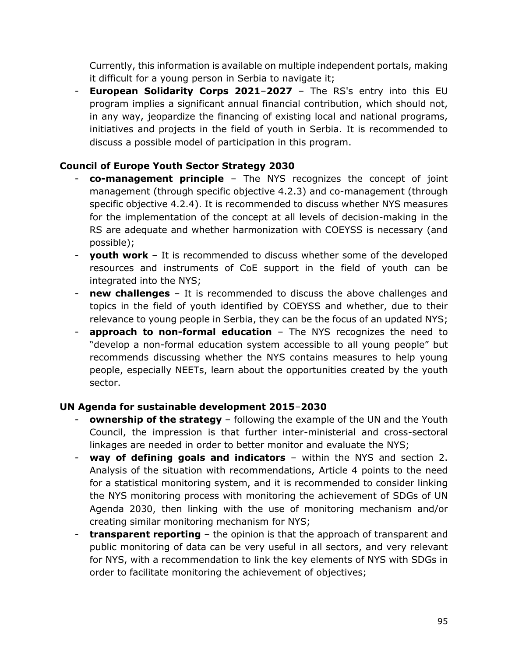Currently, this information is available on multiple independent portals, making it difficult for a young person in Serbia to navigate it;

**European Solidarity Corps 2021-2027** - The RS's entry into this EU program implies a significant annual financial contribution, which should not, in any way, jeopardize the financing of existing local and national programs, initiatives and projects in the field of youth in Serbia. It is recommended to discuss a possible model of participation in this program.

#### **Council of Europe Youth Sector Strategy 2030**

- **co-management principle** The NYS recognizes the concept of joint management (through specific objective 4.2.3) and co-management (through specific objective 4.2.4). It is recommended to discuss whether NYS measures for the implementation of the concept at all levels of decision-making in the RS are adequate and whether harmonization with COEYSS is necessary (and possible);
- **youth work** It is recommended to discuss whether some of the developed resources and instruments of CoE support in the field of youth can be integrated into the NYS;
- **new challenges** It is recommended to discuss the above challenges and topics in the field of youth identified by COEYSS and whether, due to their relevance to young people in Serbia, they can be the focus of an updated NYS;
- **approach to non-formal education** The NYS recognizes the need to "develop a non-formal education system accessible to all young people" but recommends discussing whether the NYS contains measures to help young people, especially NEETs, learn about the opportunities created by the youth sector.

#### **UN Agenda for sustainable development 2015**–**2030**

- **ownership of the strategy** following the example of the UN and the Youth Council, the impression is that further inter-ministerial and cross-sectoral linkages are needed in order to better monitor and evaluate the NYS;
- **way of defining goals and indicators** within the NYS and section 2. Analysis of the situation with recommendations, Article 4 points to the need for a statistical monitoring system, and it is recommended to consider linking the NYS monitoring process with monitoring the achievement of SDGs of UN Agenda 2030, then linking with the use of monitoring mechanism and/or creating similar monitoring mechanism for NYS;
- **transparent reporting** the opinion is that the approach of transparent and public monitoring of data can be very useful in all sectors, and very relevant for NYS, with a recommendation to link the key elements of NYS with SDGs in order to facilitate monitoring the achievement of objectives;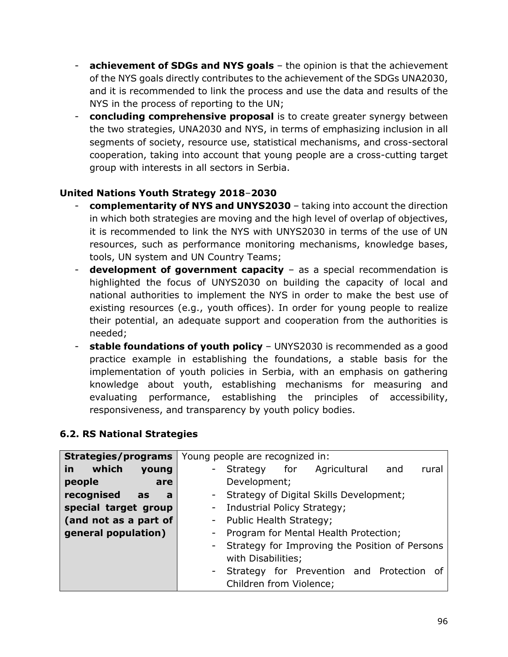- **achievement of SDGs and NYS goals** the opinion is that the achievement of the NYS goals directly contributes to the achievement of the SDGs UNA2030, and it is recommended to link the process and use the data and results of the NYS in the process of reporting to the UN;
- **concluding comprehensive proposal** is to create greater synergy between the two strategies, UNA2030 and NYS, in terms of emphasizing inclusion in all segments of society, resource use, statistical mechanisms, and cross-sectoral cooperation, taking into account that young people are a cross-cutting target group with interests in all sectors in Serbia.

### **United Nations Youth Strategy 2018**–**2030**

- **complementarity of NYS and UNYS2030** taking into account the direction in which both strategies are moving and the high level of overlap of objectives, it is recommended to link the NYS with UNYS2030 in terms of the use of UN resources, such as performance monitoring mechanisms, knowledge bases, tools, UN system and UN Country Teams;
- **development of government capacity** as a special recommendation is highlighted the focus of UNYS2030 on building the capacity of local and national authorities to implement the NYS in order to make the best use of existing resources (e.g., youth offices). In order for young people to realize their potential, an adequate support and cooperation from the authorities is needed;
- **stable foundations of youth policy** UNYS2030 is recommended as a good practice example in establishing the foundations, a stable basis for the implementation of youth policies in Serbia, with an emphasis on gathering knowledge about youth, establishing mechanisms for measuring and evaluating performance, establishing the principles of accessibility, responsiveness, and transparency by youth policy bodies.

#### **6.2. RS National Strategies**

| Strategies/programs          | Young people are recognized in:                  |
|------------------------------|--------------------------------------------------|
| which<br>in<br>young         | - Strategy for Agricultural<br>and<br>rural      |
| people<br>are                | Development;                                     |
| recognised<br>as<br><b>a</b> | - Strategy of Digital Skills Development;        |
| special target group         | - Industrial Policy Strategy;                    |
| (and not as a part of        | - Public Health Strategy;                        |
| general population)          | Program for Mental Health Protection;<br>$\sim$  |
|                              | - Strategy for Improving the Position of Persons |
|                              | with Disabilities;                               |
|                              | - Strategy for Prevention and Protection of      |
|                              | Children from Violence;                          |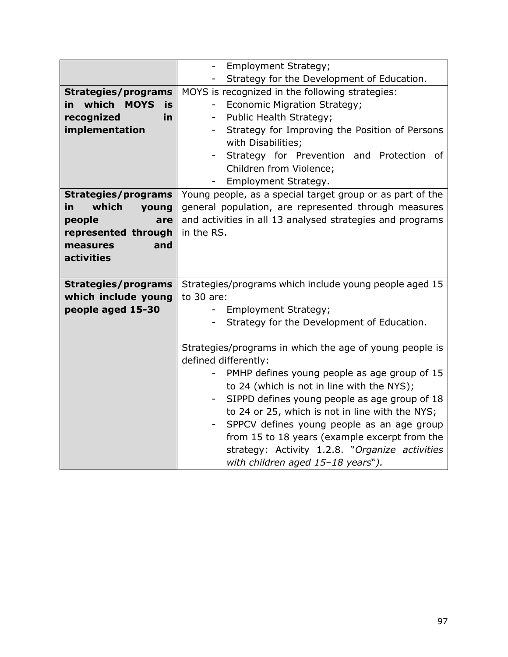|                               | Employment Strategy;<br>$\overline{\phantom{a}}$                         |
|-------------------------------|--------------------------------------------------------------------------|
|                               | Strategy for the Development of Education.                               |
| <b>Strategies/programs</b>    | MOYS is recognized in the following strategies:                          |
| in which<br><b>MOYS</b><br>is | <b>Economic Migration Strategy;</b><br>$\overline{\phantom{a}}$          |
| recognized<br>in.             | Public Health Strategy;<br>$\overline{\phantom{0}}$                      |
| implementation                | Strategy for Improving the Position of Persons                           |
|                               | with Disabilities;                                                       |
|                               | Strategy for Prevention and Protection of                                |
|                               | Children from Violence;                                                  |
|                               | Employment Strategy.                                                     |
| <b>Strategies/programs</b>    | Young people, as a special target group or as part of the                |
| which<br>in<br>young          | general population, are represented through measures                     |
| people<br>are                 | and activities in all 13 analysed strategies and programs                |
| represented through           | in the RS.                                                               |
| measures<br>and               |                                                                          |
| activities                    |                                                                          |
|                               |                                                                          |
| <b>Strategies/programs</b>    | Strategies/programs which include young people aged 15                   |
| which include young           | to $30$ are:                                                             |
| people aged 15-30             | Employment Strategy;<br>$\blacksquare$                                   |
|                               | Strategy for the Development of Education.                               |
|                               |                                                                          |
|                               | Strategies/programs in which the age of young people is                  |
|                               | defined differently:                                                     |
|                               | PMHP defines young people as age group of 15<br>$\overline{\phantom{a}}$ |
|                               | to 24 (which is not in line with the NYS);                               |
|                               | SIPPD defines young people as age group of 18                            |
|                               | to 24 or 25, which is not in line with the NYS;                          |
|                               | SPPCV defines young people as an age group                               |
|                               | from 15 to 18 years (example excerpt from the                            |
|                               | strategy: Activity 1.2.8. "Organize activities                           |
|                               | with children aged 15-18 years").                                        |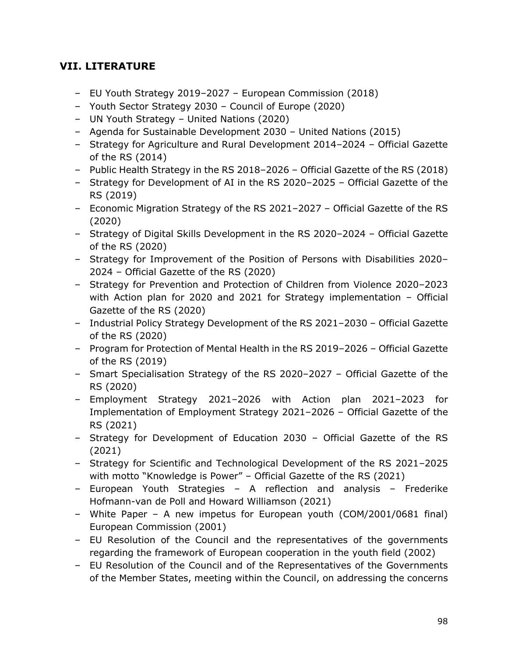# **VII. LITERATURE**

- EU Youth Strategy 2019–2027 European Commission (2018)
- Youth Sector Strategy 2030 Council of Europe (2020)
- UN Youth Strategy United Nations (2020)
- Agenda for Sustainable Development 2030 United Nations (2015)
- Strategy for Agriculture and Rural Development 2014–2024 Official Gazette of the RS (2014)
- Public Health Strategy in the RS 2018–2026 Official Gazette of the RS (2018)
- Strategy for Development of AI in the RS 2020–2025 Official Gazette of the RS (2019)
- Economic Migration Strategy of the RS 2021–2027 Official Gazette of the RS (2020)
- Strategy of Digital Skills Development in the RS 2020–2024 Official Gazette of the RS (2020)
- Strategy for Improvement of the Position of Persons with Disabilities 2020– 2024 – Official Gazette of the RS (2020)
- Strategy for Prevention and Protection of Children from Violence 2020–2023 with Action plan for 2020 and 2021 for Strategy implementation – Official Gazette of the RS (2020)
- Industrial Policy Strategy Development of the RS 2021–2030 Official Gazette of the RS (2020)
- Program for Protection of Mental Health in the RS 2019–2026 Official Gazette of the RS (2019)
- Smart Specialisation Strategy of the RS 2020–2027 Official Gazette of the RS (2020)
- Employment Strategy 2021–2026 with Action plan 2021–2023 for Implementation of Employment Strategy 2021–2026 – Official Gazette of the RS (2021)
- Strategy for Development of Education 2030 Official Gazette of the RS (2021)
- Strategy for Scientific and Technological Development of the RS 2021–2025 with motto "Knowledge is Power" – Official Gazette of the RS (2021)
- European Youth Strategies A reflection and analysis Frederike Hofmann-van de Poll and Howard Williamson (2021)
- White Paper A new impetus for European youth (COM/2001/0681 final) European Commission (2001)
- EU Resolution of the Council and the representatives of the governments regarding the framework of European cooperation in the youth field (2002)
- EU Resolution of the Council and of the Representatives of the Governments of the Member States, meeting within the Council, on addressing the concerns